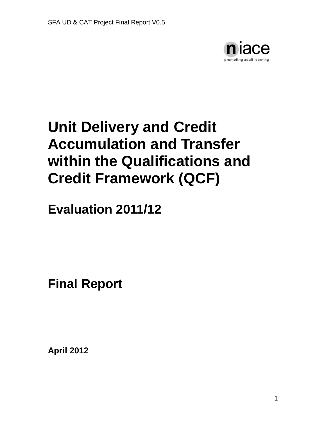

# **Unit Delivery and Credit Accumulation and Transfer within the Qualifications and Credit Framework (QCF)**

**Evaluation 2011/12**

**Final Report**

**April 2012**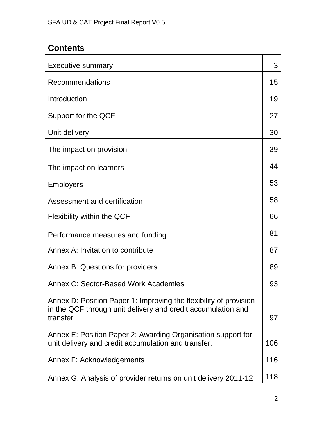# **Contents**

| <b>Executive summary</b>                                                                                            | 3   |
|---------------------------------------------------------------------------------------------------------------------|-----|
| Recommendations                                                                                                     | 15  |
| Introduction                                                                                                        | 19  |
| Support for the QCF                                                                                                 | 27  |
| Unit delivery                                                                                                       | 30  |
| The impact on provision                                                                                             | 39  |
| The impact on learners                                                                                              | 44  |
| <b>Employers</b>                                                                                                    | 53  |
| Assessment and certification                                                                                        | 58  |
| Flexibility within the QCF                                                                                          | 66  |
| Performance measures and funding                                                                                    | 81  |
| Annex A: Invitation to contribute                                                                                   | 87  |
| Annex B: Questions for providers                                                                                    | 89  |
| Annex C: Sector-Based Work Academies                                                                                | 93  |
| Annex D: Position Paper 1: Improving the flexibility of provision                                                   |     |
| in the QCF through unit delivery and credit accumulation and<br>transfer                                            | 97  |
| Annex E: Position Paper 2: Awarding Organisation support for<br>unit delivery and credit accumulation and transfer. | 106 |
| Annex F: Acknowledgements                                                                                           | 116 |
| Annex G: Analysis of provider returns on unit delivery 2011-12                                                      | 118 |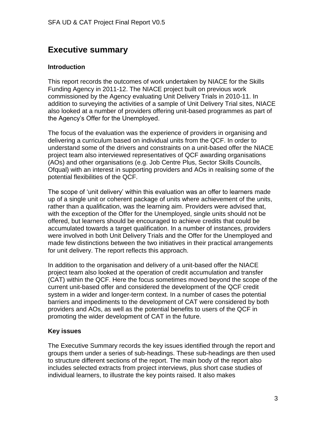# **Executive summary**

# **Introduction**

This report records the outcomes of work undertaken by NIACE for the Skills Funding Agency in 2011-12. The NIACE project built on previous work commissioned by the Agency evaluating Unit Delivery Trials in 2010-11. In addition to surveying the activities of a sample of Unit Delivery Trial sites, NIACE also looked at a number of providers offering unit-based programmes as part of the Agency's Offer for the Unemployed.

The focus of the evaluation was the experience of providers in organising and delivering a curriculum based on individual units from the QCF. In order to understand some of the drivers and constraints on a unit-based offer the NIACE project team also interviewed representatives of QCF awarding organisations (AOs) and other organisations (e.g. Job Centre Plus, Sector Skills Councils, Ofqual) with an interest in supporting providers and AOs in realising some of the potential flexibilities of the QCF.

The scope of 'unit delivery' within this evaluation was an offer to learners made up of a single unit or coherent package of units where achievement of the units, rather than a qualification, was the learning aim. Providers were advised that, with the exception of the Offer for the Unemployed, single units should not be offered, but learners should be encouraged to achieve credits that could be accumulated towards a target qualification. In a number of instances, providers were involved in both Unit Delivery Trials and the Offer for the Unemployed and made few distinctions between the two initiatives in their practical arrangements for unit delivery. The report reflects this approach.

In addition to the organisation and delivery of a unit-based offer the NIACE project team also looked at the operation of credit accumulation and transfer (CAT) within the QCF. Here the focus sometimes moved beyond the scope of the current unit-based offer and considered the development of the QCF credit system in a wider and longer-term context. In a number of cases the potential barriers and impediments to the development of CAT were considered by both providers and AOs, as well as the potential benefits to users of the QCF in promoting the wider development of CAT in the future.

# **Key issues**

The Executive Summary records the key issues identified through the report and groups them under a series of sub-headings. These sub-headings are then used to structure different sections of the report. The main body of the report also includes selected extracts from project interviews, plus short case studies of individual learners, to illustrate the key points raised. It also makes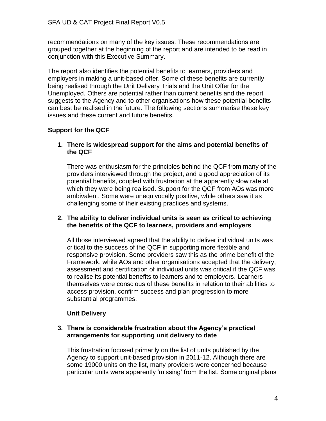recommendations on many of the key issues. These recommendations are grouped together at the beginning of the report and are intended to be read in conjunction with this Executive Summary.

The report also identifies the potential benefits to learners, providers and employers in making a unit-based offer. Some of these benefits are currently being realised through the Unit Delivery Trials and the Unit Offer for the Unemployed. Others are potential rather than current benefits and the report suggests to the Agency and to other organisations how these potential benefits can best be realised in the future. The following sections summarise these key issues and these current and future benefits.

# **Support for the QCF**

**1. There is widespread support for the aims and potential benefits of the QCF**

There was enthusiasm for the principles behind the QCF from many of the providers interviewed through the project, and a good appreciation of its potential benefits, coupled with frustration at the apparently slow rate at which they were being realised. Support for the QCF from AOs was more ambivalent. Some were unequivocally positive, while others saw it as challenging some of their existing practices and systems.

# **2. The ability to deliver individual units is seen as critical to achieving the benefits of the QCF to learners, providers and employers**

All those interviewed agreed that the ability to deliver individual units was critical to the success of the QCF in supporting more flexible and responsive provision. Some providers saw this as the prime benefit of the Framework, while AOs and other organisations accepted that the delivery, assessment and certification of individual units was critical if the QCF was to realise its potential benefits to learners and to employers. Learners themselves were conscious of these benefits in relation to their abilities to access provision, confirm success and plan progression to more substantial programmes.

# **Unit Delivery**

# **3. There is considerable frustration about the Agency's practical arrangements for supporting unit delivery to date**

This frustration focused primarily on the list of units published by the Agency to support unit-based provision in 2011-12. Although there are some 19000 units on the list, many providers were concerned because particular units were apparently 'missing' from the list. Some original plans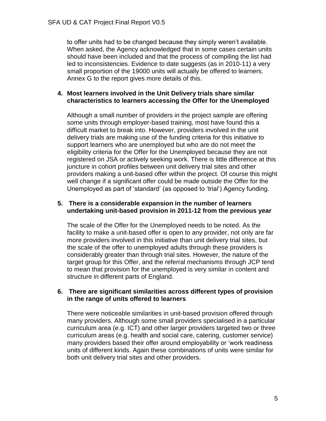to offer units had to be changed because they simply weren't available. When asked, the Agency acknowledged that in some cases certain units should have been included and that the process of compiling the list had led to inconsistencies. Evidence to date suggests (as in 2010-11) a very small proportion of the 19000 units will actually be offered to learners. Annex G to the report gives more details of this.

# **4. Most learners involved in the Unit Delivery trials share similar characteristics to learners accessing the Offer for the Unemployed**

Although a small number of providers in the project sample are offering some units through employer-based training, most have found this a difficult market to break into. However, providers involved in the unit delivery trials are making use of the funding criteria for this initiative to support learners who are unemployed but who are do not meet the eligibility criteria for the Offer for the Unemployed because they are not registered on JSA or actively seeking work. There is little difference at this juncture in cohort profiles between unit delivery trial sites and other providers making a unit-based offer within the project. Of course this might well change if a significant offer could be made outside the Offer for the Unemployed as part of 'standard' (as opposed to 'trial') Agency funding.

# **5. There is a considerable expansion in the number of learners undertaking unit-based provision in 2011-12 from the previous year**

The scale of the Offer for the Unemployed needs to be noted. As the facility to make a unit-based offer is open to any provider, not only are far more providers involved in this initiative than unit delivery trial sites, but the scale of the offer to unemployed adults through these providers is considerably greater than through trial sites. However, the nature of the target group for this Offer, and the referral mechanisms through JCP tend to mean that provision for the unemployed is very similar in content and structure in different parts of England.

# **6. There are significant similarities across different types of provision in the range of units offered to learners**

There were noticeable similarities in unit-based provision offered through many providers. Although some small providers specialised in a particular curriculum area (e.g. ICT) and other larger providers targeted two or three curriculum areas (e.g. health and social care, catering, customer service) many providers based their offer around employability or 'work readiness units of different kinds. Again these combinations of units were similar for both unit delivery trial sites and other providers.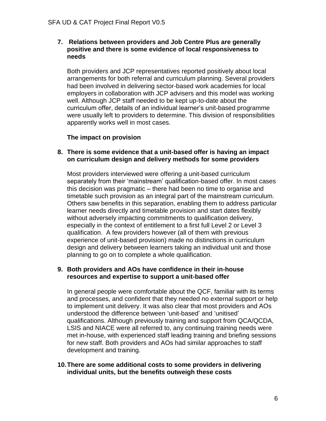#### **7. Relations between providers and Job Centre Plus are generally positive and there is some evidence of local responsiveness to needs**

Both providers and JCP representatives reported positively about local arrangements for both referral and curriculum planning. Several providers had been involved in delivering sector-based work academies for local employers in collaboration with JCP advisers and this model was working well. Although JCP staff needed to be kept up-to-date about the curriculum offer, details of an individual learner's unit-based programme were usually left to providers to determine. This division of responsibilities apparently works well in most cases.

# **The impact on provision**

#### **8. There is some evidence that a unit-based offer is having an impact on curriculum design and delivery methods for some providers**

Most providers interviewed were offering a unit-based curriculum separately from their 'mainstream' qualification-based offer. In most cases this decision was pragmatic – there had been no time to organise and timetable such provision as an integral part of the mainstream curriculum. Others saw benefits in this separation, enabling them to address particular learner needs directly and timetable provision and start dates flexibly without adversely impacting commitments to qualification delivery, especially in the context of entitlement to a first full Level 2 or Level 3 qualification. A few providers however (all of them with previous experience of unit-based provision) made no distinctions in curriculum design and delivery between learners taking an individual unit and those planning to go on to complete a whole qualification.

# **9. Both providers and AOs have confidence in their in-house resources and expertise to support a unit-based offer**

In general people were comfortable about the QCF, familiar with its terms and processes, and confident that they needed no external support or help to implement unit delivery. It was also clear that most providers and AOs understood the difference between 'unit-based' and 'unitised' qualifications. Although previously training and support from QCA/QCDA, LSIS and NIACE were all referred to, any continuing training needs were met in-house, with experienced staff leading training and briefing sessions for new staff. Both providers and AOs had similar approaches to staff development and training.

# **10.There are some additional costs to some providers in delivering individual units, but the benefits outweigh these costs**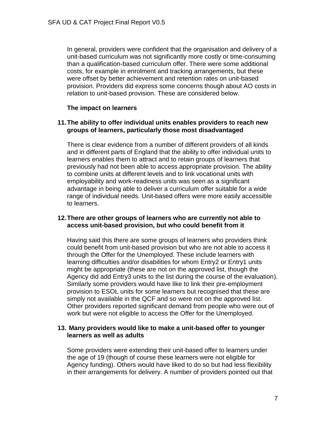In general, providers were confident that the organisation and delivery of a unit-based curriculum was not significantly more costly or time-consuming than a qualification-based curriculum offer. There were some additional costs, for example in enrolment and tracking arrangements, but these were offset by better achievement and retention rates on unit-based provision. Providers did express some concerns though about AO costs in relation to unit-based provision. These are considered below.

# **The impact on learners**

# **11.The ability to offer individual units enables providers to reach new groups of learners, particularly those most disadvantaged**

There is clear evidence from a number of different providers of all kinds and in different parts of England that the ability to offer individual units to learners enables them to attract and to retain groups of learners that previously had not been able to access appropriate provision. The ability to combine units at different levels and to link vocational units with employability and work-readiness units was seen as a significant advantage in being able to deliver a curriculum offer suitable for a wide range of individual needs. Unit-based offers were more easily accessible to learners.

# **12.There are other groups of learners who are currently not able to access unit-based provision, but who could benefit from it**

Having said this there are some groups of learners who providers think could benefit from unit-based provision but who are not able to access it through the Offer for the Unemployed. These include learners with learning difficulties and/or disabilities for whom Entry2 or Entry1 units might be appropriate (these are not on the approved list, though the Agency did add Entry3 units to the list during the course of the evaluation). Similarly some providers would have like to link their pre-employment provision to ESOL units for some learners but recognised that these are simply not available in the QCF and so were not on the approved list. Other providers reported significant demand from people who were out of work but were not eligible to access the Offer for the Unemployed.

# **13. Many providers would like to make a unit-based offer to younger learners as well as adults**

Some providers were extending their unit-based offer to learners under the age of 19 (though of course these learners were not eligible for Agency funding). Others would have liked to do so but had less flexibility in their arrangements for delivery. A number of providers pointed out that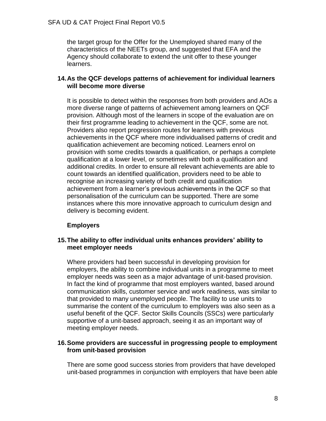the target group for the Offer for the Unemployed shared many of the characteristics of the NEETs group, and suggested that EFA and the Agency should collaborate to extend the unit offer to these younger learners.

# **14.As the QCF develops patterns of achievement for individual learners will become more diverse**

It is possible to detect within the responses from both providers and AOs a more diverse range of patterns of achievement among learners on QCF provision. Although most of the learners in scope of the evaluation are on their first programme leading to achievement in the QCF, some are not. Providers also report progression routes for learners with previous achievements in the QCF where more individualised patterns of credit and qualification achievement are becoming noticed. Learners enrol on provision with some credits towards a qualification, or perhaps a complete qualification at a lower level, or sometimes with both a qualification and additional credits. In order to ensure all relevant achievements are able to count towards an identified qualification, providers need to be able to recognise an increasing variety of both credit and qualification achievement from a learner's previous achievements in the QCF so that personalisation of the curriculum can be supported. There are some instances where this more innovative approach to curriculum design and delivery is becoming evident.

# **Employers**

# **15.The ability to offer individual units enhances providers' ability to meet employer needs**

Where providers had been successful in developing provision for employers, the ability to combine individual units in a programme to meet employer needs was seen as a major advantage of unit-based provision. In fact the kind of programme that most employers wanted, based around communication skills, customer service and work readiness, was similar to that provided to many unemployed people. The facility to use units to summarise the content of the curriculum to employers was also seen as a useful benefit of the QCF. Sector Skills Councils (SSCs) were particularly supportive of a unit-based approach, seeing it as an important way of meeting employer needs.

# **16.Some providers are successful in progressing people to employment from unit-based provision**

There are some good success stories from providers that have developed unit-based programmes in conjunction with employers that have been able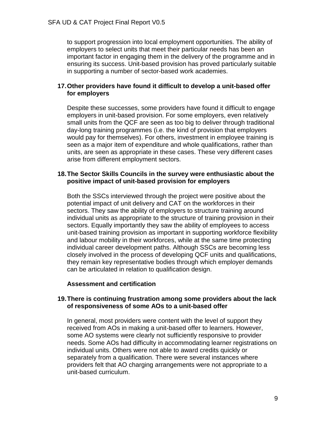to support progression into local employment opportunities. The ability of employers to select units that meet their particular needs has been an important factor in engaging them in the delivery of the programme and in ensuring its success. Unit-based provision has proved particularly suitable in supporting a number of sector-based work academies.

# **17.Other providers have found it difficult to develop a unit-based offer for employers**

Despite these successes, some providers have found it difficult to engage employers in unit-based provision. For some employers, even relatively small units from the QCF are seen as too big to deliver through traditional day-long training programmes (i.e. the kind of provision that employers would pay for themselves). For others, investment in employee training is seen as a major item of expenditure and whole qualifications, rather than units, are seen as appropriate in these cases. These very different cases arise from different employment sectors.

#### **18.The Sector Skills Councils in the survey were enthusiastic about the positive impact of unit-based provision for employers**

Both the SSCs interviewed through the project were positive about the potential impact of unit delivery and CAT on the workforces in their sectors. They saw the ability of employers to structure training around individual units as appropriate to the structure of training provision in their sectors. Equally importantly they saw the ability of employees to access unit-based training provision as important in supporting workforce flexibility and labour mobility in their workforces, while at the same time protecting individual career development paths. Although SSCs are becoming less closely involved in the process of developing QCF units and qualifications, they remain key representative bodies through which employer demands can be articulated in relation to qualification design.

#### **Assessment and certification**

#### **19.There is continuing frustration among some providers about the lack of responsiveness of some AOs to a unit-based offer**

In general, most providers were content with the level of support they received from AOs in making a unit-based offer to learners. However, some AO systems were clearly not sufficiently responsive to provider needs. Some AOs had difficulty in accommodating learner registrations on individual units. Others were not able to award credits quickly or separately from a qualification. There were several instances where providers felt that AO charging arrangements were not appropriate to a unit-based curriculum.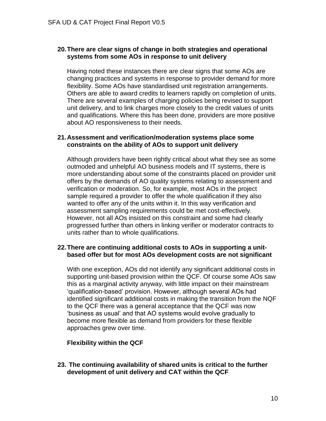# **20.There are clear signs of change in both strategies and operational systems from some AOs in response to unit delivery**

Having noted these instances there are clear signs that some AOs are changing practices and systems in response to provider demand for more flexibility. Some AOs have standardised unit registration arrangements. Others are able to award credits to learners rapidly on completion of units. There are several examples of charging policies being revised to support unit delivery, and to link charges more closely to the credit values of units and qualifications. Where this has been done, providers are more positive about AO responsiveness to their needs.

#### **21.Assessment and verification/moderation systems place some constraints on the ability of AOs to support unit delivery**

Although providers have been rightly critical about what they see as some outmoded and unhelpful AO business models and IT systems, there is more understanding about some of the constraints placed on provider unit offers by the demands of AO quality systems relating to assessment and verification or moderation. So, for example, most AOs in the project sample required a provider to offer the whole qualification if they also wanted to offer any of the units within it. In this way verification and assessment sampling requirements could be met cost-effectively. However, not all AOs insisted on this constraint and some had clearly progressed further than others in linking verifier or moderator contracts to units rather than to whole qualifications.

# **22.There are continuing additional costs to AOs in supporting a unitbased offer but for most AOs development costs are not significant**

With one exception, AOs did not identify any significant additional costs in supporting unit-based provision within the QCF. Of course some AOs saw this as a marginal activity anyway, with little impact on their mainstream 'qualification-based' provision. However, although several AOs had identified significant additional costs in making the transition from the NQF to the QCF there was a general acceptance that the QCF was now 'business as usual' and that AO systems would evolve gradually to become more flexible as demand from providers for these flexible approaches grew over time.

# **Flexibility within the QCF**

**23. The continuing availability of shared units is critical to the further development of unit delivery and CAT within the QCF**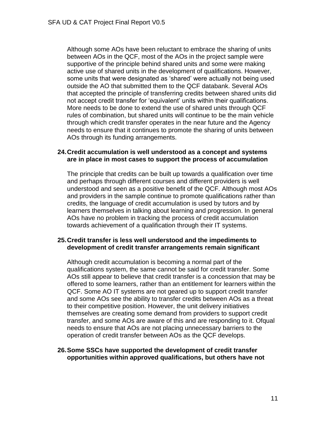Although some AOs have been reluctant to embrace the sharing of units between AOs in the QCF, most of the AOs in the project sample were supportive of the principle behind shared units and some were making active use of shared units in the development of qualifications. However, some units that were designated as 'shared' were actually not being used outside the AO that submitted them to the QCF databank. Several AOs that accepted the principle of transferring credits between shared units did not accept credit transfer for 'equivalent' units within their qualifications. More needs to be done to extend the use of shared units through QCF rules of combination, but shared units will continue to be the main vehicle through which credit transfer operates in the near future and the Agency needs to ensure that it continues to promote the sharing of units between AOs through its funding arrangements.

#### **24.Credit accumulation is well understood as a concept and systems are in place in most cases to support the process of accumulation**

The principle that credits can be built up towards a qualification over time and perhaps through different courses and different providers is well understood and seen as a positive benefit of the QCF. Although most AOs and providers in the sample continue to promote qualifications rather than credits, the language of credit accumulation is used by tutors and by learners themselves in talking about learning and progression. In general AOs have no problem in tracking the process of credit accumulation towards achievement of a qualification through their IT systems.

#### **25.Credit transfer is less well understood and the impediments to development of credit transfer arrangements remain significant**

Although credit accumulation is becoming a normal part of the qualifications system, the same cannot be said for credit transfer. Some AOs still appear to believe that credit transfer is a concession that may be offered to some learners, rather than an entitlement for learners within the QCF. Some AO IT systems are not geared up to support credit transfer and some AOs see the ability to transfer credits between AOs as a threat to their competitive position. However, the unit delivery initiatives themselves are creating some demand from providers to support credit transfer, and some AOs are aware of this and are responding to it. Ofqual needs to ensure that AOs are not placing unnecessary barriers to the operation of credit transfer between AOs as the QCF develops.

#### **26.Some SSCs have supported the development of credit transfer opportunities within approved qualifications, but others have not**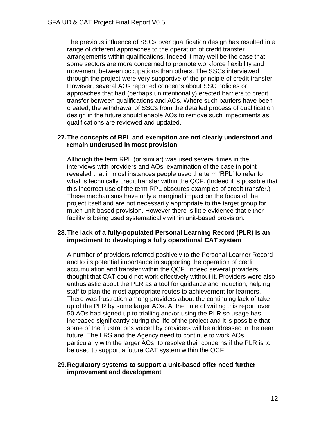The previous influence of SSCs over qualification design has resulted in a range of different approaches to the operation of credit transfer arrangements within qualifications. Indeed it may well be the case that some sectors are more concerned to promote workforce flexibility and movement between occupations than others. The SSCs interviewed through the project were very supportive of the principle of credit transfer. However, several AOs reported concerns about SSC policies or approaches that had (perhaps unintentionally) erected barriers to credit transfer between qualifications and AOs. Where such barriers have been created, the withdrawal of SSCs from the detailed process of qualification design in the future should enable AOs to remove such impediments as qualifications are reviewed and updated.

#### **27.The concepts of RPL and exemption are not clearly understood and remain underused in most provision**

Although the term RPL (or similar) was used several times in the interviews with providers and AOs, examination of the case in point revealed that in most instances people used the term 'RPL' to refer to what is technically credit transfer within the QCF. (Indeed it is possible that this incorrect use of the term RPL obscures examples of credit transfer.) These mechanisms have only a marginal impact on the focus of the project itself and are not necessarily appropriate to the target group for much unit-based provision. However there is little evidence that either facility is being used systematically within unit-based provision.

#### **28.The lack of a fully-populated Personal Learning Record (PLR) is an impediment to developing a fully operational CAT system**

A number of providers referred positively to the Personal Learner Record and to its potential importance in supporting the operation of credit accumulation and transfer within the QCF. Indeed several providers thought that CAT could not work effectively without it. Providers were also enthusiastic about the PLR as a tool for guidance and induction, helping staff to plan the most appropriate routes to achievement for learners. There was frustration among providers about the continuing lack of takeup of the PLR by some larger AOs. At the time of writing this report over 50 AOs had signed up to trialling and/or using the PLR so usage has increased significantly during the life of the project and it is possible that some of the frustrations voiced by providers will be addressed in the near future. The LRS and the Agency need to continue to work AOs, particularly with the larger AOs, to resolve their concerns if the PLR is to be used to support a future CAT system within the QCF.

#### **29.Regulatory systems to support a unit-based offer need further improvement and development**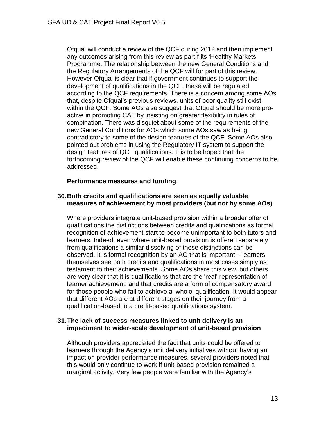Ofqual will conduct a review of the QCF during 2012 and then implement any outcomes arising from this review as part f its 'Healthy Markets Programme. The relationship between the new General Conditions and the Regulatory Arrangements of the QCF will for part of this review. However Ofqual is clear that if government continues to support the development of qualifications in the QCF, these will be regulated according to the QCF requirements. There is a concern among some AOs that, despite Ofqual's previous reviews, units of poor quality still exist within the QCF. Some AOs also suggest that Ofqual should be more proactive in promoting CAT by insisting on greater flexibility in rules of combination. There was disquiet about some of the requirements of the new General Conditions for AOs which some AOs saw as being contradictory to some of the design features of the QCF. Some AOs also pointed out problems in using the Regulatory IT system to support the design features of QCF qualifications. It is to be hoped that the forthcoming review of the QCF will enable these continuing concerns to be addressed.

# **Performance measures and funding**

# **30.Both credits and qualifications are seen as equally valuable measures of achievement by most providers (but not by some AOs)**

Where providers integrate unit-based provision within a broader offer of qualifications the distinctions between credits and qualifications as formal recognition of achievement start to become unimportant to both tutors and learners. Indeed, even where unit-based provision is offered separately from qualifications a similar dissolving of these distinctions can be observed. It is formal recognition by an AO that is important – learners themselves see both credits and qualifications in most cases simply as testament to their achievements. Some AOs share this view, but others are very clear that it is qualifications that are the 'real' representation of learner achievement, and that credits are a form of compensatory award for those people who fail to achieve a 'whole' qualification. It would appear that different AOs are at different stages on their journey from a qualification-based to a credit-based qualifications system.

# **31.The lack of success measures linked to unit delivery is an impediment to wider-scale development of unit-based provision**

Although providers appreciated the fact that units could be offered to learners through the Agency's unit delivery initiatives without having an impact on provider performance measures, several providers noted that this would only continue to work if unit-based provision remained a marginal activity. Very few people were familiar with the Agency's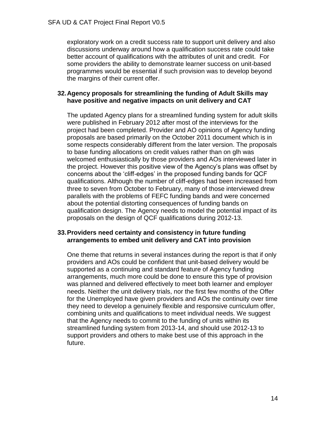exploratory work on a credit success rate to support unit delivery and also discussions underway around how a qualification success rate could take better account of qualifications with the attributes of unit and credit. For some providers the ability to demonstrate learner success on unit-based programmes would be essential if such provision was to develop beyond the margins of their current offer.

#### **32.Agency proposals for streamlining the funding of Adult Skills may have positive and negative impacts on unit delivery and CAT**

The updated Agency plans for a streamlined funding system for adult skills were published in February 2012 after most of the interviews for the project had been completed. Provider and AO opinions of Agency funding proposals are based primarily on the October 2011 document which is in some respects considerably different from the later version. The proposals to base funding allocations on credit values rather than on glh was welcomed enthusiastically by those providers and AOs interviewed later in the project. However this positive view of the Agency's plans was offset by concerns about the 'cliff-edges' in the proposed funding bands for QCF qualifications. Although the number of cliff-edges had been increased from three to seven from October to February, many of those interviewed drew parallels with the problems of FEFC funding bands and were concerned about the potential distorting consequences of funding bands on qualification design. The Agency needs to model the potential impact of its proposals on the design of QCF qualifications during 2012-13.

# **33.Providers need certainty and consistency in future funding arrangements to embed unit delivery and CAT into provision**

One theme that returns in several instances during the report is that if only providers and AOs could be confident that unit-based delivery would be supported as a continuing and standard feature of Agency funding arrangements, much more could be done to ensure this type of provision was planned and delivered effectively to meet both learner and employer needs. Neither the unit delivery trials, nor the first few months of the Offer for the Unemployed have given providers and AOs the continuity over time they need to develop a genuinely flexible and responsive curriculum offer, combining units and qualifications to meet individual needs. We suggest that the Agency needs to commit to the funding of units within its streamlined funding system from 2013-14, and should use 2012-13 to support providers and others to make best use of this approach in the future.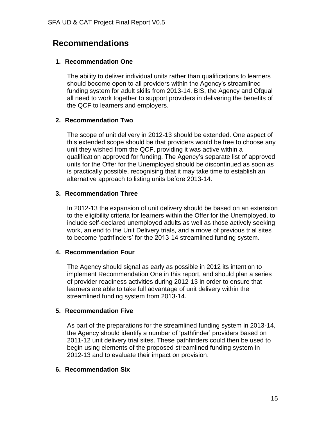# **Recommendations**

# **1. Recommendation One**

The ability to deliver individual units rather than qualifications to learners should become open to all providers within the Agency's streamlined funding system for adult skills from 2013-14. BIS, the Agency and Ofqual all need to work together to support providers in delivering the benefits of the QCF to learners and employers.

# **2. Recommendation Two**

The scope of unit delivery in 2012-13 should be extended. One aspect of this extended scope should be that providers would be free to choose any unit they wished from the QCF, providing it was active within a qualification approved for funding. The Agency's separate list of approved units for the Offer for the Unemployed should be discontinued as soon as is practically possible, recognising that it may take time to establish an alternative approach to listing units before 2013-14.

# **3. Recommendation Three**

In 2012-13 the expansion of unit delivery should be based on an extension to the eligibility criteria for learners within the Offer for the Unemployed, to include self-declared unemployed adults as well as those actively seeking work, an end to the Unit Delivery trials, and a move of previous trial sites to become 'pathfinders' for the 2013-14 streamlined funding system.

# **4. Recommendation Four**

The Agency should signal as early as possible in 2012 its intention to implement Recommendation One in this report, and should plan a series of provider readiness activities during 2012-13 in order to ensure that learners are able to take full advantage of unit delivery within the streamlined funding system from 2013-14.

# **5. Recommendation Five**

As part of the preparations for the streamlined funding system in 2013-14, the Agency should identify a number of 'pathfinder' providers based on 2011-12 unit delivery trial sites. These pathfinders could then be used to begin using elements of the proposed streamlined funding system in 2012-13 and to evaluate their impact on provision.

# **6. Recommendation Six**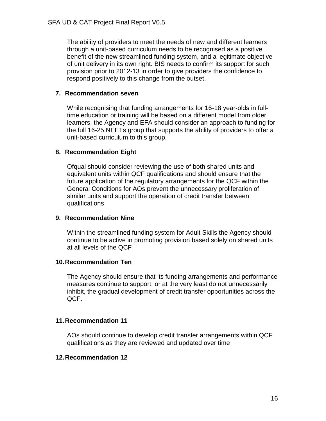The ability of providers to meet the needs of new and different learners through a unit-based curriculum needs to be recognised as a positive benefit of the new streamlined funding system, and a legitimate objective of unit delivery in its own right. BIS needs to confirm its support for such provision prior to 2012-13 in order to give providers the confidence to respond positively to this change from the outset.

# **7. Recommendation seven**

While recognising that funding arrangements for 16-18 year-olds in fulltime education or training will be based on a different model from older learners, the Agency and EFA should consider an approach to funding for the full 16-25 NEETs group that supports the ability of providers to offer a unit-based curriculum to this group.

# **8. Recommendation Eight**

Ofqual should consider reviewing the use of both shared units and equivalent units within QCF qualifications and should ensure that the future application of the regulatory arrangements for the QCF within the General Conditions for AOs prevent the unnecessary proliferation of similar units and support the operation of credit transfer between qualifications

# **9. Recommendation Nine**

Within the streamlined funding system for Adult Skills the Agency should continue to be active in promoting provision based solely on shared units at all levels of the QCF

# **10.Recommendation Ten**

The Agency should ensure that its funding arrangements and performance measures continue to support, or at the very least do not unnecessarily inhibit, the gradual development of credit transfer opportunities across the QCF.

# **11.Recommendation 11**

AOs should continue to develop credit transfer arrangements within QCF qualifications as they are reviewed and updated over time

# **12.Recommendation 12**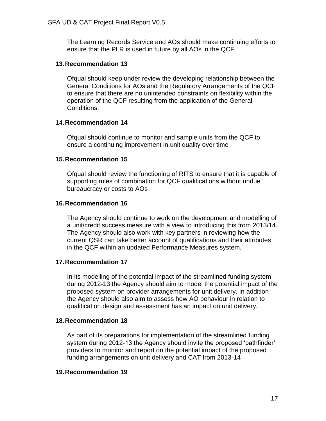The Learning Records Service and AOs should make continuing efforts to ensure that the PLR is used in future by all AOs in the QCF.

# **13.Recommendation 13**

Ofqual should keep under review the developing relationship between the General Conditions for AOs and the Regulatory Arrangements of the QCF to ensure that there are no unintended constraints on flexibility within the operation of the QCF resulting from the application of the General Conditions.

# 14.**Recommendation 14**

Ofqual should continue to monitor and sample units from the QCF to ensure a continuing improvement in unit quality over time

# **15.Recommendation 15**

Ofqual should review the functioning of RITS to ensure that it is capable of supporting rules of combination for QCF qualifications without undue bureaucracy or costs to AOs

# **16.Recommendation 16**

The Agency should continue to work on the development and modelling of a unit/credit success measure with a view to introducing this from 2013/14. The Agency should also work with key partners in reviewing how the current QSR can take better account of qualifications and their attributes in the QCF within an updated Performance Measures system.

# **17.Recommendation 17**

In its modelling of the potential impact of the streamlined funding system during 2012-13 the Agency should aim to model the potential impact of the proposed system on provider arrangements for unit delivery. In addition the Agency should also aim to assess how AO behaviour in relation to qualification design and assessment has an impact on unit delivery.

# **18.Recommendation 18**

As part of its preparations for implementation of the streamlined funding system during 2012-13 the Agency should invite the proposed 'pathfinder' providers to monitor and report on the potential impact of the proposed funding arrangements on unit delivery and CAT from 2013-14

# **19.Recommendation 19**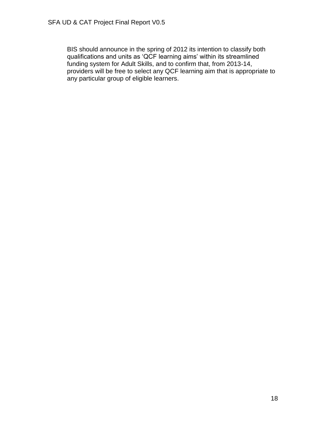BIS should announce in the spring of 2012 its intention to classify both qualifications and units as 'QCF learning aims' within its streamlined funding system for Adult Skills, and to confirm that, from 2013-14, providers will be free to select any QCF learning aim that is appropriate to any particular group of eligible learners.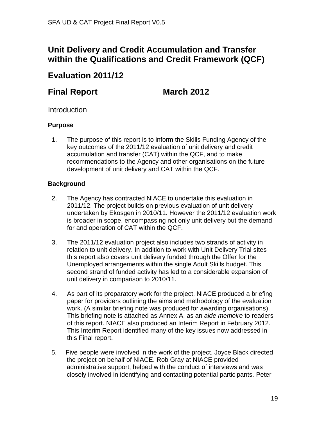# **Unit Delivery and Credit Accumulation and Transfer within the Qualifications and Credit Framework (QCF)**

# **Evaluation 2011/12**

# **Final Report March 2012**

# **Introduction**

# **Purpose**

1. The purpose of this report is to inform the Skills Funding Agency of the key outcomes of the 2011/12 evaluation of unit delivery and credit accumulation and transfer (CAT) within the QCF, and to make recommendations to the Agency and other organisations on the future development of unit delivery and CAT within the QCF.

# **Background**

- 2. The Agency has contracted NIACE to undertake this evaluation in 2011/12. The project builds on previous evaluation of unit delivery undertaken by Ekosgen in 2010/11. However the 2011/12 evaluation work is broader in scope, encompassing not only unit delivery but the demand for and operation of CAT within the QCF.
- 3. The 2011/12 evaluation project also includes two strands of activity in relation to unit delivery. In addition to work with Unit Delivery Trial sites this report also covers unit delivery funded through the Offer for the Unemployed arrangements within the single Adult Skills budget. This second strand of funded activity has led to a considerable expansion of unit delivery in comparison to 2010/11.
- 4. As part of its preparatory work for the project, NIACE produced a briefing paper for providers outlining the aims and methodology of the evaluation work. (A similar briefing note was produced for awarding organisations). This briefing note is attached as Annex A, as an *aide memoire* to readers of this report. NIACE also produced an Interim Report in February 2012. This Interim Report identified many of the key issues now addressed in this Final report.
- 5. Five people were involved in the work of the project. Joyce Black directed the project on behalf of NIACE. Rob Gray at NIACE provided administrative support, helped with the conduct of interviews and was closely involved in identifying and contacting potential participants. Peter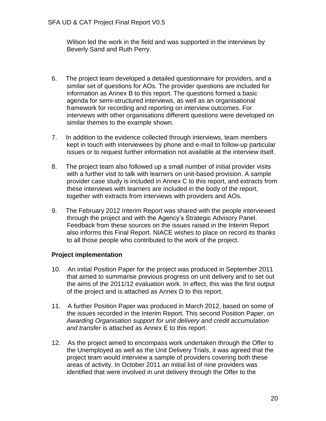Wilson led the work in the field and was supported in the interviews by Beverly Sand and Ruth Perry.

- 6. The project team developed a detailed questionnaire for providers, and a similar set of questions for AOs. The provider questions are included for information as Annex B to this report. The questions formed a basic agenda for semi-structured interviews, as well as an organisational framework for recording and reporting on interview outcomes. For interviews with other organisations different questions were developed on similar themes to the example shown.
- 7. In addition to the evidence collected through interviews, team members kept in touch with interviewees by phone and e-mail to follow-up particular issues or to request further information not available at the interview itself.
- 8. The project team also followed up a small number of initial provider visits with a further visit to talk with learners on unit-based provision. A sample provider case study is included in Annex C to this report, and extracts from these interviews with learners are included in the body of the report, together with extracts from interviews with providers and AOs.
- 9. The February 2012 Interim Report was shared with the people interviewed through the project and with the Agency's Strategic Advisory Panel. Feedback from these sources on the issues raised in the Interim Report also informs this Final Report. NIACE wishes to place on record its thanks to all those people who contributed to the work of the project.

# **Project implementation**

- 10. An initial Position Paper for the project was produced in September 2011 that aimed to summarise previous progress on unit delivery and to set out the aims of the 2011/12 evaluation work. In effect, this was the first output of the project and is attached as Annex D to this report.
- 11. A further Position Paper was produced in March 2012, based on some of the issues recorded in the Interim Report. This second Position Paper, on *Awarding Organisation support for unit delivery and credit accumulation and transfer* is attached as Annex E to this report.
- 12. As the project aimed to encompass work undertaken through the Offer to the Unemployed as well as the Unit Delivery Trials, it was agreed that the project team would interview a sample of providers covering both these areas of activity. In October 2011 an initial list of nine providers was identified that were involved in unit delivery through the Offer to the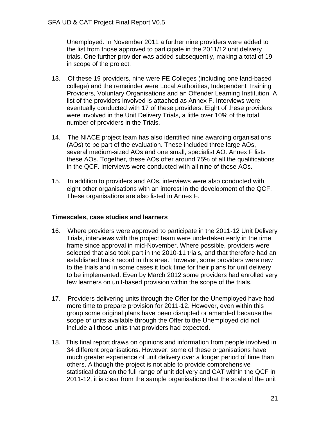Unemployed. In November 2011 a further nine providers were added to the list from those approved to participate in the 2011/12 unit delivery trials. One further provider was added subsequently, making a total of 19 in scope of the project.

- 13. Of these 19 providers, nine were FE Colleges (including one land-based college) and the remainder were Local Authorities, Independent Training Providers, Voluntary Organisations and an Offender Learning Institution. A list of the providers involved is attached as Annex F. Interviews were eventually conducted with 17 of these providers. Eight of these providers were involved in the Unit Delivery Trials, a little over 10% of the total number of providers in the Trials.
- 14. The NIACE project team has also identified nine awarding organisations (AOs) to be part of the evaluation. These included three large AOs, several medium-sized AOs and one small, specialist AO. Annex F lists these AOs. Together, these AOs offer around 75% of all the qualifications in the QCF. Interviews were conducted with all nine of these AOs.
- 15. In addition to providers and AOs, interviews were also conducted with eight other organisations with an interest in the development of the QCF. These organisations are also listed in Annex F.

# **Timescales, case studies and learners**

- 16. Where providers were approved to participate in the 2011-12 Unit Delivery Trials, interviews with the project team were undertaken early in the time frame since approval in mid-November. Where possible, providers were selected that also took part in the 2010-11 trials, and that therefore had an established track record in this area. However, some providers were new to the trials and in some cases it took time for their plans for unit delivery to be implemented. Even by March 2012 some providers had enrolled very few learners on unit-based provision within the scope of the trials.
- 17. Providers delivering units through the Offer for the Unemployed have had more time to prepare provision for 2011-12. However, even within this group some original plans have been disrupted or amended because the scope of units available through the Offer to the Unemployed did not include all those units that providers had expected.
- 18. This final report draws on opinions and information from people involved in 34 different organisations. However, some of these organisations have much greater experience of unit delivery over a longer period of time than others. Although the project is not able to provide comprehensive statistical data on the full range of unit delivery and CAT within the QCF in 2011-12, it is clear from the sample organisations that the scale of the unit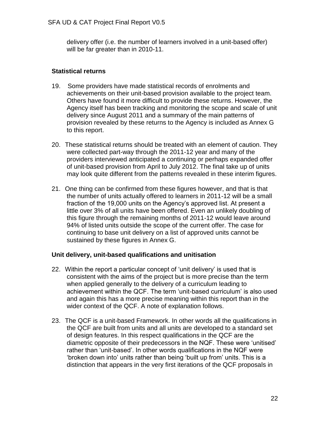delivery offer (i.e. the number of learners involved in a unit-based offer) will be far greater than in 2010-11.

# **Statistical returns**

- 19. Some providers have made statistical records of enrolments and achievements on their unit-based provision available to the project team. Others have found it more difficult to provide these returns. However, the Agency itself has been tracking and monitoring the scope and scale of unit delivery since August 2011 and a summary of the main patterns of provision revealed by these returns to the Agency is included as Annex G to this report.
- 20. These statistical returns should be treated with an element of caution. They were collected part-way through the 2011-12 year and many of the providers interviewed anticipated a continuing or perhaps expanded offer of unit-based provision from April to July 2012. The final take up of units may look quite different from the patterns revealed in these interim figures.
- 21. One thing can be confirmed from these figures however, and that is that the number of units actually offered to learners in 2011-12 will be a small fraction of the 19,000 units on the Agency's approved list. At present a little over 3% of all units have been offered. Even an unlikely doubling of this figure through the remaining months of 2011-12 would leave around 94% of listed units outside the scope of the current offer. The case for continuing to base unit delivery on a list of approved units cannot be sustained by these figures in Annex G.

# **Unit delivery, unit-based qualifications and unitisation**

- 22. Within the report a particular concept of 'unit delivery' is used that is consistent with the aims of the project but is more precise than the term when applied generally to the delivery of a curriculum leading to achievement within the QCF. The term 'unit-based curriculum' is also used and again this has a more precise meaning within this report than in the wider context of the QCF. A note of explanation follows.
- 23. The QCF is a unit-based Framework. In other words all the qualifications in the QCF are built from units and all units are developed to a standard set of design features. In this respect qualifications in the QCF are the diametric opposite of their predecessors in the NQF. These were 'unitised' rather than 'unit-based'. In other words qualifications in the NQF were 'broken down into' units rather than being 'built up from' units. This is a distinction that appears in the very first iterations of the QCF proposals in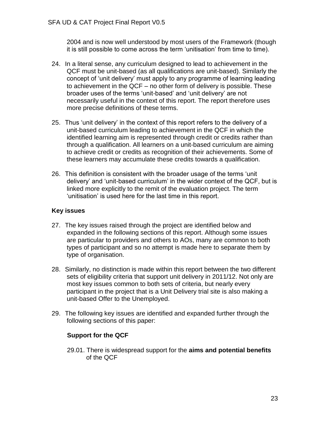2004 and is now well understood by most users of the Framework (though it is still possible to come across the term 'unitisation' from time to time).

- 24. In a literal sense, any curriculum designed to lead to achievement in the QCF must be unit-based (as all qualifications are unit-based). Similarly the concept of 'unit delivery' must apply to any programme of learning leading to achievement in the QCF – no other form of delivery is possible. These broader uses of the terms 'unit-based' and 'unit delivery' are not necessarily useful in the context of this report. The report therefore uses more precise definitions of these terms.
- 25. Thus 'unit delivery' in the context of this report refers to the delivery of a unit-based curriculum leading to achievement in the QCF in which the identified learning aim is represented through credit or credits rather than through a qualification. All learners on a unit-based curriculum are aiming to achieve credit or credits as recognition of their achievements. Some of these learners may accumulate these credits towards a qualification.
- 26. This definition is consistent with the broader usage of the terms 'unit delivery' and 'unit-based curriculum' in the wider context of the QCF, but is linked more explicitly to the remit of the evaluation project. The term 'unitisation' is used here for the last time in this report.

# **Key issues**

- 27. The key issues raised through the project are identified below and expanded in the following sections of this report. Although some issues are particular to providers and others to AOs, many are common to both types of participant and so no attempt is made here to separate them by type of organisation.
- 28. Similarly, no distinction is made within this report between the two different sets of eligibility criteria that support unit delivery in 2011/12. Not only are most key issues common to both sets of criteria, but nearly every participant in the project that is a Unit Delivery trial site is also making a unit-based Offer to the Unemployed.
- 29. The following key issues are identified and expanded further through the following sections of this paper:

# **Support for the QCF**

29.01. There is widespread support for the **aims and potential benefits** of the QCF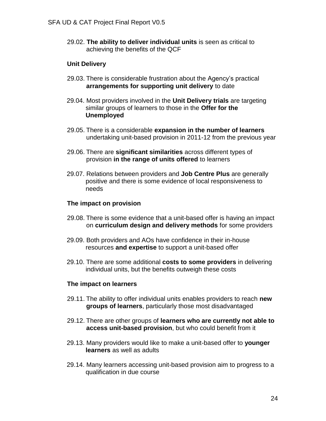29.02. **The ability to deliver individual units** is seen as critical to achieving the benefits of the QCF

#### **Unit Delivery**

- 29.03. There is considerable frustration about the Agency's practical **arrangements for supporting unit delivery** to date
- 29.04. Most providers involved in the **Unit Delivery trials** are targeting similar groups of learners to those in the **Offer for the Unemployed**
- 29.05. There is a considerable **expansion in the number of learners** undertaking unit-based provision in 2011-12 from the previous year
- 29.06. There are **significant similarities** across different types of provision **in the range of units offered** to learners
- 29.07. Relations between providers and **Job Centre Plus** are generally positive and there is some evidence of local responsiveness to needs

#### **The impact on provision**

- 29.08. There is some evidence that a unit-based offer is having an impact on **curriculum design and delivery methods** for some providers
- 29.09. Both providers and AOs have confidence in their in-house resources **and expertise** to support a unit-based offer
- 29.10. There are some additional **costs to some providers** in delivering individual units, but the benefits outweigh these costs

#### **The impact on learners**

- 29.11. The ability to offer individual units enables providers to reach **new groups of learners**, particularly those most disadvantaged
- 29.12. There are other groups of **learners who are currently not able to access unit-based provision**, but who could benefit from it
- 29.13. Many providers would like to make a unit-based offer to **younger learners** as well as adults
- 29.14. Many learners accessing unit-based provision aim to progress to a qualification in due course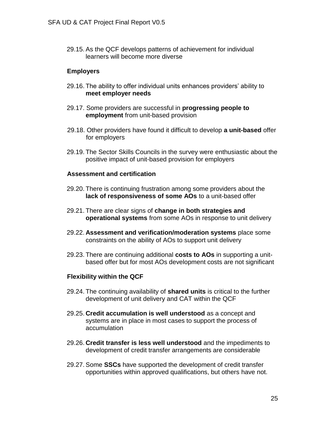29.15. As the QCF develops patterns of achievement for individual learners will become more diverse

#### **Employers**

- 29.16. The ability to offer individual units enhances providers' ability to **meet employer needs**
- 29.17. Some providers are successful in **progressing people to employment** from unit-based provision
- 29.18. Other providers have found it difficult to develop **a unit-based** offer for employers
- 29.19. The Sector Skills Councils in the survey were enthusiastic about the positive impact of unit-based provision for employers

#### **Assessment and certification**

- 29.20. There is continuing frustration among some providers about the **lack of responsiveness of some AOs** to a unit-based offer
- 29.21. There are clear signs of **change in both strategies and operational systems** from some AOs in response to unit delivery
- 29.22. **Assessment and verification/moderation systems** place some constraints on the ability of AOs to support unit delivery
- 29.23. There are continuing additional **costs to AOs** in supporting a unitbased offer but for most AOs development costs are not significant

#### **Flexibility within the QCF**

- 29.24. The continuing availability of **shared units** is critical to the further development of unit delivery and CAT within the QCF
- 29.25. **Credit accumulation is well understood** as a concept and systems are in place in most cases to support the process of accumulation
- 29.26. **Credit transfer is less well understood** and the impediments to development of credit transfer arrangements are considerable
- 29.27. Some **SSCs** have supported the development of credit transfer opportunities within approved qualifications, but others have not.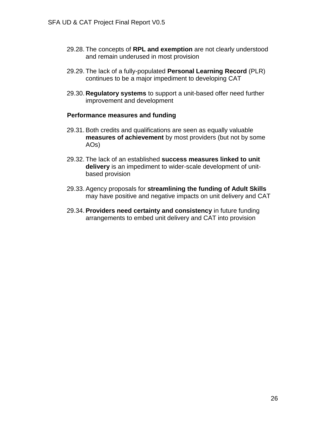- 29.28. The concepts of **RPL and exemption** are not clearly understood and remain underused in most provision
- 29.29. The lack of a fully-populated **Personal Learning Record** (PLR) continues to be a major impediment to developing CAT
- 29.30. **Regulatory systems** to support a unit-based offer need further improvement and development

#### **Performance measures and funding**

- 29.31. Both credits and qualifications are seen as equally valuable **measures of achievement** by most providers (but not by some AOs)
- 29.32. The lack of an established **success measures linked to unit delivery** is an impediment to wider-scale development of unitbased provision
- 29.33. Agency proposals for **streamlining the funding of Adult Skills** may have positive and negative impacts on unit delivery and CAT
- 29.34. **Providers need certainty and consistency** in future funding arrangements to embed unit delivery and CAT into provision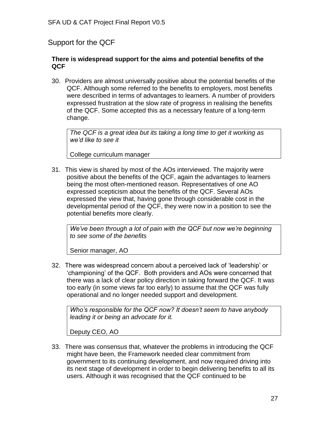# Support for the QCF

#### **There is widespread support for the aims and potential benefits of the QCF**

30. Providers are almost universally positive about the potential benefits of the QCF. Although some referred to the benefits to employers, most benefits were described in terms of advantages to learners. A number of providers expressed frustration at the slow rate of progress in realising the benefits of the QCF. Some accepted this as a necessary feature of a long-term change.

*The QCF is a great idea but its taking a long time to get it working as we'd like to see it*

College curriculum manager

31. This view is shared by most of the AOs interviewed. The majority were positive about the benefits of the QCF, again the advantages to learners being the most often-mentioned reason. Representatives of one AO expressed scepticism about the benefits of the QCF. Several AOs expressed the view that, having gone through considerable cost in the developmental period of the QCF, they were now in a position to see the potential benefits more clearly.

*We've been through a lot of pain with the QCF but now we're beginning to see some of the benefits*

Senior manager, AO

32. There was widespread concern about a perceived lack of 'leadership' or 'championing' of the QCF. Both providers and AOs were concerned that there was a lack of clear policy direction in taking forward the QCF. It was too early (in some views far too early) to assume that the QCF was fully operational and no longer needed support and development.

*Who's responsible for the QCF now? It doesn't seem to have anybody leading it or being an advocate for it.*

Deputy CEO, AO

33. There was consensus that, whatever the problems in introducing the QCF might have been, the Framework needed clear commitment from government to its continuing development, and now required driving into its next stage of development in order to begin delivering benefits to all its users. Although it was recognised that the QCF continued to be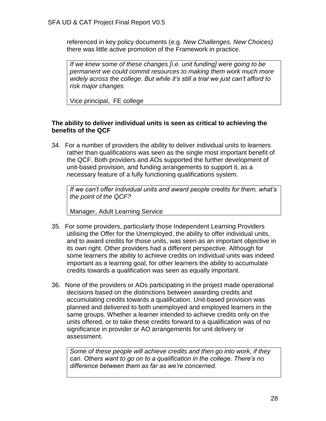referenced in key policy documents (e.g. *New Challenges, New Choices)* there was little active promotion of the Framework in practice.

*If we knew some of these changes [i.e. unit funding] were going to be permanent we could commit resources to making them work much more widely across the college. But while it's still a trial we just can't afford to risk major changes*

Vice principal, FE college

# **The ability to deliver individual units is seen as critical to achieving the benefits of the QCF**

34. For a number of providers the ability to deliver individual units to learners rather than qualifications was seen as the single most important benefit of the QCF. Both providers and AOs supported the further development of unit-based provision, and funding arrangements to support it, as a necessary feature of a fully functioning qualifications system.

*If we can't offer individual units and award people credits for them, what's the point of the QCF?*

Manager, Adult Learning Service

- 35. For some providers, particularly those Independent Learning Providers utilising the Offer for the Unemployed, the ability to offer individual units, and to award credits for those units, was seen as an important objective in its own right. Other providers had a different perspective. Although for some learners the ability to achieve credits on individual units was indeed important as a learning goal, for other learners the ability to accumulate credits towards a qualification was seen as equally important.
- 36. None of the providers or AOs participating in the project made operational decisions based on the distinctions between awarding credits and accumulating credits towards a qualification. Unit-based provision was planned and delivered to both unemployed and employed learners in the same groups. Whether a learner intended to achieve credits only on the units offered, or to take these credits forward to a qualification was of no significance in provider or AO arrangements for unit delivery or assessment.

*Some of these people will achieve credits and then go into work, if they can. Others want to go on to a qualification in the college. There's no difference between them as far as we're concerned.*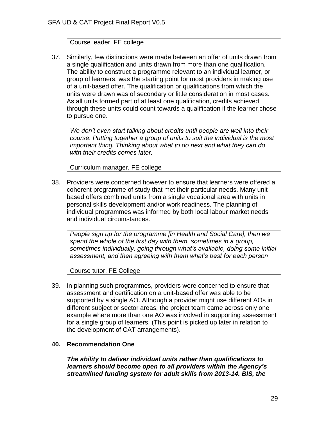# Course leader, FE college

37. Similarly, few distinctions were made between an offer of units drawn from a single qualification and units drawn from more than one qualification. The ability to construct a programme relevant to an individual learner, or group of learners, was the starting point for most providers in making use of a unit-based offer. The qualification or qualifications from which the units were drawn was of secondary or little consideration in most cases. As all units formed part of at least one qualification, credits achieved through these units could count towards a qualification if the learner chose to pursue one.

*We don't even start talking about credits until people are well into their course. Putting together a group of units to suit the individual is the most important thing. Thinking about what to do next and what they can do with their credits comes later.*

Curriculum manager, FE college

38. Providers were concerned however to ensure that learners were offered a coherent programme of study that met their particular needs. Many unitbased offers combined units from a single vocational area with units in personal skills development and/or work readiness. The planning of individual programmes was informed by both local labour market needs and individual circumstances.

*People sign up for the programme [in Health and Social Care], then we spend the whole of the first day with them, sometimes in a group, sometimes individually, going through what's available, doing some initial assessment, and then agreeing with them what's best for each person*

Course tutor, FE College

39. In planning such programmes, providers were concerned to ensure that assessment and certification on a unit-based offer was able to be supported by a single AO. Although a provider might use different AOs in different subject or sector areas, the project team came across only one example where more than one AO was involved in supporting assessment for a single group of learners. (This point is picked up later in relation to the development of CAT arrangements).

# **40. Recommendation One**

*The ability to deliver individual units rather than qualifications to learners should become open to all providers within the Agency's streamlined funding system for adult skills from 2013-14. BIS, the*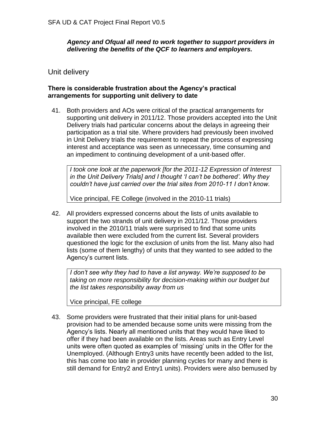*Agency and Ofqual all need to work together to support providers in delivering the benefits of the QCF to learners and employers.*

# Unit delivery

# **There is considerable frustration about the Agency's practical arrangements for supporting unit delivery to date**

41. Both providers and AOs were critical of the practical arrangements for supporting unit delivery in 2011/12. Those providers accepted into the Unit Delivery trials had particular concerns about the delays in agreeing their participation as a trial site. Where providers had previously been involved in Unit Delivery trials the requirement to repeat the process of expressing interest and acceptance was seen as unnecessary, time consuming and an impediment to continuing development of a unit-based offer.

*I took one look at the paperwork [for the 2011-12 Expression of Interest in the Unit Delivery Trials] and I thought 'I can't be bothered'. Why they couldn't have just carried over the trial sites from 2010-11 I don't know.*

Vice principal, FE College (involved in the 2010-11 trials)

42. All providers expressed concerns about the lists of units available to support the two strands of unit delivery in 2011/12. Those providers involved in the 2010/11 trials were surprised to find that some units available then were excluded from the current list. Several providers questioned the logic for the exclusion of units from the list. Many also had lists (some of them lengthy) of units that they wanted to see added to the Agency's current lists.

*I don't see why they had to have a list anyway. We're supposed to be taking on more responsibility for decision-making within our budget but the list takes responsibility away from us*

Vice principal, FE college

43. Some providers were frustrated that their initial plans for unit-based provision had to be amended because some units were missing from the Agency's lists. Nearly all mentioned units that they would have liked to offer if they had been available on the lists. Areas such as Entry Level units were often quoted as examples of 'missing' units in the Offer for the Unemployed. (Although Entry3 units have recently been added to the list, this has come too late in provider planning cycles for many and there is still demand for Entry2 and Entry1 units). Providers were also bemused by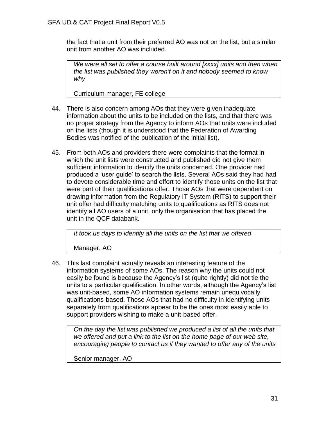the fact that a unit from their preferred AO was not on the list, but a similar unit from another AO was included.

*We were all set to offer a course built around [xxxx] units and then when the list was published they weren't on it and nobody seemed to know why*

Curriculum manager, FE college

- 44. There is also concern among AOs that they were given inadequate information about the units to be included on the lists, and that there was no proper strategy from the Agency to inform AOs that units were included on the lists (though it is understood that the Federation of Awarding Bodies was notified of the publication of the initial list).
- 45. From both AOs and providers there were complaints that the format in which the unit lists were constructed and published did not give them sufficient information to identify the units concerned. One provider had produced a 'user guide' to search the lists. Several AOs said they had had to devote considerable time and effort to identify those units on the list that were part of their qualifications offer. Those AOs that were dependent on drawing information from the Regulatory IT System (RITS) to support their unit offer had difficulty matching units to qualifications as RITS does not identify all AO users of a unit, only the organisation that has placed the unit in the QCF databank.

*It took us days to identify all the units on the list that we offered*

Manager, AO

46. This last complaint actually reveals an interesting feature of the information systems of some AOs. The reason why the units could not easily be found is because the Agency's list (quite rightly) did not tie the units to a particular qualification. In other words, although the Agency's list was unit-based, some AO information systems remain unequivocally qualifications-based. Those AOs that had no difficulty in identifying units separately from qualifications appear to be the ones most easily able to support providers wishing to make a unit-based offer.

*On the day the list was published we produced a list of all the units that we offered and put a link to the list on the home page of our web site, encouraging people to contact us if they wanted to offer any of the units*

Senior manager, AO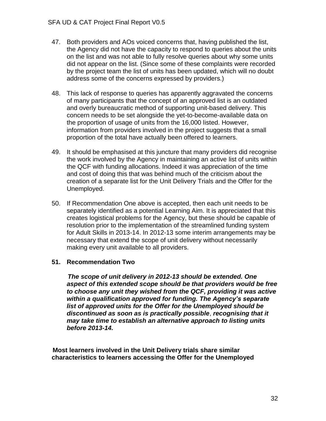- 47. Both providers and AOs voiced concerns that, having published the list, the Agency did not have the capacity to respond to queries about the units on the list and was not able to fully resolve queries about why some units did not appear on the list. (Since some of these complaints were recorded by the project team the list of units has been updated, which will no doubt address some of the concerns expressed by providers.)
- 48. This lack of response to queries has apparently aggravated the concerns of many participants that the concept of an approved list is an outdated and overly bureaucratic method of supporting unit-based delivery. This concern needs to be set alongside the yet-to-become-available data on the proportion of usage of units from the 16,000 listed. However, information from providers involved in the project suggests that a small proportion of the total have actually been offered to learners.
- 49. It should be emphasised at this juncture that many providers did recognise the work involved by the Agency in maintaining an active list of units within the QCF with funding allocations. Indeed it was appreciation of the time and cost of doing this that was behind much of the criticism about the creation of a separate list for the Unit Delivery Trials and the Offer for the Unemployed.
- 50. If Recommendation One above is accepted, then each unit needs to be separately identified as a potential Learning Aim. It is appreciated that this creates logistical problems for the Agency, but these should be capable of resolution prior to the implementation of the streamlined funding system for Adult Skills in 2013-14. In 2012-13 some interim arrangements may be necessary that extend the scope of unit delivery without necessarily making every unit available to all providers.

# **51. Recommendation Two**

 *The scope of unit delivery in 2012-13 should be extended. One aspect of this extended scope should be that providers would be free to choose any unit they wished from the QCF, providing it was active within a qualification approved for funding. The Agency's separate list of approved units for the Offer for the Unemployed should be discontinued as soon as is practically possible*, *recognising that it may take time to establish an alternative approach to listing units before 2013-14.*

 **Most learners involved in the Unit Delivery trials share similar characteristics to learners accessing the Offer for the Unemployed**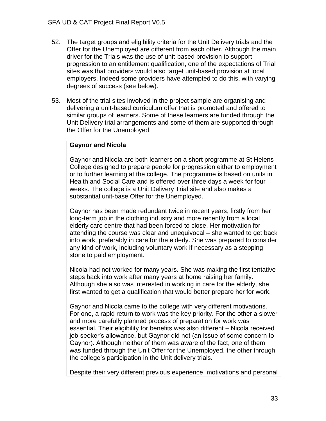- 52. The target groups and eligibility criteria for the Unit Delivery trials and the Offer for the Unemployed are different from each other. Although the main driver for the Trials was the use of unit-based provision to support progression to an entitlement qualification, one of the expectations of Trial sites was that providers would also target unit-based provision at local employers. Indeed some providers have attempted to do this, with varying degrees of success (see below).
- 53. Most of the trial sites involved in the project sample are organising and delivering a unit-based curriculum offer that is promoted and offered to similar groups of learners. Some of these learners are funded through the Unit Delivery trial arrangements and some of them are supported through the Offer for the Unemployed.

# **Gaynor and Nicola**

Gaynor and Nicola are both learners on a short programme at St Helens College designed to prepare people for progression either to employment or to further learning at the college. The programme is based on units in Health and Social Care and is offered over three days a week for four weeks. The college is a Unit Delivery Trial site and also makes a substantial unit-base Offer for the Unemployed.

Gaynor has been made redundant twice in recent years, firstly from her long-term job in the clothing industry and more recently from a local elderly care centre that had been forced to close. Her motivation for attending the course was clear and unequivocal – she wanted to get back into work, preferably in care for the elderly. She was prepared to consider any kind of work, including voluntary work if necessary as a stepping stone to paid employment.

Nicola had not worked for many years. She was making the first tentative steps back into work after many years at home raising her family. Although she also was interested in working in care for the elderly, she first wanted to get a qualification that would better prepare her for work.

Gaynor and Nicola came to the college with very different motivations. For one, a rapid return to work was the key priority. For the other a slower and more carefully planned process of preparation for work was essential. Their eligibility for benefits was also different – Nicola received job-seeker's allowance, but Gaynor did not (an issue of some concern to Gaynor). Although neither of them was aware of the fact, one of them was funded through the Unit Offer for the Unemployed, the other through the college's participation in the Unit delivery trials.

Despite their very different previous experience, motivations and personal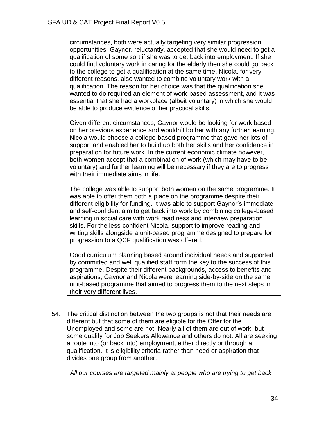circumstances, both were actually targeting very similar progression opportunities. Gaynor, reluctantly, accepted that she would need to get a qualification of some sort if she was to get back into employment. If she could find voluntary work in caring for the elderly then she could go back to the college to get a qualification at the same time. Nicola, for very different reasons, also wanted to combine voluntary work with a qualification. The reason for her choice was that the qualification she wanted to do required an element of work-based assessment, and it was essential that she had a workplace (albeit voluntary) in which she would be able to produce evidence of her practical skills.

Given different circumstances, Gaynor would be looking for work based on her previous experience and wouldn't bother with any further learning. Nicola would choose a college-based programme that gave her lots of support and enabled her to build up both her skills and her confidence in preparation for future work. In the current economic climate however, both women accept that a combination of work (which may have to be voluntary) and further learning will be necessary if they are to progress with their immediate aims in life.

The college was able to support both women on the same programme. It was able to offer them both a place on the programme despite their different eligibility for funding. It was able to support Gaynor's immediate and self-confident aim to get back into work by combining college-based learning in social care with work readiness and interview preparation skills. For the less-confident Nicola, support to improve reading and writing skills alongside a unit-based programme designed to prepare for progression to a QCF qualification was offered.

Good curriculum planning based around individual needs and supported by committed and well qualified staff form the key to the success of this programme. Despite their different backgrounds, access to benefits and aspirations, Gaynor and Nicola were learning side-by-side on the same unit-based programme that aimed to progress them to the next steps in their very different lives.

54. The critical distinction between the two groups is not that their needs are different but that some of them are eligible for the Offer for the Unemployed and some are not. Nearly all of them are out of work, but some qualify for Job Seekers Allowance and others do not. All are seeking a route into (or back into) employment, either directly or through a qualification. It is eligibility criteria rather than need or aspiration that divides one group from another.

*All our courses are targeted mainly at people who are trying to get back*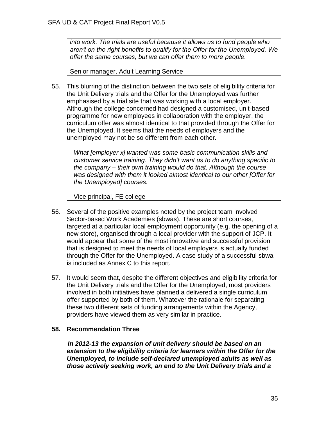*into work. The trials are useful because it allows us to fund people who aren't on the right benefits to qualify for the Offer for the Unemployed. We offer the same courses, but we can offer them to more people.*

Senior manager, Adult Learning Service

55. This blurring of the distinction between the two sets of eligibility criteria for the Unit Delivery trials and the Offer for the Unemployed was further emphasised by a trial site that was working with a local employer. Although the college concerned had designed a customised, unit-based programme for new employees in collaboration with the employer, the curriculum offer was almost identical to that provided through the Offer for the Unemployed. It seems that the needs of employers and the unemployed may not be so different from each other.

*What [employer x] wanted was some basic communication skills and customer service training. They didn't want us to do anything specific to the company – their own training would do that. Although the course was designed with them it looked almost identical to our other [Offer for the Unemployed] courses.*

Vice principal, FE college

- 56. Several of the positive examples noted by the project team involved Sector-based Work Academies (sbwas). These are short courses, targeted at a particular local employment opportunity (e.g. the opening of a new store), organised through a local provider with the support of JCP. It would appear that some of the most innovative and successful provision that is designed to meet the needs of local employers is actually funded through the Offer for the Unemployed. A case study of a successful sbwa is included as Annex C to this report.
- 57. It would seem that, despite the different objectives and eligibility criteria for the Unit Delivery trials and the Offer for the Unemployed, most providers involved in both initiatives have planned a delivered a single curriculum offer supported by both of them. Whatever the rationale for separating these two different sets of funding arrangements within the Agency, providers have viewed them as very similar in practice.

# **58. Recommendation Three**

 *In 2012-13 the expansion of unit delivery should be based on an extension to the eligibility criteria for learners within the Offer for the Unemployed, to include self-declared unemployed adults as well as those actively seeking work, an end to the Unit Delivery trials and a*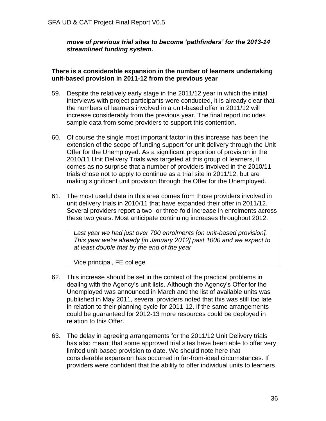*move of previous trial sites to become 'pathfinders' for the 2013-14 streamlined funding system.* 

# **There is a considerable expansion in the number of learners undertaking unit-based provision in 2011-12 from the previous year**

- 59. Despite the relatively early stage in the 2011/12 year in which the initial interviews with project participants were conducted, it is already clear that the numbers of learners involved in a unit-based offer in 2011/12 will increase considerably from the previous year. The final report includes sample data from some providers to support this contention.
- 60. Of course the single most important factor in this increase has been the extension of the scope of funding support for unit delivery through the Unit Offer for the Unemployed. As a significant proportion of provision in the 2010/11 Unit Delivery Trials was targeted at this group of learners, it comes as no surprise that a number of providers involved in the 2010/11 trials chose not to apply to continue as a trial site in 2011/12, but are making significant unit provision through the Offer for the Unemployed.
- 61. The most useful data in this area comes from those providers involved in unit delivery trials in 2010/11 that have expanded their offer in 2011/12. Several providers report a two- or three-fold increase in enrolments across these two years. Most anticipate continuing increases throughout 2012.

*Last year we had just over 700 enrolments [on unit-based provision]. This year we're already [in January 2012] past 1000 and we expect to at least double that by the end of the year*

Vice principal, FE college

- 62. This increase should be set in the context of the practical problems in dealing with the Agency's unit lists. Although the Agency's Offer for the Unemployed was announced in March and the list of available units was published in May 2011, several providers noted that this was still too late in relation to their planning cycle for 2011-12. If the same arrangements could be guaranteed for 2012-13 more resources could be deployed in relation to this Offer.
- 63. The delay in agreeing arrangements for the 2011/12 Unit Delivery trials has also meant that some approved trial sites have been able to offer very limited unit-based provision to date. We should note here that considerable expansion has occurred in far-from-ideal circumstances. If providers were confident that the ability to offer individual units to learners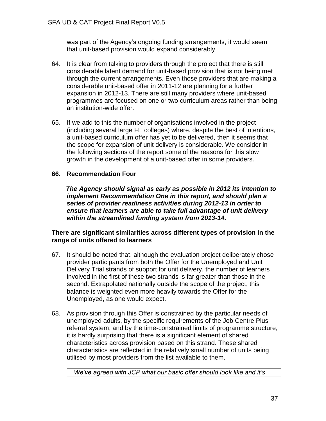was part of the Agency's ongoing funding arrangements, it would seem that unit-based provision would expand considerably

- 64. It is clear from talking to providers through the project that there is still considerable latent demand for unit-based provision that is not being met through the current arrangements. Even those providers that are making a considerable unit-based offer in 2011-12 are planning for a further expansion in 2012-13. There are still many providers where unit-based programmes are focused on one or two curriculum areas rather than being an institution-wide offer.
- 65. If we add to this the number of organisations involved in the project (including several large FE colleges) where, despite the best of intentions, a unit-based curriculum offer has yet to be delivered, then it seems that the scope for expansion of unit delivery is considerable. We consider in the following sections of the report some of the reasons for this slow growth in the development of a unit-based offer in some providers.

## **66. Recommendation Four**

 *The Agency should signal as early as possible in 2012 its intention to implement Recommendation One in this report, and should plan a series of provider readiness activities during 2012-13 in order to ensure that learners are able to take full advantage of unit delivery within the streamlined funding system from 2013-14.*

## **There are significant similarities across different types of provision in the range of units offered to learners**

- 67. It should be noted that, although the evaluation project deliberately chose provider participants from both the Offer for the Unemployed and Unit Delivery Trial strands of support for unit delivery, the number of learners involved in the first of these two strands is far greater than those in the second. Extrapolated nationally outside the scope of the project, this balance is weighted even more heavily towards the Offer for the Unemployed, as one would expect.
- 68. As provision through this Offer is constrained by the particular needs of unemployed adults, by the specific requirements of the Job Centre Plus referral system, and by the time-constrained limits of programme structure, it is hardly surprising that there is a significant element of shared characteristics across provision based on this strand. These shared characteristics are reflected in the relatively small number of units being utilised by most providers from the list available to them.

*We've agreed with JCP what our basic offer should look like and it's*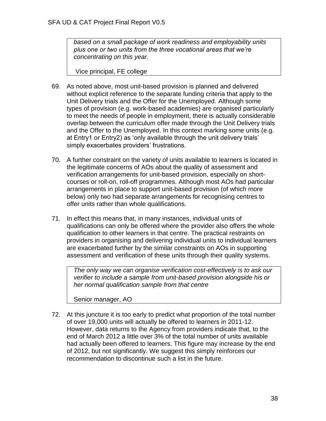*based on a small package of work readiness and employability units plus one or two units from the three vocational areas that we're concentrating on this year.*

Vice principal, FE college

- 69. As noted above, most unit-based provision is planned and delivered without explicit reference to the separate funding criteria that apply to the Unit Delivery trials and the Offer for the Unemployed. Although some types of provision (e.g. work-based academies) are organised particularly to meet the needs of people in employment, there is actually considerable overlap between the curriculum offer made through the Unit Delivery trials and the Offer to the Unemployed. In this context marking some units (e.g. at Entry1 or Entry2) as 'only available through the unit delivery trials' simply exacerbates providers' frustrations.
- 70. A further constraint on the variety of units available to learners is located in the legitimate concerns of AOs about the quality of assessment and verification arrangements for unit-based provision, especially on shortcourses or roll-on, roll-off programmes. Although most AOs had particular arrangements in place to support unit-based provision (of which more below) only two had separate arrangements for recognising centres to offer units rather than whole qualifications.
- 71. In effect this means that, in many instances, individual units of qualifications can only be offered where the provider also offers the whole qualification to other learners in that centre. The practical restraints on providers in organising and delivering individual units to individual learners are exacerbated further by the similar constraints on AOs in supporting assessment and verification of these units through their quality systems.

*The only way we can organise verification cost-effectively is to ask our verifier to include a sample from unit-based provision alongside his or her normal qualification sample from that centre*

Senior manager, AO

72. At this juncture it is too early to predict what proportion of the total number of over 19,000 units will actually be offered to learners in 2011-12. However, data returns to the Agency from providers indicate that, to the end of March 2012 a little over 3% of the total number of units available had actually been offered to learners. This figure may increase by the end of 2012, but not significantly. We suggest this simply reinforces our recommendation to discontinue such a list in the future.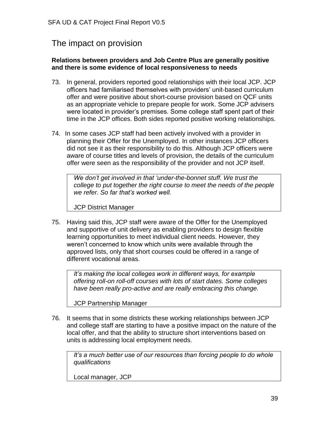# The impact on provision

### **Relations between providers and Job Centre Plus are generally positive and there is some evidence of local responsiveness to needs**

- 73. In general, providers reported good relationships with their local JCP. JCP officers had familiarised themselves with providers' unit-based curriculum offer and were positive about short-course provision based on QCF units as an appropriate vehicle to prepare people for work. Some JCP advisers were located in provider's premises. Some college staff spent part of their time in the JCP offices. Both sides reported positive working relationships.
- 74. In some cases JCP staff had been actively involved with a provider in planning their Offer for the Unemployed. In other instances JCP officers did not see it as their responsibility to do this. Although JCP officers were aware of course titles and levels of provision, the details of the curriculum offer were seen as the responsibility of the provider and not JCP itself.

*We don't get involved in that 'under-the-bonnet stuff. We trust the college to put together the right course to meet the needs of the people we refer. So far that's worked well.*

JCP District Manager

75. Having said this, JCP staff were aware of the Offer for the Unemployed and supportive of unit delivery as enabling providers to design flexible learning opportunities to meet individual client needs. However, they weren't concerned to know which units were available through the approved lists, only that short courses could be offered in a range of different vocational areas.

*It's making the local colleges work in different ways, for example offering roll-on roll-off courses with lots of start dates. Some colleges have been really pro-active and are really embracing this change.*

JCP Partnership Manager

76. It seems that in some districts these working relationships between JCP and college staff are starting to have a positive impact on the nature of the local offer, and that the ability to structure short interventions based on units is addressing local employment needs.

*It's a much better use of our resources than forcing people to do whole qualifications*

Local manager, JCP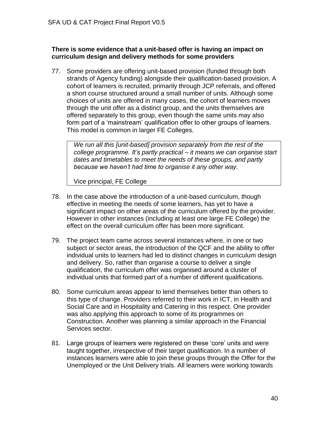## **There is some evidence that a unit-based offer is having an impact on curriculum design and delivery methods for some providers**

77. Some providers are offering unit-based provision (funded through both strands of Agency funding) alongside their qualification-based provision. A cohort of learners is recruited, primarily through JCP referrals, and offered a short course structured around a small number of units. Although some choices of units are offered in many cases, the cohort of learners moves through the unit offer as a distinct group, and the units themselves are offered separately to this group, even though the same units may also form part of a 'mainstream' qualification offer to other groups of learners. This model is common in larger FE Colleges.

*We run all this [unit-based] provision separately from the rest of the college programme. It's partly practical – it means we can organise start dates and timetables to meet the needs of these groups, and partly because we haven't had time to organise it any other way.*

Vice principal, FE College

- 78. In the case above the introduction of a unit-based curriculum, though effective in meeting the needs of some learners, has yet to have a significant impact on other areas of the curriculum offered by the provider. However in other instances (including at least one large FE College) the effect on the overall curriculum offer has been more significant.
- 79. The project team came across several instances where, in one or two subject or sector areas, the introduction of the QCF and the ability to offer individual units to learners had led to distinct changes in curriculum design and delivery. So, rather than organise a course to deliver a single qualification, the curriculum offer was organised around a cluster of individual units that formed part of a number of different qualifications.
- 80. Some curriculum areas appear to lend themselves better than others to this type of change. Providers referred to their work in ICT, in Health and Social Care and in Hospitality and Catering in this respect. One provider was also applying this approach to some of its programmes on Construction. Another was planning a similar approach in the Financial Services sector.
- 81. Large groups of learners were registered on these 'core' units and were taught together, irrespective of their target qualification. In a number of instances learners were able to join these groups through the Offer for the Unemployed or the Unit Delivery trials. All learners were working towards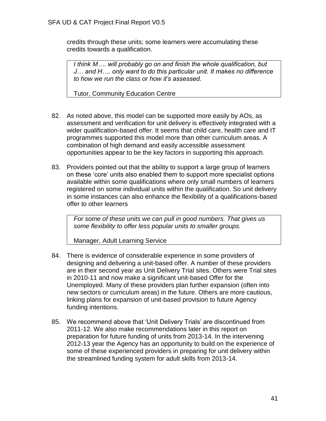credits through these units; some learners were accumulating these credits towards a qualification.

*I think M…. will probably go on and finish the whole qualification, but J… and H…. only want to do this particular unit. It makes no difference to how we run the class or how it's assessed.*

Tutor, Community Education Centre

- 82. As noted above, this model can be supported more easily by AOs, as assessment and verification for unit delivery is effectively integrated with a wider qualification-based offer. It seems that child care, health care and IT programmes supported this model more than other curriculum areas. A combination of high demand and easily accessible assessment opportunities appear to be the key factors in supporting this approach.
- 83. Providers pointed out that the ability to support a large group of learners on these 'core' units also enabled them to support more specialist options available within some qualifications where only small numbers of learners registered on some individual units within the qualification. So unit delivery in some instances can also enhance the flexibility of a qualifications-based offer to other learners

*For some of these units we can pull in good numbers. That gives us some flexibility to offer less popular units to smaller groups.*

Manager, Adult Learning Service

- 84. There is evidence of considerable experience in some providers of designing and delivering a unit-based offer. A number of these providers are in their second year as Unit Delivery Trial sites. Others were Trial sites in 2010-11 and now make a significant unit-based Offer for the Unemployed. Many of these providers plan further expansion (often into new sectors or curriculum areas) in the future. Others are more cautious, linking plans for expansion of unit-based provision to future Agency funding intentions.
- 85. We recommend above that 'Unit Delivery Trials' are discontinued from 2011-12. We also make recommendations later in this report on preparation for future funding of units from 2013-14. In the intervening 2012-13 year the Agency has an opportunity to build on the experience of some of these experienced providers in preparing for unit delivery within the streamlined funding system for adult skills from 2013-14.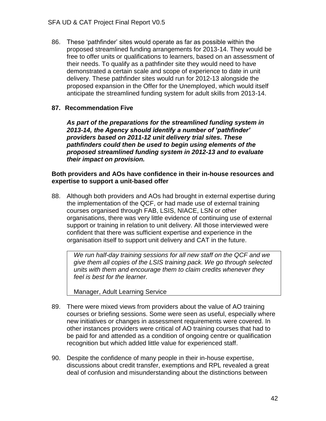86. These 'pathfinder' sites would operate as far as possible within the proposed streamlined funding arrangements for 2013-14. They would be free to offer units or qualifications to learners, based on an assessment of their needs. To qualify as a pathfinder site they would need to have demonstrated a certain scale and scope of experience to date in unit delivery. These pathfinder sites would run for 2012-13 alongside the proposed expansion in the Offer for the Unemployed, which would itself anticipate the streamlined funding system for adult skills from 2013-14.

## **87. Recommendation Five**

*As part of the preparations for the streamlined funding system in 2013-14, the Agency should identify a number of 'pathfinder' providers based on 2011-12 unit delivery trial sites. These pathfinders could then be used to begin using elements of the proposed streamlined funding system in 2012-13 and to evaluate their impact on provision.*

#### **Both providers and AOs have confidence in their in-house resources and expertise to support a unit-based offer**

88. Although both providers and AOs had brought in external expertise during the implementation of the QCF, or had made use of external training courses organised through FAB, LSIS, NIACE, LSN or other organisations, there was very little evidence of continuing use of external support or training in relation to unit delivery. All those interviewed were confident that there was sufficient expertise and experience in the organisation itself to support unit delivery and CAT in the future.

*We run half-day training sessions for all new staff on the QCF and we give them all copies of the LSIS training pack. We go through selected units with them and encourage them to claim credits whenever they feel is best for the learner.*

Manager, Adult Learning Service

- 89. There were mixed views from providers about the value of AO training courses or briefing sessions. Some were seen as useful, especially where new initiatives or changes in assessment requirements were covered. In other instances providers were critical of AO training courses that had to be paid for and attended as a condition of ongoing centre or qualification recognition but which added little value for experienced staff.
- 90. Despite the confidence of many people in their in-house expertise, discussions about credit transfer, exemptions and RPL revealed a great deal of confusion and misunderstanding about the distinctions between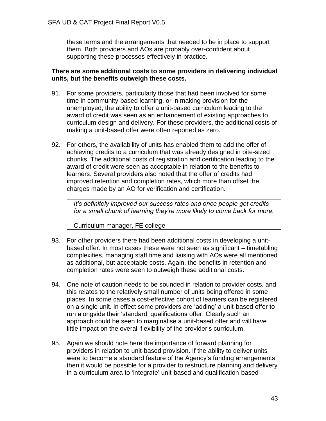these terms and the arrangements that needed to be in place to support them. Both providers and AOs are probably over-confident about supporting these processes effectively in practice.

### **There are some additional costs to some providers in delivering individual units, but the benefits outweigh these costs.**

- 91. For some providers, particularly those that had been involved for some time in community-based learning, or in making provision for the unemployed, the ability to offer a unit-based curriculum leading to the award of credit was seen as an enhancement of existing approaches to curriculum design and delivery. For these providers, the additional costs of making a unit-based offer were often reported as zero.
- 92. For others, the availability of units has enabled them to add the offer of achieving credits to a curriculum that was already designed in bite-sized chunks. The additional costs of registration and certification leading to the award of credit were seen as acceptable in relation to the benefits to learners. Several providers also noted that the offer of credits had improved retention and completion rates, which more than offset the charges made by an AO for verification and certification.

*It's definitely improved our success rates and once people get credits for a small chunk of learning they're more likely to come back for more.*

Curriculum manager, FE college

- 93. For other providers there had been additional costs in developing a unitbased offer. In most cases these were not seen as significant – timetabling complexities, managing staff time and liaising with AOs were all mentioned as additional, but acceptable costs. Again, the benefits in retention and completion rates were seen to outweigh these additional costs.
- 94. One note of caution needs to be sounded in relation to provider costs, and this relates to the relatively small number of units being offered in some places. In some cases a cost-effective cohort of learners can be registered on a single unit. In effect some providers are 'adding' a unit-based offer to run alongside their 'standard' qualifications offer. Clearly such an approach could be seen to marginalise a unit-based offer and will have little impact on the overall flexibility of the provider's curriculum.
- 95. Again we should note here the importance of forward planning for providers in relation to unit-based provision. If the ability to deliver units were to become a standard feature of the Agency's funding arrangements then it would be possible for a provider to restructure planning and delivery in a curriculum area to 'integrate' unit-based and qualification-based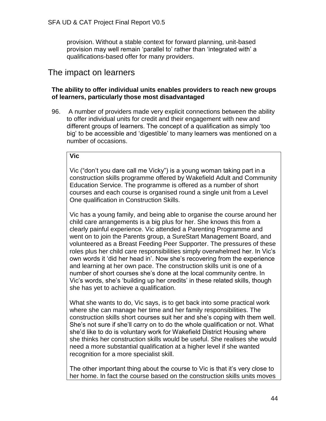provision. Without a stable context for forward planning, unit-based provision may well remain 'parallel to' rather than 'integrated with' a qualifications-based offer for many providers.

# The impact on learners

## **The ability to offer individual units enables providers to reach new groups of learners, particularly those most disadvantaged**

96. A number of providers made very explicit connections between the ability to offer individual units for credit and their engagement with new and different groups of learners. The concept of a qualification as simply 'too big' to be accessible and 'digestible' to many learners was mentioned on a number of occasions.

### **Vic**

Vic ("don't you dare call me Vicky") is a young woman taking part in a construction skills programme offered by Wakefield Adult and Community Education Service. The programme is offered as a number of short courses and each course is organised round a single unit from a Level One qualification in Construction Skills.

Vic has a young family, and being able to organise the course around her child care arrangements is a big plus for her. She knows this from a clearly painful experience. Vic attended a Parenting Programme and went on to join the Parents group, a SureStart Management Board, and volunteered as a Breast Feeding Peer Supporter. The pressures of these roles plus her child care responsibilities simply overwhelmed her. In Vic's own words it 'did her head in'. Now she's recovering from the experience and learning at her own pace. The construction skills unit is one of a number of short courses she's done at the local community centre. In Vic's words, she's 'building up her credits' in these related skills, though she has yet to achieve a qualification.

What she wants to do, Vic says, is to get back into some practical work where she can manage her time and her family responsibilities. The construction skills short courses suit her and she's coping with them well. She's not sure if she'll carry on to do the whole qualification or not. What she'd like to do is voluntary work for Wakefield District Housing where she thinks her construction skills would be useful. She realises she would need a more substantial qualification at a higher level if she wanted recognition for a more specialist skill.

The other important thing about the course to Vic is that it's very close to her home. In fact the course based on the construction skills units moves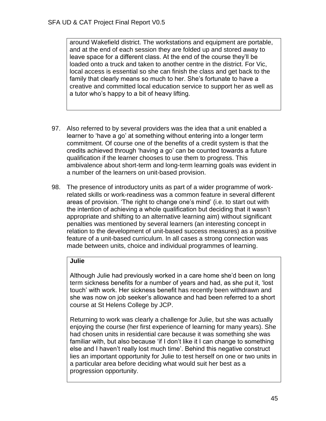around Wakefield district. The workstations and equipment are portable, and at the end of each session they are folded up and stored away to leave space for a different class. At the end of the course they'll be loaded onto a truck and taken to another centre in the district. For Vic, local access is essential so she can finish the class and get back to the family that clearly means so much to her. She's fortunate to have a creative and committed local education service to support her as well as a tutor who's happy to a bit of heavy lifting.

- 97. Also referred to by several providers was the idea that a unit enabled a learner to 'have a go' at something without entering into a longer term commitment. Of course one of the benefits of a credit system is that the credits achieved through 'having a go' can be counted towards a future qualification if the learner chooses to use them to progress. This ambivalence about short-term and long-term learning goals was evident in a number of the learners on unit-based provision.
- 98. The presence of introductory units as part of a wider programme of workrelated skills or work-readiness was a common feature in several different areas of provision. 'The right to change one's mind' (i.e. to start out with the intention of achieving a whole qualification but deciding that it wasn't appropriate and shifting to an alternative learning aim) without significant penalties was mentioned by several learners (an interesting concept in relation to the development of unit-based success measures) as a positive feature of a unit-based curriculum. In all cases a strong connection was made between units, choice and individual programmes of learning.

## **Julie**

Although Julie had previously worked in a care home she'd been on long term sickness benefits for a number of years and had, as she put it, 'lost touch' with work. Her sickness benefit has recently been withdrawn and she was now on job seeker's allowance and had been referred to a short course at St Helens College by JCP.

Returning to work was clearly a challenge for Julie, but she was actually enjoying the course (her first experience of learning for many years). She had chosen units in residential care because it was something she was familiar with, but also because 'if I don't like it I can change to something else and I haven't really lost much time'. Behind this negative construct lies an important opportunity for Julie to test herself on one or two units in a particular area before deciding what would suit her best as a progression opportunity.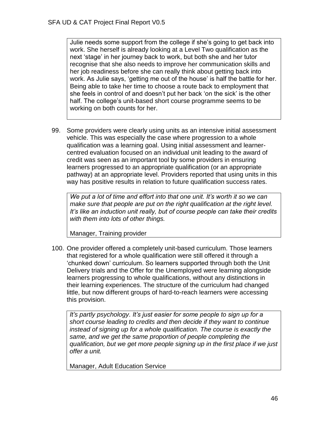Julie needs some support from the college if she's going to get back into work. She herself is already looking at a Level Two qualification as the next 'stage' in her journey back to work, but both she and her tutor recognise that she also needs to improve her communication skills and her job readiness before she can really think about getting back into work. As Julie says, 'getting me out of the house' is half the battle for her. Being able to take her time to choose a route back to employment that she feels in control of and doesn't put her back 'on the sick' is the other half. The college's unit-based short course programme seems to be working on both counts for her.

99. Some providers were clearly using units as an intensive initial assessment vehicle. This was especially the case where progression to a whole qualification was a learning goal. Using initial assessment and learnercentred evaluation focused on an individual unit leading to the award of credit was seen as an important tool by some providers in ensuring learners progressed to an appropriate qualification (or an appropriate pathway) at an appropriate level. Providers reported that using units in this way has positive results in relation to future qualification success rates.

*We put a lot of time and effort into that one unit. It's worth it so we can make sure that people are put on the right qualification at the right level. It's like an induction unit really, but of course people can take their credits with them into lots of other things.*

Manager, Training provider

100. One provider offered a completely unit-based curriculum. Those learners that registered for a whole qualification were still offered it through a 'chunked down' curriculum. So learners supported through both the Unit Delivery trials and the Offer for the Unemployed were learning alongside learners progressing to whole qualifications, without any distinctions in their learning experiences. The structure of the curriculum had changed little, but now different groups of hard-to-reach learners were accessing this provision.

*It's partly psychology. It's just easier for some people to sign up for a short course leading to credits and then decide if they want to continue instead of signing up for a whole qualification. The course is exactly the same, and we get the same proportion of people completing the qualification, but we get more people signing up in the first place if we just offer a unit.*

Manager, Adult Education Service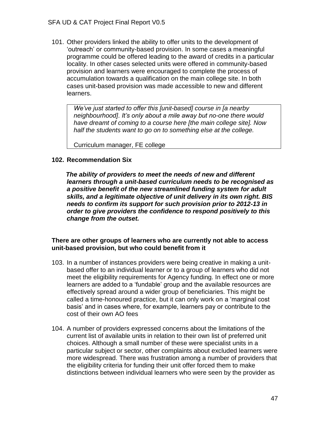101. Other providers linked the ability to offer units to the development of 'outreach' or community-based provision. In some cases a meaningful programme could be offered leading to the award of credits in a particular locality. In other cases selected units were offered in community-based provision and learners were encouraged to complete the process of accumulation towards a qualification on the main college site. In both cases unit-based provision was made accessible to new and different learners.

*We've just started to offer this [unit-based] course in [a nearby neighbourhood]. It's only about a mile away but no-one there would have dreamt of coming to a course here [the main college site]. Now half the students want to go on to something else at the college.*

Curriculum manager, FE college

### **102. Recommendation Six**

 *The ability of providers to meet the needs of new and different learners through a unit-based curriculum needs to be recognised as a positive benefit of the new streamlined funding system for adult skills, and a legitimate objective of unit delivery in its own right. BIS needs to confirm its support for such provision prior to 2012-13 in order to give providers the confidence to respond positively to this change from the outset.*

### **There are other groups of learners who are currently not able to access unit-based provision, but who could benefit from it**

- 103. In a number of instances providers were being creative in making a unitbased offer to an individual learner or to a group of learners who did not meet the eligibility requirements for Agency funding. In effect one or more learners are added to a 'fundable' group and the available resources are effectively spread around a wider group of beneficiaries. This might be called a time-honoured practice, but it can only work on a 'marginal cost basis' and in cases where, for example, learners pay or contribute to the cost of their own AO fees
- 104. A number of providers expressed concerns about the limitations of the current list of available units in relation to their own list of preferred unit choices. Although a small number of these were specialist units in a particular subject or sector, other complaints about excluded learners were more widespread. There was frustration among a number of providers that the eligibility criteria for funding their unit offer forced them to make distinctions between individual learners who were seen by the provider as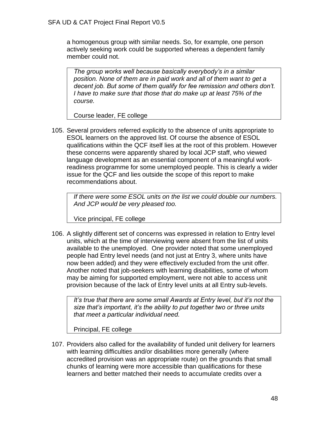a homogenous group with similar needs. So, for example, one person actively seeking work could be supported whereas a dependent family member could not.

*The group works well because basically everybody's in a similar position. None of them are in paid work and all of them want to get a decent job. But some of them qualify for fee remission and others don't. I have to make sure that those that do make up at least 75% of the course.*

Course leader, FE college

105. Several providers referred explicitly to the absence of units appropriate to ESOL learners on the approved list. Of course the absence of ESOL qualifications within the QCF itself lies at the root of this problem. However these concerns were apparently shared by local JCP staff, who viewed language development as an essential component of a meaningful workreadiness programme for some unemployed people. This is clearly a wider issue for the QCF and lies outside the scope of this report to make recommendations about.

*If there were some ESOL units on the list we could double our numbers. And JCP would be very pleased too.*

Vice principal, FE college

106. A slightly different set of concerns was expressed in relation to Entry level units, which at the time of interviewing were absent from the list of units available to the unemployed. One provider noted that some unemployed people had Entry level needs (and not just at Entry 3, where units have now been added) and they were effectively excluded from the unit offer. Another noted that job-seekers with learning disabilities, some of whom may be aiming for supported employment, were not able to access unit provision because of the lack of Entry level units at all Entry sub-levels.

*It's true that there are some small Awards at Entry level, but it's not the size that's important, it's the ability to put together two or three units that meet a particular individual need.*

Principal, FE college

107. Providers also called for the availability of funded unit delivery for learners with learning difficulties and/or disabilities more generally (where accredited provision was an appropriate route) on the grounds that small chunks of learning were more accessible than qualifications for these learners and better matched their needs to accumulate credits over a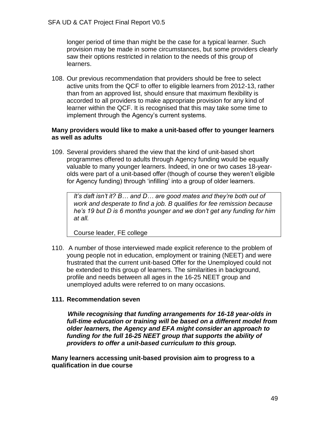longer period of time than might be the case for a typical learner. Such provision may be made in some circumstances, but some providers clearly saw their options restricted in relation to the needs of this group of learners.

108. Our previous recommendation that providers should be free to select active units from the QCF to offer to eligible learners from 2012-13, rather than from an approved list, should ensure that maximum flexibility is accorded to all providers to make appropriate provision for any kind of learner within the QCF. It is recognised that this may take some time to implement through the Agency's current systems.

### **Many providers would like to make a unit-based offer to younger learners as well as adults**

109. Several providers shared the view that the kind of unit-based short programmes offered to adults through Agency funding would be equally valuable to many younger learners. Indeed, in one or two cases 18-yearolds were part of a unit-based offer (though of course they weren't eligible for Agency funding) through 'infilling' into a group of older learners.

*It's daft isn't it? B… and D… are good mates and they're both out of work and desperate to find a job. B qualifies for fee remission because he's 19 but D is 6 months younger and we don't get any funding for him at all.*

Course leader, FE college

110. A number of those interviewed made explicit reference to the problem of young people not in education, employment or training (NEET) and were frustrated that the current unit-based Offer for the Unemployed could not be extended to this group of learners. The similarities in background, profile and needs between all ages in the 16-25 NEET group and unemployed adults were referred to on many occasions.

## **111. Recommendation seven**

 *While recognising that funding arrangements for 16-18 year-olds in full-time education or training will be based on a different model from older learners, the Agency and EFA might consider an approach to funding for the full 16-25 NEET group that supports the ability of providers to offer a unit-based curriculum to this group.*

**Many learners accessing unit-based provision aim to progress to a qualification in due course**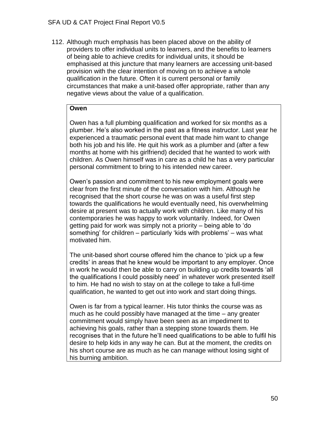112. Although much emphasis has been placed above on the ability of providers to offer individual units to learners, and the benefits to learners of being able to achieve credits for individual units, it should be emphasised at this juncture that many learners are accessing unit-based provision with the clear intention of moving on to achieve a whole qualification in the future. Often it is current personal or family circumstances that make a unit-based offer appropriate, rather than any negative views about the value of a qualification.

### **Owen**

Owen has a full plumbing qualification and worked for six months as a plumber. He's also worked in the past as a fitness instructor. Last year he experienced a traumatic personal event that made him want to change both his job and his life. He quit his work as a plumber and (after a few months at home with his girlfriend) decided that he wanted to work with children. As Owen himself was in care as a child he has a very particular personal commitment to bring to his intended new career.

Owen's passion and commitment to his new employment goals were clear from the first minute of the conversation with him. Although he recognised that the short course he was on was a useful first step towards the qualifications he would eventually need, his overwhelming desire at present was to actually work with children. Like many of his contemporaries he was happy to work voluntarily. Indeed, for Owen getting paid for work was simply not a priority – being able to 'do something' for children – particularly 'kids with problems' – was what motivated him.

The unit-based short course offered him the chance to 'pick up a few credits' in areas that he knew would be important to any employer. Once in work he would then be able to carry on building up credits towards 'all the qualifications I could possibly need' in whatever work presented itself to him. He had no wish to stay on at the college to take a full-time qualification, he wanted to get out into work and start doing things.

Owen is far from a typical learner. His tutor thinks the course was as much as he could possibly have managed at the time – any greater commitment would simply have been seen as an impediment to achieving his goals, rather than a stepping stone towards them. He recognises that in the future he'll need qualifications to be able to fulfil his desire to help kids in any way he can. But at the moment, the credits on his short course are as much as he can manage without losing sight of his burning ambition.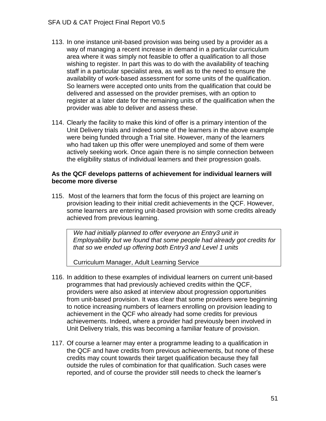- 113. In one instance unit-based provision was being used by a provider as a way of managing a recent increase in demand in a particular curriculum area where it was simply not feasible to offer a qualification to all those wishing to register. In part this was to do with the availability of teaching staff in a particular specialist area, as well as to the need to ensure the availability of work-based assessment for some units of the qualification. So learners were accepted onto units from the qualification that could be delivered and assessed on the provider premises, with an option to register at a later date for the remaining units of the qualification when the provider was able to deliver and assess these.
- 114. Clearly the facility to make this kind of offer is a primary intention of the Unit Delivery trials and indeed some of the learners in the above example were being funded through a Trial site. However, many of the learners who had taken up this offer were unemployed and some of them were actively seeking work. Once again there is no simple connection between the eligibility status of individual learners and their progression goals.

#### **As the QCF develops patterns of achievement for individual learners will become more diverse**

115. Most of the learners that form the focus of this project are learning on provision leading to their initial credit achievements in the QCF. However, some learners are entering unit-based provision with some credits already achieved from previous learning.

*We had initially planned to offer everyone an Entry3 unit in Employability but we found that some people had already got credits for that so we ended up offering both Entry3 and Level 1 units*

Curriculum Manager, Adult Learning Service

- 116. In addition to these examples of individual learners on current unit-based programmes that had previously achieved credits within the QCF, providers were also asked at interview about progression opportunities from unit-based provision. It was clear that some providers were beginning to notice increasing numbers of learners enrolling on provision leading to achievement in the QCF who already had some credits for previous achievements. Indeed, where a provider had previously been involved in Unit Delivery trials, this was becoming a familiar feature of provision.
- 117. Of course a learner may enter a programme leading to a qualification in the QCF and have credits from previous achievements, but none of these credits may count towards their target qualification because they fall outside the rules of combination for that qualification. Such cases were reported, and of course the provider still needs to check the learner's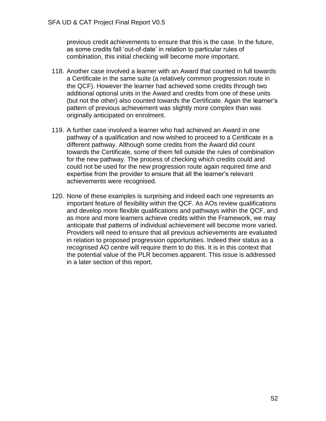previous credit achievements to ensure that this is the case. In the future, as some credits fall 'out-of-date' in relation to particular rules of combination, this initial checking will become more important.

- 118. Another case involved a learner with an Award that counted in full towards a Certificate in the same suite (a relatively common progression route in the QCF). However the learner had achieved some credits through two additional optional units in the Award and credits from one of these units (but not the other) also counted towards the Certificate. Again the learner's pattern of previous achievement was slightly more complex than was originally anticipated on enrolment.
- 119. A further case involved a learner who had achieved an Award in one pathway of a qualification and now wished to proceed to a Certificate in a different pathway. Although some credits from the Award did count towards the Certificate, some of them fell outside the rules of combination for the new pathway. The process of checking which credits could and could not be used for the new progression route again required time and expertise from the provider to ensure that all the learner's relevant achievements were recognised.
- 120. None of these examples is surprising and indeed each one represents an important feature of flexibility within the QCF. As AOs review qualifications and develop more flexible qualifications and pathways within the QCF, and as more and more learners achieve credits within the Framework, we may anticipate that patterns of individual achievement will become more varied. Providers will need to ensure that all previous achievements are evaluated in relation to proposed progression opportunities. Indeed their status as a recognised AO centre will require them to do this. It is in this context that the potential value of the PLR becomes apparent. This issue is addressed in a later section of this report.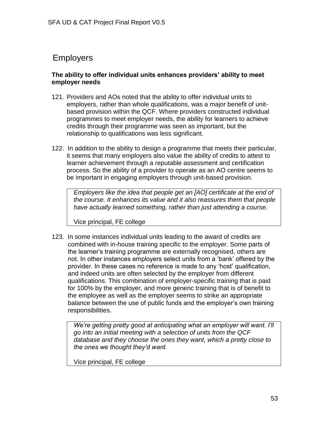# Employers

## **The ability to offer individual units enhances providers' ability to meet employer needs**

- 121. Providers and AOs noted that the ability to offer individual units to employers, rather than whole qualifications, was a major benefit of unitbased provision within the QCF. Where providers constructed individual programmes to meet employer needs, the ability for learners to achieve credits through their programme was seen as important, but the relationship to qualifications was less significant.
- 122. In addition to the ability to design a programme that meets their particular, it seems that many employers also value the ability of credits to attest to learner achievement through a reputable assessment and certification process. So the ability of a provider to operate as an AO centre seems to be important in engaging employers through unit-based provision.

*Employers like the idea that people get an [AO] certificate at the end of the course. It enhances its value and it also reassures them that people have actually learned something, rather than just attending a course.*

Vice principal, FE college

123. In some instances individual units leading to the award of credits are combined with in-house training specific to the employer. Some parts of the learner's training programme are externally recognised, others are not. In other instances employers select units from a 'bank' offered by the provider. In these cases no reference is made to any 'host' qualification, and indeed units are often selected by the employer from different qualifications. This combination of employer-specific training that is paid for 100% by the employer, and more generic training that is of benefit to the employee as well as the employer seems to strike an appropriate balance between the use of public funds and the employer's own training responsibilities.

*We're getting pretty good at anticipating what an employer will want. I'll go into an initial meeting with a selection of units from the QCF database and they choose the ones they want, which a pretty close to the ones we thought they'd want.*

Vice principal, FE college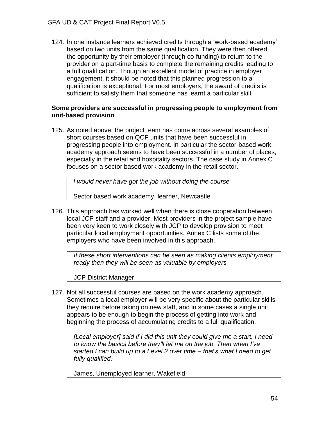124. In one instance learners achieved credits through a 'work-based academy' based on two units from the same qualification. They were then offered the opportunity by their employer (through co-funding) to return to the provider on a part-time basis to complete the remaining credits leading to a full qualification. Though an excellent model of practice in employer engagement, it should be noted that this planned progression to a qualification is exceptional. For most employers, the award of credits is sufficient to satisfy them that someone has learnt a particular skill.

### **Some providers are successful in progressing people to employment from unit-based provision**

125. As noted above, the project team has come across several examples of short courses based on QCF units that have been successful in progressing people into employment. In particular the sector-based work academy approach seems to have been successful in a number of places, especially in the retail and hospitality sectors. The case study in Annex C focuses on a sector based work academy in the retail sector.

*I would never have got the job without doing the course*

Sector based work academy learner, Newcastle

126. This approach has worked well when there is close cooperation between local JCP staff and a provider. Most providers in the project sample have been very keen to work closely with JCP to develop provision to meet particular local employment opportunities. Annex C lists some of the employers who have been involved in this approach.

*If these short interventions can be seen as making clients employment ready then they will be seen as valuable by employers*

JCP District Manager

127. Not all successful courses are based on the work academy approach. Sometimes a local employer will be very specific about the particular skills they require before taking on new staff, and in some cases a single unit appears to be enough to begin the process of getting into work and beginning the process of accumulating credits to a full qualification.

*[Local employer] said if I did this unit they could give me a start. I need to know the basics before they'll let me on the job. Then when I've started I can build up to a Level 2 over time – that's what I need to get fully qualified.*

James, Unemployed learner, Wakefield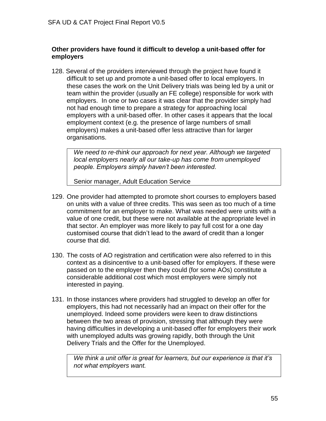## **Other providers have found it difficult to develop a unit-based offer for employers**

128. Several of the providers interviewed through the project have found it difficult to set up and promote a unit-based offer to local employers. In these cases the work on the Unit Delivery trials was being led by a unit or team within the provider (usually an FE college) responsible for work with employers. In one or two cases it was clear that the provider simply had not had enough time to prepare a strategy for approaching local employers with a unit-based offer. In other cases it appears that the local employment context (e.g. the presence of large numbers of small employers) makes a unit-based offer less attractive than for larger organisations.

*We need to re-think our approach for next year. Although we targeted local employers nearly all our take-up has come from unemployed people. Employers simply haven't been interested.*

Senior manager, Adult Education Service

- 129. One provider had attempted to promote short courses to employers based on units with a value of three credits. This was seen as too much of a time commitment for an employer to make. What was needed were units with a value of one credit, but these were not available at the appropriate level in that sector. An employer was more likely to pay full cost for a one day customised course that didn't lead to the award of credit than a longer course that did.
- 130. The costs of AO registration and certification were also referred to in this context as a disincentive to a unit-based offer for employers. If these were passed on to the employer then they could (for some AOs) constitute a considerable additional cost which most employers were simply not interested in paying.
- 131. In those instances where providers had struggled to develop an offer for employers, this had not necessarily had an impact on their offer for the unemployed. Indeed some providers were keen to draw distinctions between the two areas of provision, stressing that although they were having difficulties in developing a unit-based offer for employers their work with unemployed adults was growing rapidly, both through the Unit Delivery Trials and the Offer for the Unemployed.

*We think a unit offer is great for learners, but our experience is that it's not what employers want.*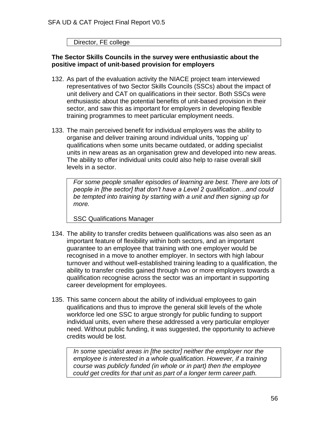Director, FE college

### **The Sector Skills Councils in the survey were enthusiastic about the positive impact of unit-based provision for employers**

- 132. As part of the evaluation activity the NIACE project team interviewed representatives of two Sector Skills Councils (SSCs) about the impact of unit delivery and CAT on qualifications in their sector. Both SSCs were enthusiastic about the potential benefits of unit-based provision in their sector, and saw this as important for employers in developing flexible training programmes to meet particular employment needs.
- 133. The main perceived benefit for individual employers was the ability to organise and deliver training around individual units, 'topping up' qualifications when some units became outdated, or adding specialist units in new areas as an organisation grew and developed into new areas. The ability to offer individual units could also help to raise overall skill levels in a sector.

*For some people smaller episodes of learning are best. There are lots of people in [the sector] that don't have a Level 2 qualification…and could be tempted into training by starting with a unit and then signing up for more.*

SSC Qualifications Manager

- 134. The ability to transfer credits between qualifications was also seen as an important feature of flexibility within both sectors, and an important guarantee to an employee that training with one employer would be recognised in a move to another employer. In sectors with high labour turnover and without well-established training leading to a qualification, the ability to transfer credits gained through two or more employers towards a qualification recognise across the sector was an important in supporting career development for employees.
- 135. This same concern about the ability of individual employees to gain qualifications and thus to improve the general skill levels of the whole workforce led one SSC to argue strongly for public funding to support individual units, even where these addressed a very particular employer need. Without public funding, it was suggested, the opportunity to achieve credits would be lost.

*In some specialist areas in [the sector] neither the employer nor the employee is interested in a whole qualification. However, if a training course was publicly funded (in whole or in part) then the employee could get credits for that unit as part of a longer term career path.*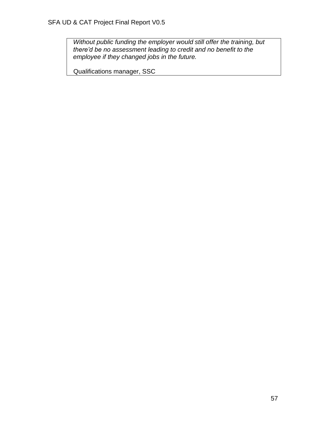*Without public funding the employer would still offer the training, but there'd be no assessment leading to credit and no benefit to the employee if they changed jobs in the future.*

Qualifications manager, SSC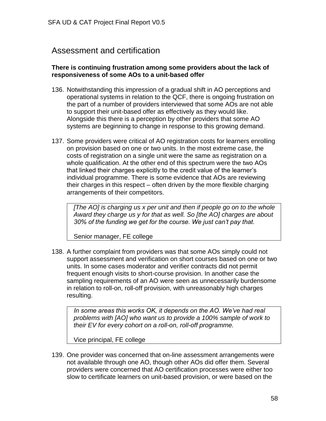# Assessment and certification

### **There is continuing frustration among some providers about the lack of responsiveness of some AOs to a unit-based offer**

- 136. Notwithstanding this impression of a gradual shift in AO perceptions and operational systems in relation to the QCF, there is ongoing frustration on the part of a number of providers interviewed that some AOs are not able to support their unit-based offer as effectively as they would like. Alongside this there is a perception by other providers that some AO systems are beginning to change in response to this growing demand.
- 137. Some providers were critical of AO registration costs for learners enrolling on provision based on one or two units. In the most extreme case, the costs of registration on a single unit were the same as registration on a whole qualification. At the other end of this spectrum were the two AOs that linked their charges explicitly to the credit value of the learner's individual programme. There is some evidence that AOs are reviewing their charges in this respect – often driven by the more flexible charging arrangements of their competitors.

*[The AO] is charging us x per unit and then if people go on to the whole Award they charge us y for that as well. So [the AO] charges are about 30% of the funding we get for the course. We just can't pay that.*

Senior manager, FE college

138. A further complaint from providers was that some AOs simply could not support assessment and verification on short courses based on one or two units. In some cases moderator and verifier contracts did not permit frequent enough visits to short-course provision. In another case the sampling requirements of an AO were seen as unnecessarily burdensome in relation to roll-on, roll-off provision, with unreasonably high charges resulting.

*In some areas this works OK, it depends on the AO. We've had real problems with [AO] who want us to provide a 100% sample of work to their EV for every cohort on a roll-on, roll-off programme.* 

Vice principal, FE college

139. One provider was concerned that on-line assessment arrangements were not available through one AO, though other AOs did offer them. Several providers were concerned that AO certification processes were either too slow to certificate learners on unit-based provision, or were based on the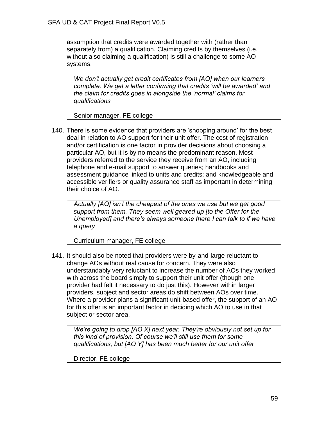assumption that credits were awarded together with (rather than separately from) a qualification. Claiming credits by themselves (i.e. without also claiming a qualification) is still a challenge to some AO systems.

*We don't actually get credit certificates from [AO] when our learners complete. We get a letter confirming that credits 'will be awarded' and the claim for credits goes in alongside the 'normal' claims for qualifications*

Senior manager, FE college

140. There is some evidence that providers are 'shopping around' for the best deal in relation to AO support for their unit offer. The cost of registration and/or certification is one factor in provider decisions about choosing a particular AO, but it is by no means the predominant reason. Most providers referred to the service they receive from an AO, including telephone and e-mail support to answer queries; handbooks and assessment guidance linked to units and credits; and knowledgeable and accessible verifiers or quality assurance staff as important in determining their choice of AO.

*Actually [AO] isn't the cheapest of the ones we use but we get good support from them. They seem well geared up [to the Offer for the Unemployed] and there's always someone there I can talk to if we have a query*

Curriculum manager, FE college

141. It should also be noted that providers were by-and-large reluctant to change AOs without real cause for concern. They were also understandably very reluctant to increase the number of AOs they worked with across the board simply to support their unit offer (though one provider had felt it necessary to do just this). However within larger providers, subject and sector areas do shift between AOs over time. Where a provider plans a significant unit-based offer, the support of an AO for this offer is an important factor in deciding which AO to use in that subject or sector area.

*We're going to drop [AO X] next year. They're obviously not set up for this kind of provision. Of course we'll still use them for some qualifications, but [AO Y] has been much better for our unit offer* 

Director, FE college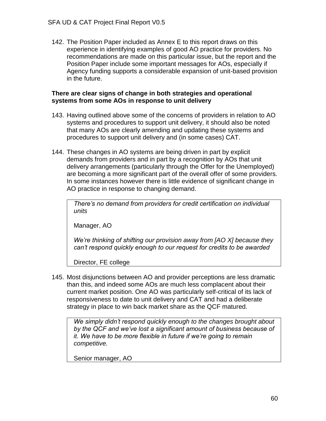142. The Position Paper included as Annex E to this report draws on this experience in identifying examples of good AO practice for providers. No recommendations are made on this particular issue, but the report and the Position Paper include some important messages for AOs, especially if Agency funding supports a considerable expansion of unit-based provision in the future.

### **There are clear signs of change in both strategies and operational systems from some AOs in response to unit delivery**

- 143. Having outlined above some of the concerns of providers in relation to AO systems and procedures to support unit delivery, it should also be noted that many AOs are clearly amending and updating these systems and procedures to support unit delivery and (in some cases) CAT.
- 144. These changes in AO systems are being driven in part by explicit demands from providers and in part by a recognition by AOs that unit delivery arrangements (particularly through the Offer for the Unemployed) are becoming a more significant part of the overall offer of some providers. In some instances however there is little evidence of significant change in AO practice in response to changing demand.

*There's no demand from providers for credit certification on individual units*

Manager, AO

*We're thinking of shifting our provision away from [AO X] because they can't respond quickly enough to our request for credits to be awarded*

Director, FE college

145. Most disjunctions between AO and provider perceptions are less dramatic than this, and indeed some AOs are much less complacent about their current market position. One AO was particularly self-critical of its lack of responsiveness to date to unit delivery and CAT and had a deliberate strategy in place to win back market share as the QCF matured.

*We simply didn't respond quickly enough to the changes brought about by the QCF and we've lost a significant amount of business because of it. We have to be more flexible in future if we're going to remain competitive.*

Senior manager, AO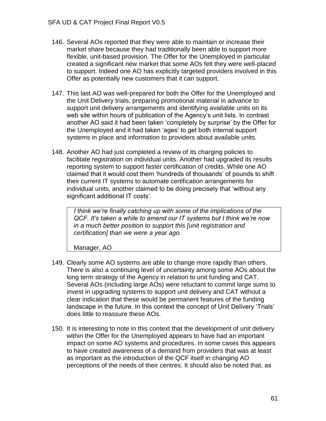- 146. Several AOs reported that they were able to maintain or increase their market share because they had traditionally been able to support more flexible, unit-based provision. The Offer for the Unemployed in particular created a significant new market that some AOs felt they were well-placed to support. Indeed one AO has explicitly targeted providers involved in this Offer as potentially new customers that it can support.
- 147. This last AO was well-prepared for both the Offer for the Unemployed and the Unit Delivery trials, preparing promotional material in advance to support unit delivery arrangements and identifying available units on its web site within hours of publication of the Agency's unit lists. In contrast another AO said it had been taken 'completely by surprise' by the Offer for the Unemployed and it had taken 'ages' to get both internal support systems in place and information to providers about available units.
- 148. Another AO had just completed a review of its charging policies to facilitate registration on individual units. Another had upgraded its results reporting system to support faster certification of credits. While one AO claimed that it would cost them 'hundreds of thousands' of pounds to shift their current IT systems to automate certification arrangements for individual units, another claimed to be doing precisely that 'without any significant additional IT costs'.

*I think we're finally catching up with some of the implications of the QCF. It's taken a while to amend our IT systems but I think we're now in a much better position to support this [unit registration and certification] than we were a year ago.*

Manager, AO

- 149. Clearly some AO systems are able to change more rapidly than others. There is also a continuing level of uncertainty among some AOs about the long term strategy of the Agency in relation to unit funding and CAT. Several AOs (including large AOs) were reluctant to commit large sums to invest in upgrading systems to support unit delivery and CAT without a clear indication that these would be permanent features of the funding landscape in the future. In this context the concept of Unit Delivery 'Trials' does little to reassure these AOs.
- 150. It is interesting to note in this context that the development of unit delivery within the Offer for the Unemployed appears to have had an important impact on some AO systems and procedures. In some cases this appears to have created awareness of a demand from providers that was at least as important as the introduction of the QCF itself in changing AO perceptions of the needs of their centres. It should also be noted that, as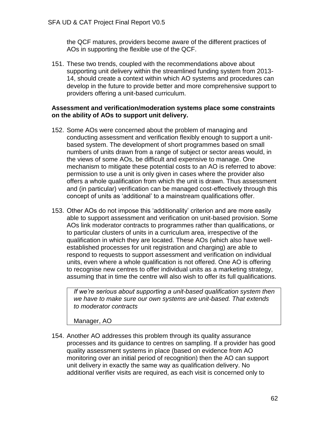the QCF matures, providers become aware of the different practices of AOs in supporting the flexible use of the QCF.

151. These two trends, coupled with the recommendations above about supporting unit delivery within the streamlined funding system from 2013- 14, should create a context within which AO systems and procedures can develop in the future to provide better and more comprehensive support to providers offering a unit-based curriculum.

### **Assessment and verification/moderation systems place some constraints on the ability of AOs to support unit delivery.**

- 152. Some AOs were concerned about the problem of managing and conducting assessment and verification flexibly enough to support a unitbased system. The development of short programmes based on small numbers of units drawn from a range of subject or sector areas would, in the views of some AOs, be difficult and expensive to manage. One mechanism to mitigate these potential costs to an AO is referred to above: permission to use a unit is only given in cases where the provider also offers a whole qualification from which the unit is drawn. Thus assessment and (in particular) verification can be managed cost-effectively through this concept of units as 'additional' to a mainstream qualifications offer.
- 153. Other AOs do not impose this 'additionality' criterion and are more easily able to support assessment and verification on unit-based provision. Some AOs link moderator contracts to programmes rather than qualifications, or to particular clusters of units in a curriculum area, irrespective of the qualification in which they are located. These AOs (which also have wellestablished processes for unit registration and charging) are able to respond to requests to support assessment and verification on individual units, even where a whole qualification is not offered. One AO is offering to recognise new centres to offer individual units as a marketing strategy, assuming that in time the centre will also wish to offer its full qualifications.

*If we're serious about supporting a unit-based qualification system then we have to make sure our own systems are unit-based. That extends to moderator contracts*

Manager, AO

154. Another AO addresses this problem through its quality assurance processes and its guidance to centres on sampling. If a provider has good quality assessment systems in place (based on evidence from AO monitoring over an initial period of recognition) then the AO can support unit delivery in exactly the same way as qualification delivery. No additional verifier visits are required, as each visit is concerned only to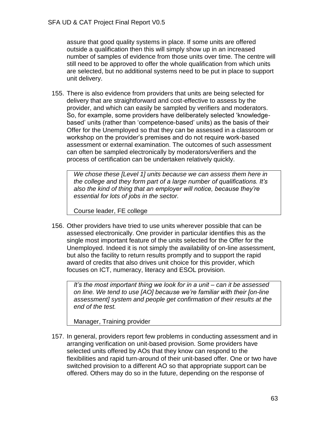assure that good quality systems in place. If some units are offered outside a qualification then this will simply show up in an increased number of samples of evidence from those units over time. The centre will still need to be approved to offer the whole qualification from which units are selected, but no additional systems need to be put in place to support unit delivery.

155. There is also evidence from providers that units are being selected for delivery that are straightforward and cost-effective to assess by the provider, and which can easily be sampled by verifiers and moderators. So, for example, some providers have deliberately selected 'knowledgebased' units (rather than 'competence-based' units) as the basis of their Offer for the Unemployed so that they can be assessed in a classroom or workshop on the provider's premises and do not require work-based assessment or external examination. The outcomes of such assessment can often be sampled electronically by moderators/verifiers and the process of certification can be undertaken relatively quickly.

*We chose these [Level 1] units because we can assess them here in the college and they form part of a large number of qualifications. It's also the kind of thing that an employer will notice, because they're essential for lots of jobs in the sector.*

Course leader, FE college

156. Other providers have tried to use units wherever possible that can be assessed electronically. One provider in particular identifies this as the single most important feature of the units selected for the Offer for the Unemployed. Indeed it is not simply the availability of on-line assessment, but also the facility to return results promptly and to support the rapid award of credits that also drives unit choice for this provider, which focuses on ICT, numeracy, literacy and ESOL provision.

*It's the most important thing we look for in a unit – can it be assessed on line. We tend to use [AO] because we're familiar with their [on-line assessment] system and people get confirmation of their results at the end of the test.*

Manager, Training provider

157. In general, providers report few problems in conducting assessment and in arranging verification on unit-based provision. Some providers have selected units offered by AOs that they know can respond to the flexibilities and rapid turn-around of their unit-based offer. One or two have switched provision to a different AO so that appropriate support can be offered. Others may do so in the future, depending on the response of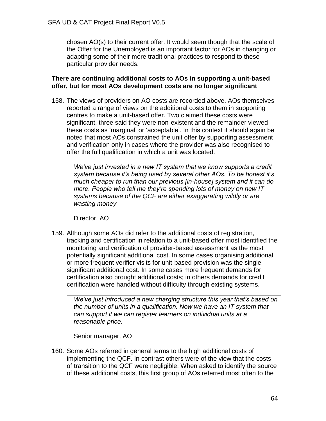chosen AO(s) to their current offer. It would seem though that the scale of the Offer for the Unemployed is an important factor for AOs in changing or adapting some of their more traditional practices to respond to these particular provider needs.

### **There are continuing additional costs to AOs in supporting a unit-based offer, but for most AOs development costs are no longer significant**

158. The views of providers on AO costs are recorded above. AOs themselves reported a range of views on the additional costs to them in supporting centres to make a unit-based offer. Two claimed these costs were significant, three said they were non-existent and the remainder viewed these costs as 'marginal' or 'acceptable'. In this context it should again be noted that most AOs constrained the unit offer by supporting assessment and verification only in cases where the provider was also recognised to offer the full qualification in which a unit was located.

*We've just invested in a new IT system that we know supports a credit system because it's being used by several other AOs. To be honest it's much cheaper to run than our previous [in-house] system and it can do more. People who tell me they're spending lots of money on new IT systems because of the QCF are either exaggerating wildly or are wasting money*

Director, AO

159. Although some AOs did refer to the additional costs of registration, tracking and certification in relation to a unit-based offer most identified the monitoring and verification of provider-based assessment as the most potentially significant additional cost. In some cases organising additional or more frequent verifier visits for unit-based provision was the single significant additional cost. In some cases more frequent demands for certification also brought additional costs; in others demands for credit certification were handled without difficulty through existing systems.

*We've just introduced a new charging structure this year that's based on the number of units in a qualification. Now we have an IT system that can support it we can register learners on individual units at a reasonable price.*

Senior manager, AO

160. Some AOs referred in general terms to the high additional costs of implementing the QCF. In contrast others were of the view that the costs of transition to the QCF were negligible. When asked to identify the source of these additional costs, this first group of AOs referred most often to the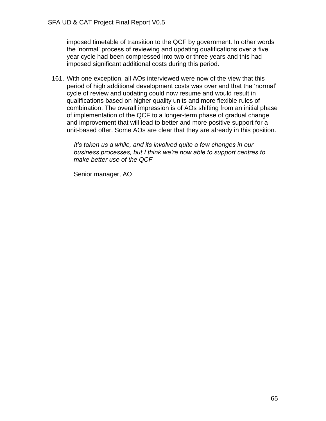imposed timetable of transition to the QCF by government. In other words the 'normal' process of reviewing and updating qualifications over a five year cycle had been compressed into two or three years and this had imposed significant additional costs during this period.

161. With one exception, all AOs interviewed were now of the view that this period of high additional development costs was over and that the 'normal' cycle of review and updating could now resume and would result in qualifications based on higher quality units and more flexible rules of combination. The overall impression is of AOs shifting from an initial phase of implementation of the QCF to a longer-term phase of gradual change and improvement that will lead to better and more positive support for a unit-based offer. Some AOs are clear that they are already in this position.

*It's taken us a while, and its involved quite a few changes in our business processes, but I think we're now able to support centres to make better use of the QCF*

Senior manager, AO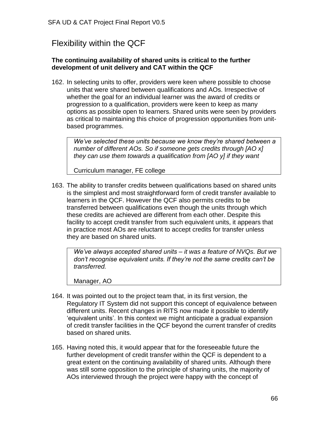# Flexibility within the QCF

## **The continuing availability of shared units is critical to the further development of unit delivery and CAT within the QCF**

162. In selecting units to offer, providers were keen where possible to choose units that were shared between qualifications and AOs. Irrespective of whether the goal for an individual learner was the award of credits or progression to a qualification, providers were keen to keep as many options as possible open to learners. Shared units were seen by providers as critical to maintaining this choice of progression opportunities from unitbased programmes.

*We've selected these units because we know they're shared between a number of different AOs. So if someone gets credits through [AO x] they can use them towards a qualification from [AO y] if they want*

Curriculum manager, FE college

163. The ability to transfer credits between qualifications based on shared units is the simplest and most straightforward form of credit transfer available to learners in the QCF. However the QCF also permits credits to be transferred between qualifications even though the units through which these credits are achieved are different from each other. Despite this facility to accept credit transfer from such equivalent units, it appears that in practice most AOs are reluctant to accept credits for transfer unless they are based on shared units.

*We've always accepted shared units – it was a feature of NVQs. But we don't recognise equivalent units. If they're not the same credits can't be transferred.*

Manager, AO

- 164. It was pointed out to the project team that, in its first version, the Regulatory IT System did not support this concept of equivalence between different units. Recent changes in RITS now made it possible to identify 'equivalent units'. In this context we might anticipate a gradual expansion of credit transfer facilities in the QCF beyond the current transfer of credits based on shared units.
- 165. Having noted this, it would appear that for the foreseeable future the further development of credit transfer within the QCF is dependent to a great extent on the continuing availability of shared units. Although there was still some opposition to the principle of sharing units, the majority of AOs interviewed through the project were happy with the concept of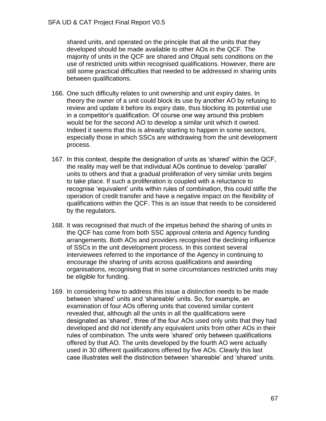shared units, and operated on the principle that all the units that they developed should be made available to other AOs in the QCF. The majority of units in the QCF are shared and Ofqual sets conditions on the use of restricted units within recognised qualifications. However, there are still some practical difficulties that needed to be addressed in sharing units between qualifications.

- 166. One such difficulty relates to unit ownership and unit expiry dates. In theory the owner of a unit could block its use by another AO by refusing to review and update it before its expiry date, thus blocking its potential use in a competitor's qualification. Of course one way around this problem would be for the second AO to develop a similar unit which it owned. Indeed it seems that this is already starting to happen in some sectors, especially those in which SSCs are withdrawing from the unit development process.
- 167. In this context, despite the designation of units as 'shared' within the QCF, the reality may well be that individual AOs continue to develop 'parallel' units to others and that a gradual proliferation of very similar units begins to take place. If such a proliferation is coupled with a reluctance to recognise 'equivalent' units within rules of combination, this could stifle the operation of credit transfer and have a negative impact on the flexibility of qualifications within the QCF. This is an issue that needs to be considered by the regulators.
- 168. It was recognised that much of the impetus behind the sharing of units in the QCF has come from both SSC approval criteria and Agency funding arrangements. Both AOs and providers recognised the declining influence of SSCs in the unit development process. In this context several interviewees referred to the importance of the Agency in continuing to encourage the sharing of units across qualifications and awarding organisations, recognising that in some circumstances restricted units may be eligible for funding.
- 169. In considering how to address this issue a distinction needs to be made between 'shared' units and 'shareable' units. So, for example, an examination of four AOs offering units that covered similar content revealed that, although all the units in all the qualifications were designated as 'shared', three of the four AOs used only units that they had developed and did not identify any equivalent units from other AOs in their rules of combination. The units were 'shared' only between qualifications offered by that AO. The units developed by the fourth AO were actually used in 30 different qualifications offered by five AOs. Clearly this last case illustrates well the distinction between 'shareable' and 'shared' units.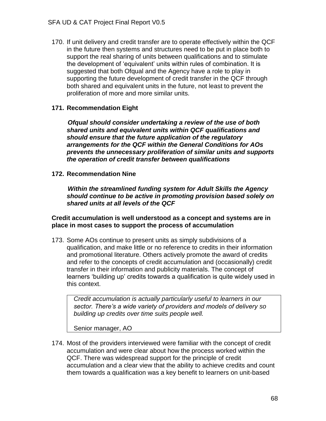170. If unit delivery and credit transfer are to operate effectively within the QCF in the future then systems and structures need to be put in place both to support the real sharing of units between qualifications and to stimulate the development of 'equivalent' units within rules of combination. It is suggested that both Ofqual and the Agency have a role to play in supporting the future development of credit transfer in the QCF through both shared and equivalent units in the future, not least to prevent the proliferation of more and more similar units.

## **171. Recommendation Eight**

 *Ofqual should consider undertaking a review of the use of both shared units and equivalent units within QCF qualifications and should ensure that the future application of the regulatory arrangements for the QCF within the General Conditions for AOs prevents the unnecessary proliferation of similar units and supports the operation of credit transfer between qualifications*

**172. Recommendation Nine**

 *Within the streamlined funding system for Adult Skills the Agency should continue to be active in promoting provision based solely on shared units at all levels of the QCF*

**Credit accumulation is well understood as a concept and systems are in place in most cases to support the process of accumulation**

173. Some AOs continue to present units as simply subdivisions of a qualification, and make little or no reference to credits in their information and promotional literature. Others actively promote the award of credits and refer to the concepts of credit accumulation and (occasionally) credit transfer in their information and publicity materials. The concept of learners 'building up' credits towards a qualification is quite widely used in this context.

*Credit accumulation is actually particularly useful to learners in our sector. There's a wide variety of providers and models of delivery so building up credits over time suits people well.*

Senior manager, AO

174. Most of the providers interviewed were familiar with the concept of credit accumulation and were clear about how the process worked within the QCF. There was widespread support for the principle of credit accumulation and a clear view that the ability to achieve credits and count them towards a qualification was a key benefit to learners on unit-based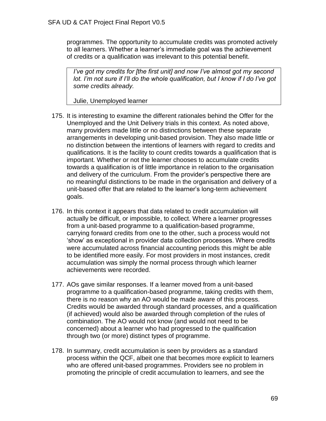programmes. The opportunity to accumulate credits was promoted actively to all learners. Whether a learner's immediate goal was the achievement of credits or a qualification was irrelevant to this potential benefit.

*I've got my credits for [the first unit] and now I've almost got my second lot. I'm not sure if I'll do the whole qualification, but I know if I do I've got some credits already.*

Julie, Unemployed learner

- 175. It is interesting to examine the different rationales behind the Offer for the Unemployed and the Unit Delivery trials in this context. As noted above, many providers made little or no distinctions between these separate arrangements in developing unit-based provision. They also made little or no distinction between the intentions of learners with regard to credits and qualifications. It is the facility to count credits towards a qualification that is important*.* Whether or not the learner chooses to accumulate credits towards a qualification is of little importance in relation to the organisation and delivery of the curriculum. From the provider's perspective there are no meaningful distinctions to be made in the organisation and delivery of a unit-based offer that are related to the learner's long-term achievement goals.
- 176. In this context it appears that data related to credit accumulation will actually be difficult, or impossible, to collect. Where a learner progresses from a unit-based programme to a qualification-based programme, carrying forward credits from one to the other, such a process would not 'show' as exceptional in provider data collection processes. Where credits were accumulated across financial accounting periods this might be able to be identified more easily. For most providers in most instances, credit accumulation was simply the normal process through which learner achievements were recorded.
- 177. AOs gave similar responses. If a learner moved from a unit-based programme to a qualification-based programme, taking credits with them, there is no reason why an AO would be made aware of this process. Credits would be awarded through standard processes, and a qualification (if achieved) would also be awarded through completion of the rules of combination. The AO would not know (and would not need to be concerned) about a learner who had progressed to the qualification through two (or more) distinct types of programme.
- 178. In summary, credit accumulation is seen by providers as a standard process within the QCF, albeit one that becomes more explicit to learners who are offered unit-based programmes. Providers see no problem in promoting the principle of credit accumulation to learners, and see the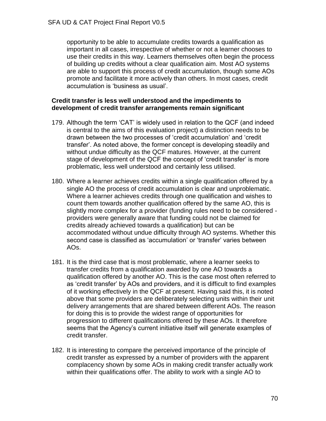opportunity to be able to accumulate credits towards a qualification as important in all cases, irrespective of whether or not a learner chooses to use their credits in this way. Learners themselves often begin the process of building up credits without a clear qualification aim. Most AO systems are able to support this process of credit accumulation, though some AOs promote and facilitate it more actively than others. In most cases, credit accumulation is 'business as usual'.

### **Credit transfer is less well understood and the impediments to development of credit transfer arrangements remain significant**

- 179. Although the term 'CAT' is widely used in relation to the QCF (and indeed is central to the aims of this evaluation project) a distinction needs to be drawn between the two processes of 'credit accumulation' and 'credit transfer'. As noted above, the former concept is developing steadily and without undue difficulty as the QCF matures. However, at the current stage of development of the QCF the concept of 'credit transfer' is more problematic, less well understood and certainly less utilised.
- 180. Where a learner achieves credits within a single qualification offered by a single AO the process of credit accumulation is clear and unproblematic. Where a learner achieves credits through one qualification and wishes to count them towards another qualification offered by the same AO, this is slightly more complex for a provider (funding rules need to be considered providers were generally aware that funding could not be claimed for credits already achieved towards a qualification) but can be accommodated without undue difficulty through AO systems. Whether this second case is classified as 'accumulation' or 'transfer' varies between AOs.
- 181. It is the third case that is most problematic, where a learner seeks to transfer credits from a qualification awarded by one AO towards a qualification offered by another AO. This is the case most often referred to as 'credit transfer' by AOs and providers, and it is difficult to find examples of it working effectively in the QCF at present. Having said this, it is noted above that some providers are deliberately selecting units within their unit delivery arrangements that are shared between different AOs. The reason for doing this is to provide the widest range of opportunities for progression to different qualifications offered by these AOs. It therefore seems that the Agency's current initiative itself will generate examples of credit transfer.
- 182. It is interesting to compare the perceived importance of the principle of credit transfer as expressed by a number of providers with the apparent complacency shown by some AOs in making credit transfer actually work within their qualifications offer. The ability to work with a single AO to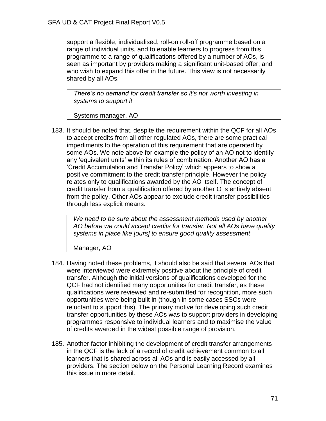support a flexible, individualised, roll-on roll-off programme based on a range of individual units, and to enable learners to progress from this programme to a range of qualifications offered by a number of AOs, is seen as important by providers making a significant unit-based offer, and who wish to expand this offer in the future. This view is not necessarily shared by all AOs.

*There's no demand for credit transfer so it's not worth investing in systems to support it*

Systems manager, AO

183. It should be noted that, despite the requirement within the QCF for all AOs to accept credits from all other regulated AOs, there are some practical impediments to the operation of this requirement that are operated by some AOs. We note above for example the policy of an AO not to identify any 'equivalent units' within its rules of combination. Another AO has a 'Credit Accumulation and Transfer Policy' which appears to show a positive commitment to the credit transfer principle. However the policy relates only to qualifications awarded by the AO itself. The concept of credit transfer from a qualification offered by another O is entirely absent from the policy. Other AOs appear to exclude credit transfer possibilities through less explicit means.

*We need to be sure about the assessment methods used by another AO before we could accept credits for transfer. Not all AOs have quality systems in place like [ours] to ensure good quality assessment*

Manager, AO

- 184. Having noted these problems, it should also be said that several AOs that were interviewed were extremely positive about the principle of credit transfer. Although the initial versions of qualifications developed for the QCF had not identified many opportunities for credit transfer, as these qualifications were reviewed and re-submitted for recognition, more such opportunities were being built in (though in some cases SSCs were reluctant to support this). The primary motive for developing such credit transfer opportunities by these AOs was to support providers in developing programmes responsive to individual learners and to maximise the value of credits awarded in the widest possible range of provision.
- 185. Another factor inhibiting the development of credit transfer arrangements in the QCF is the lack of a record of credit achievement common to all learners that is shared across all AOs and is easily accessed by all providers. The section below on the Personal Learning Record examines this issue in more detail.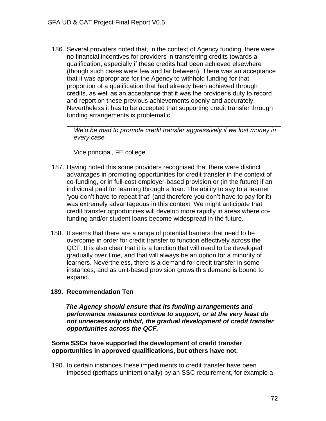186. Several providers noted that, in the context of Agency funding, there were no financial incentives for providers in transferring credits towards a qualification, especially if these credits had been achieved elsewhere (though such cases were few and far between). There was an acceptance that it was appropriate for the Agency to withhold funding for that proportion of a qualification that had already been achieved through credits, as well as an acceptance that it was the provider's duty to record and report on these previous achievements openly and accurately. Nevertheless it has to be accepted that supporting credit transfer through funding arrangements is problematic.

*We'd be mad to promote credit transfer aggressively if we lost money in every case*

Vice principal, FE college

- 187. Having noted this some providers recognised that there were distinct advantages in promoting opportunities for credit transfer in the context of co-funding, or in full-cost employer-based provision or (in the future) if an individual paid for learning through a loan. The ability to say to a learner 'you don't have to repeat that' (and therefore you don't have to pay for it) was extremely advantageous in this context. We might anticipate that credit transfer opportunities will develop more rapidly in areas where cofunding and/or student loans become widespread in the future.
- 188. It seems that there are a range of potential barriers that need to be overcome in order for credit transfer to function effectively across the QCF. It is also clear that it is a function that will need to be developed gradually over time, and that will always be an option for a minority of learners. Nevertheless, there is a demand for credit transfer in some instances, and as unit-based provision grows this demand is bound to expand.

### **189. Recommendation Ten**

 *The Agency should ensure that its funding arrangements and performance measures continue to support, or at the very least do not unnecessarily inhibit, the gradual development of credit transfer opportunities across the QCF.*

### **Some SSCs have supported the development of credit transfer opportunities in approved qualifications, but others have not.**

190. In certain instances these impediments to credit transfer have been imposed (perhaps unintentionally) by an SSC requirement, for example a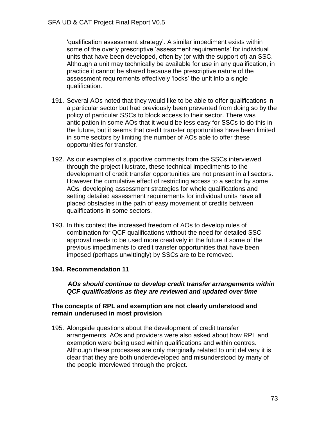'qualification assessment strategy'. A similar impediment exists within some of the overly prescriptive 'assessment requirements' for individual units that have been developed, often by (or with the support of) an SSC. Although a unit may technically be available for use in any qualification, in practice it cannot be shared because the prescriptive nature of the assessment requirements effectively 'locks' the unit into a single qualification.

- 191. Several AOs noted that they would like to be able to offer qualifications in a particular sector but had previously been prevented from doing so by the policy of particular SSCs to block access to their sector. There was anticipation in some AOs that it would be less easy for SSCs to do this in the future, but it seems that credit transfer opportunities have been limited in some sectors by limiting the number of AOs able to offer these opportunities for transfer.
- 192. As our examples of supportive comments from the SSCs interviewed through the project illustrate, these technical impediments to the development of credit transfer opportunities are not present in all sectors. However the cumulative effect of restricting access to a sector by some AOs, developing assessment strategies for whole qualifications and setting detailed assessment requirements for individual units have all placed obstacles in the path of easy movement of credits between qualifications in some sectors.
- 193. In this context the increased freedom of AOs to develop rules of combination for QCF qualifications without the need for detailed SSC approval needs to be used more creatively in the future if some of the previous impediments to credit transfer opportunities that have been imposed (perhaps unwittingly) by SSCs are to be removed.

### **194. Recommendation 11**

 *AOs should continue to develop credit transfer arrangements within QCF qualifications as they are reviewed and updated over time*

### **The concepts of RPL and exemption are not clearly understood and remain underused in most provision**

195. Alongside questions about the development of credit transfer arrangements, AOs and providers were also asked about how RPL and exemption were being used within qualifications and within centres. Although these processes are only marginally related to unit delivery it is clear that they are both underdeveloped and misunderstood by many of the people interviewed through the project.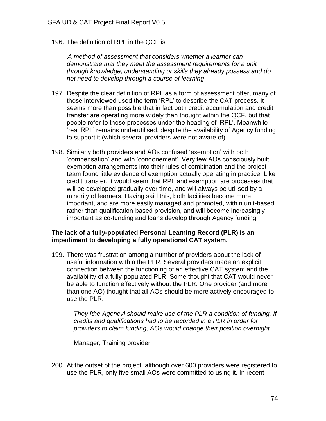196. The definition of RPL in the QCF is

 *A method of assessment that considers whether a learner can demonstrate that they meet the assessment requirements for a unit through knowledge, understanding or skills they already possess and do not need to develop through a course of learning*

- 197. Despite the clear definition of RPL as a form of assessment offer, many of those interviewed used the term 'RPL' to describe the CAT process. It seems more than possible that in fact both credit accumulation and credit transfer are operating more widely than thought within the QCF, but that people refer to these processes under the heading of 'RPL'. Meanwhile 'real RPL' remains underutilised, despite the availability of Agency funding to support it (which several providers were not aware of).
- 198. Similarly both providers and AOs confused 'exemption' with both 'compensation' and with 'condonement'. Very few AOs consciously built exemption arrangements into their rules of combination and the project team found little evidence of exemption actually operating in practice. Like credit transfer, it would seem that RPL and exemption are processes that will be developed gradually over time, and will always be utilised by a minority of learners. Having said this, both facilities become more important, and are more easily managed and promoted, within unit-based rather than qualification-based provision, and will become increasingly important as co-funding and loans develop through Agency funding.

#### **The lack of a fully-populated Personal Learning Record (PLR) is an impediment to developing a fully operational CAT system.**

199. There was frustration among a number of providers about the lack of useful information within the PLR. Several providers made an explicit connection between the functioning of an effective CAT system and the availability of a fully-populated PLR. Some thought that CAT would never be able to function effectively without the PLR. One provider (and more than one AO) thought that all AOs should be more actively encouraged to use the PLR.

*They [the Agency] should make use of the PLR a condition of funding. If credits and qualifications had to be recorded in a PLR in order for providers to claim funding, AOs would change their position overnight*

Manager, Training provider

200. At the outset of the project, although over 600 providers were registered to use the PLR, only five small AOs were committed to using it. In recent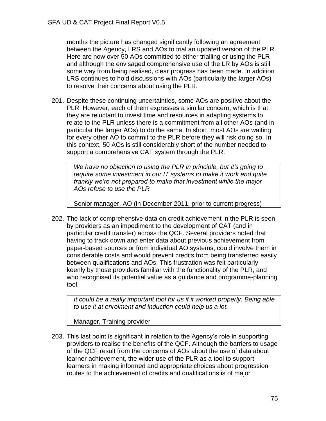months the picture has changed significantly following an agreement between the Agency, LRS and AOs to trial an updated version of the PLR. Here are now over 50 AOs committed to either trialling or using the PLR and although the envisaged comprehensive use of the LR by AOs is still some way from being realised, clear progress has been made. In addition LRS continues to hold discussions with AOs (particularly the larger AOs) to resolve their concerns about using the PLR.

201. Despite these continuing uncertainties, some AOs are positive about the PLR. However, each of them expresses a similar concern, which is that they are reluctant to invest time and resources in adapting systems to relate to the PLR unless there is a commitment from all other AOs (and in particular the larger AOs) to do the same. In short, most AOs are waiting for every other AO to commit to the PLR before they will risk doing so. In this context, 50 AOs is still considerably short of the number needed to support a comprehensive CAT system through the PLR.

*We have no objection to using the PLR in principle, but it's going to require some investment in our IT systems to make it work and quite frankly we're not prepared to make that investment while the major AOs refuse to use the PLR*

Senior manager, AO (in December 2011, prior to current progress)

202. The lack of comprehensive data on credit achievement in the PLR is seen by providers as an impediment to the development of CAT (and in particular credit transfer) across the QCF. Several providers noted that having to track down and enter data about previous achievement from paper-based sources or from individual AO systems, could involve them in considerable costs and would prevent credits from being transferred easily between qualifications and AOs. This frustration was felt particularly keenly by those providers familiar with the functionality of the PLR, and who recognised its potential value as a guidance and programme-planning tool.

*It could be a really important tool for us if it worked properly. Being able to use it at enrolment and induction could help us a lot.*

Manager, Training provider

203. This last point is significant in relation to the Agency's role in supporting providers to realise the benefits of the QCF. Although the barriers to usage of the QCF result from the concerns of AOs about the use of data about learner achievement, the wider use of the PLR as a tool to support learners in making informed and appropriate choices about progression routes to the achievement of credits and qualifications is of major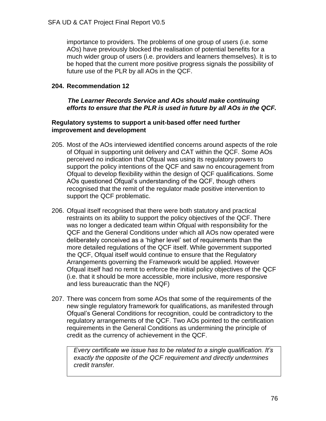importance to providers. The problems of one group of users (i.e. some AOs) have previously blocked the realisation of potential benefits for a much wider group of users (i.e. providers and learners themselves). It is to be hoped that the current more positive progress signals the possibility of future use of the PLR by all AOs in the QCF.

### **204. Recommendation 12**

#### *The Learner Records Service and AOs should make continuing efforts to ensure that the PLR is used in future by all AOs in the QCF.*

#### **Regulatory systems to support a unit-based offer need further improvement and development**

- 205. Most of the AOs interviewed identified concerns around aspects of the role of Ofqual in supporting unit delivery and CAT within the QCF. Some AOs perceived no indication that Ofqual was using its regulatory powers to support the policy intentions of the QCF and saw no encouragement from Ofqual to develop flexibility within the design of QCF qualifications. Some AOs questioned Ofqual's understanding of the QCF, though others recognised that the remit of the regulator made positive intervention to support the QCF problematic.
- 206. Ofqual itself recognised that there were both statutory and practical restraints on its ability to support the policy objectives of the QCF. There was no longer a dedicated team within Ofqual with responsibility for the QCF and the General Conditions under which all AOs now operated were deliberately conceived as a 'higher level' set of requirements than the more detailed regulations of the QCF itself. While government supported the QCF, Ofqual itself would continue to ensure that the Regulatory Arrangements governing the Framework would be applied. However Ofqual itself had no remit to enforce the initial policy objectives of the QCF (i.e. that it should be more accessible, more inclusive, more responsive and less bureaucratic than the NQF)
- 207. There was concern from some AOs that some of the requirements of the new single regulatory framework for qualifications, as manifested through Ofqual's General Conditions for recognition, could be contradictory to the regulatory arrangements of the QCF. Two AOs pointed to the certification requirements in the General Conditions as undermining the principle of credit as the currency of achievement in the QCF.

*Every certificate we issue has to be related to a single qualification. It's exactly the opposite of the QCF requirement and directly undermines credit transfer.*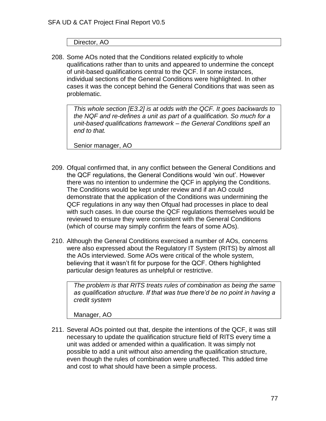Director, AO

208. Some AOs noted that the Conditions related explicitly to whole qualifications rather than to units and appeared to undermine the concept of unit-based qualifications central to the QCF. In some instances, individual sections of the General Conditions were highlighted. In other cases it was the concept behind the General Conditions that was seen as problematic.

*This whole section [E3.2] is at odds with the QCF. It goes backwards to the NQF and re-defines a unit as part of a qualification. So much for a unit-based qualifications framework – the General Conditions spell an end to that.*

Senior manager, AO

- 209. Ofqual confirmed that, in any conflict between the General Conditions and the QCF regulations, the General Conditions would 'win out'. However there was no intention to undermine the QCF in applying the Conditions. The Conditions would be kept under review and if an AO could demonstrate that the application of the Conditions was undermining the QCF regulations in any way then Ofqual had processes in place to deal with such cases. In due course the QCF regulations themselves would be reviewed to ensure they were consistent with the General Conditions (which of course may simply confirm the fears of some AOs).
- 210. Although the General Conditions exercised a number of AOs, concerns were also expressed about the Regulatory IT System (RITS) by almost all the AOs interviewed. Some AOs were critical of the whole system, believing that it wasn't fit for purpose for the QCF. Others highlighted particular design features as unhelpful or restrictive.

*The problem is that RITS treats rules of combination as being the same as qualification structure. If that was true there'd be no point in having a credit system*

Manager, AO

211. Several AOs pointed out that, despite the intentions of the QCF, it was still necessary to update the qualification structure field of RITS every time a unit was added or amended within a qualification. It was simply not possible to add a unit without also amending the qualification structure, even though the rules of combination were unaffected. This added time and cost to what should have been a simple process.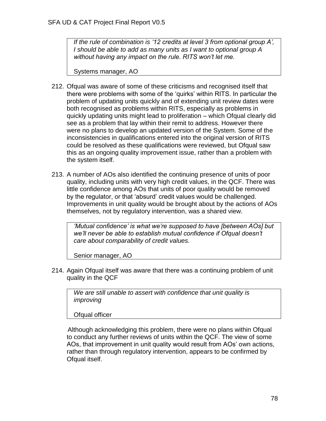*If the rule of combination is '12 credits at level 3 from optional group A', I should be able to add as many units as I want to optional group A without having any impact on the rule. RITS won't let me.*

Systems manager, AO

- 212. Ofqual was aware of some of these criticisms and recognised itself that there were problems with some of the 'quirks' within RITS. In particular the problem of updating units quickly and of extending unit review dates were both recognised as problems within RITS, especially as problems in quickly updating units might lead to proliferation – which Ofqual clearly did see as a problem that lay within their remit to address. However there were no plans to develop an updated version of the System. Some of the inconsistencies in qualifications entered into the original version of RITS could be resolved as these qualifications were reviewed, but Ofqual saw this as an ongoing quality improvement issue, rather than a problem with the system itself.
- 213. A number of AOs also identified the continuing presence of units of poor quality, including units with very high credit values, in the QCF. There was little confidence among AOs that units of poor quality would be removed by the regulator, or that 'absurd' credit values would be challenged. Improvements in unit quality would be brought about by the actions of AOs themselves, not by regulatory intervention, was a shared view.

*'Mutual confidence' is what we're supposed to have [between AOs] but we'll never be able to establish mutual confidence if Ofqual doesn't care about comparability of credit values.*

Senior manager, AO

214. Again Ofqual itself was aware that there was a continuing problem of unit quality in the QCF

*We are still unable to assert with confidence that unit quality is improving*

Ofqual officer

 Although acknowledging this problem, there were no plans within Ofqual to conduct any further reviews of units within the QCF. The view of some AOs, that improvement in unit quality would result from AOs' own actions, rather than through regulatory intervention, appears to be confirmed by Ofqual itself.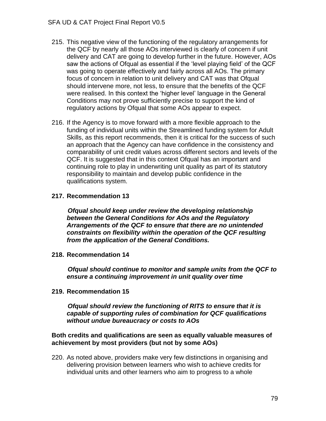- 215. This negative view of the functioning of the regulatory arrangements for the QCF by nearly all those AOs interviewed is clearly of concern if unit delivery and CAT are going to develop further in the future. However, AOs saw the actions of Ofqual as essential if the 'level playing field' of the QCF was going to operate effectively and fairly across all AOs. The primary focus of concern in relation to unit delivery and CAT was that Ofqual should intervene more, not less, to ensure that the benefits of the QCF were realised. In this context the 'higher level' language in the General Conditions may not prove sufficiently precise to support the kind of regulatory actions by Ofqual that some AOs appear to expect.
- 216. If the Agency is to move forward with a more flexible approach to the funding of individual units within the Streamlined funding system for Adult Skills, as this report recommends, then it is critical for the success of such an approach that the Agency can have confidence in the consistency and comparability of unit credit values across different sectors and levels of the QCF. It is suggested that in this context Ofqual has an important and continuing role to play in underwriting unit quality as part of its statutory responsibility to maintain and develop public confidence in the qualifications system.

### **217. Recommendation 13**

 *Ofqual should keep under review the developing relationship between the General Conditions for AOs and the Regulatory Arrangements of the QCF to ensure that there are no unintended constraints on flexibility within the operation of the QCF resulting from the application of the General Conditions.*

**218. Recommendation 14**

 *Ofqual should continue to monitor and sample units from the QCF to ensure a continuing improvement in unit quality over time*

**219. Recommendation 15**

 *Ofqual should review the functioning of RITS to ensure that it is capable of supporting rules of combination for QCF qualifications without undue bureaucracy or costs to AOs*

#### **Both credits and qualifications are seen as equally valuable measures of achievement by most providers (but not by some AOs)**

220. As noted above, providers make very few distinctions in organising and delivering provision between learners who wish to achieve credits for individual units and other learners who aim to progress to a whole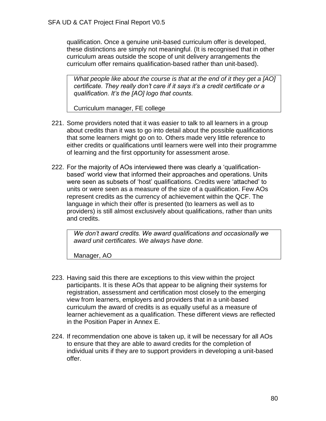qualification. Once a genuine unit-based curriculum offer is developed, these distinctions are simply not meaningful. (It is recognised that in other curriculum areas outside the scope of unit delivery arrangements the curriculum offer remains qualification-based rather than unit-based).

*What people like about the course is that at the end of it they get a [AO] certificate. They really don't care if it says it's a credit certificate or a qualification. It's the [AO] logo that counts.*

Curriculum manager, FE college

- 221. Some providers noted that it was easier to talk to all learners in a group about credits than it was to go into detail about the possible qualifications that some learners might go on to. Others made very little reference to either credits or qualifications until learners were well into their programme of learning and the first opportunity for assessment arose.
- 222. For the majority of AOs interviewed there was clearly a 'qualificationbased' world view that informed their approaches and operations. Units were seen as subsets of 'host' qualifications. Credits were 'attached' to units or were seen as a measure of the size of a qualification. Few AOs represent credits as the currency of achievement within the QCF. The language in which their offer is presented (to learners as well as to providers) is still almost exclusively about qualifications, rather than units and credits.

*We don't award credits. We award qualifications and occasionally we award unit certificates. We always have done.*

Manager, AO

- 223. Having said this there are exceptions to this view within the project participants. It is these AOs that appear to be aligning their systems for registration, assessment and certification most closely to the emerging view from learners, employers and providers that in a unit-based curriculum the award of credits is as equally useful as a measure of learner achievement as a qualification. These different views are reflected in the Position Paper in Annex E.
- 224. If recommendation one above is taken up, it will be necessary for all AOs to ensure that they are able to award credits for the completion of individual units if they are to support providers in developing a unit-based offer.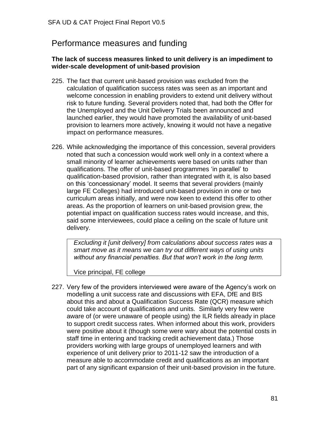# Performance measures and funding

#### **The lack of success measures linked to unit delivery is an impediment to wider-scale development of unit-based provision**

- 225. The fact that current unit-based provision was excluded from the calculation of qualification success rates was seen as an important and welcome concession in enabling providers to extend unit delivery without risk to future funding. Several providers noted that, had both the Offer for the Unemployed and the Unit Delivery Trials been announced and launched earlier, they would have promoted the availability of unit-based provision to learners more actively, knowing it would not have a negative impact on performance measures.
- 226. While acknowledging the importance of this concession, several providers noted that such a concession would work well only in a context where a small minority of learner achievements were based on units rather than qualifications. The offer of unit-based programmes 'in parallel' to qualification-based provision, rather than integrated with it, is also based on this 'concessionary' model. It seems that several providers (mainly large FE Colleges) had introduced unit-based provision in one or two curriculum areas initially, and were now keen to extend this offer to other areas. As the proportion of learners on unit-based provision grew, the potential impact on qualification success rates would increase, and this, said some interviewees, could place a ceiling on the scale of future unit delivery.

*Excluding it [unit delivery] from calculations about success rates was a smart move as it means we can try out different ways of using units without any financial penalties. But that won't work in the long term.*

Vice principal, FE college

227. Very few of the providers interviewed were aware of the Agency's work on modelling a unit success rate and discussions with EFA, DfE and BIS about this and about a Qualification Success Rate (QCR) measure which could take account of qualifications and units. Similarly very few were aware of (or were unaware of people using) the ILR fields already in place to support credit success rates. When informed about this work, providers were positive about it (though some were wary about the potential costs in staff time in entering and tracking credit achievement data.) Those providers working with large groups of unemployed learners and with experience of unit delivery prior to 2011-12 saw the introduction of a measure able to accommodate credit and qualifications as an important part of any significant expansion of their unit-based provision in the future.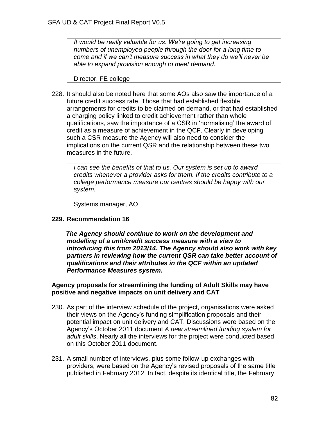*It would be really valuable for us. We're going to get increasing numbers of unemployed people through the door for a long time to come and if we can't measure success in what they do we'll never be able to expand provision enough to meet demand.*

Director, FE college

228. It should also be noted here that some AOs also saw the importance of a future credit success rate. Those that had established flexible arrangements for credits to be claimed on demand, or that had established a charging policy linked to credit achievement rather than whole qualifications, saw the importance of a CSR in 'normalising' the award of credit as a measure of achievement in the QCF. Clearly in developing such a CSR measure the Agency will also need to consider the implications on the current QSR and the relationship between these two measures in the future.

*I can see the benefits of that to us. Our system is set up to award credits whenever a provider asks for them. If the credits contribute to a college performance measure our centres should be happy with our system.*

Systems manager, AO

#### **229. Recommendation 16**

 *The Agency should continue to work on the development and modelling of a unit/credit success measure with a view to introducing this from 2013/14. The Agency should also work with key partners in reviewing how the current QSR can take better account of qualifications and their attributes in the QCF within an updated Performance Measures system.*

#### **Agency proposals for streamlining the funding of Adult Skills may have positive and negative impacts on unit delivery and CAT**

- 230. As part of the interview schedule of the project, organisations were asked their views on the Agency's funding simplification proposals and their potential impact on unit delivery and CAT. Discussions were based on the Agency's October 2011 document *A new streamlined funding system for adult skills*. Nearly all the interviews for the project were conducted based on this October 2011 document.
- 231. A small number of interviews, plus some follow-up exchanges with providers, were based on the Agency's revised proposals of the same title published in February 2012. In fact, despite its identical title, the February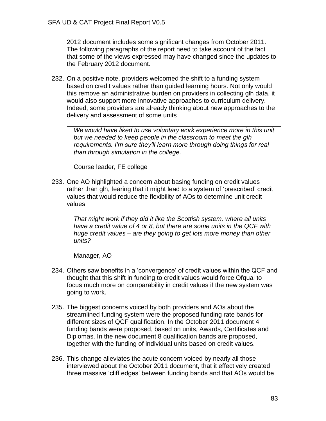2012 document includes some significant changes from October 2011. The following paragraphs of the report need to take account of the fact that some of the views expressed may have changed since the updates to the February 2012 document.

232. On a positive note, providers welcomed the shift to a funding system based on credit values rather than guided learning hours. Not only would this remove an administrative burden on providers in collecting glh data, it would also support more innovative approaches to curriculum delivery. Indeed, some providers are already thinking about new approaches to the delivery and assessment of some units

*We would have liked to use voluntary work experience more in this unit but we needed to keep people in the classroom to meet the glh requirements. I'm sure they'll learn more through doing things for real than through simulation in the college.*

Course leader, FE college

233. One AO highlighted a concern about basing funding on credit values rather than glh, fearing that it might lead to a system of 'prescribed' credit values that would reduce the flexibility of AOs to determine unit credit values

*That might work if they did it like the Scottish system, where all units have a credit value of 4 or 8, but there are some units in the QCF with huge credit values – are they going to get lots more money than other units?*

Manager, AO

- 234. Others saw benefits in a 'convergence' of credit values within the QCF and thought that this shift in funding to credit values would force Ofqual to focus much more on comparability in credit values if the new system was going to work.
- 235. The biggest concerns voiced by both providers and AOs about the streamlined funding system were the proposed funding rate bands for different sizes of QCF qualification. In the October 2011 document 4 funding bands were proposed, based on units, Awards, Certificates and Diplomas. In the new document 8 qualification bands are proposed, together with the funding of individual units based on credit values.
- 236. This change alleviates the acute concern voiced by nearly all those interviewed about the October 2011 document, that it effectively created three massive 'cliff edges' between funding bands and that AOs would be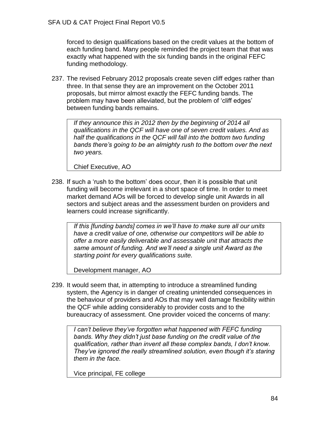forced to design qualifications based on the credit values at the bottom of each funding band. Many people reminded the project team that that was exactly what happened with the six funding bands in the original FEFC funding methodology.

237. The revised February 2012 proposals create seven cliff edges rather than three. In that sense they are an improvement on the October 2011 proposals, but mirror almost exactly the FEFC funding bands. The problem may have been alleviated, but the problem of 'cliff edges' between funding bands remains.

*If they announce this in 2012 then by the beginning of 2014 all qualifications in the QCF will have one of seven credit values. And as half the qualifications in the QCF will fall into the bottom two funding bands there's going to be an almighty rush to the bottom over the next two years.*

Chief Executive, AO

238. If such a 'rush to the bottom' does occur, then it is possible that unit funding will become irrelevant in a short space of time. In order to meet market demand AOs will be forced to develop single unit Awards in all sectors and subject areas and the assessment burden on providers and learners could increase significantly.

> *If this [funding bands] comes in we'll have to make sure all our units have a credit value of one, otherwise our competitors will be able to offer a more easily deliverable and assessable unit that attracts the same amount of funding. And we'll need a single unit Award as the starting point for every qualifications suite.*

Development manager, AO

239. It would seem that, in attempting to introduce a streamlined funding system, the Agency is in danger of creating unintended consequences in the behaviour of providers and AOs that may well damage flexibility within the QCF while adding considerably to provider costs and to the bureaucracy of assessment. One provider voiced the concerns of many:

*I can't believe they've forgotten what happened with FEFC funding bands. Why they didn't just base funding on the credit value of the qualification, rather than invent all these complex bands, I don't know. They've ignored the really streamlined solution, even though it's staring them in the face.*

Vice principal, FE college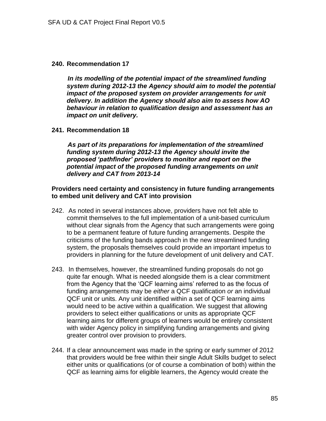#### **240. Recommendation 17**

 *In its modelling of the potential impact of the streamlined funding system during 2012-13 the Agency should aim to model the potential impact of the proposed system on provider arrangements for unit delivery. In addition the Agency should also aim to assess how AO behaviour in relation to qualification design and assessment has an impact on unit delivery.*

#### **241. Recommendation 18**

 *As part of its preparations for implementation of the streamlined funding system during 2012-13 the Agency should invite the proposed 'pathfinder' providers to monitor and report on the potential impact of the proposed funding arrangements on unit delivery and CAT from 2013-14*

#### **Providers need certainty and consistency in future funding arrangements to embed unit delivery and CAT into provision**

- 242. As noted in several instances above, providers have not felt able to commit themselves to the full implementation of a unit-based curriculum without clear signals from the Agency that such arrangements were going to be a permanent feature of future funding arrangements. Despite the criticisms of the funding bands approach in the new streamlined funding system, the proposals themselves could provide an important impetus to providers in planning for the future development of unit delivery and CAT.
- 243. In themselves, however, the streamlined funding proposals do not go quite far enough. What is needed alongside them is a clear commitment from the Agency that the 'QCF learning aims' referred to as the focus of funding arrangements may be *either* a QCF qualification *or* an individual QCF unit or units. Any unit identified within a set of QCF learning aims would need to be active within a qualification. We suggest that allowing providers to select either qualifications or units as appropriate QCF learning aims for different groups of learners would be entirely consistent with wider Agency policy in simplifying funding arrangements and giving greater control over provision to providers.
- 244. If a clear announcement was made in the spring or early summer of 2012 that providers would be free within their single Adult Skills budget to select either units or qualifications (or of course a combination of both) within the QCF as learning aims for eligible learners, the Agency would create the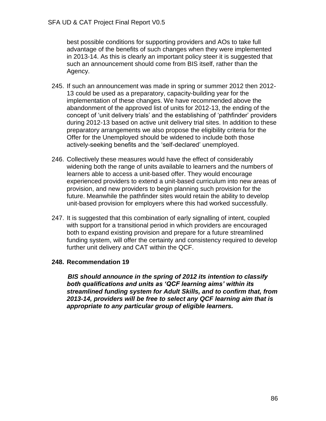best possible conditions for supporting providers and AOs to take full advantage of the benefits of such changes when they were implemented in 2013-14. As this is clearly an important policy steer it is suggested that such an announcement should come from BIS itself, rather than the Agency.

- 245. If such an announcement was made in spring or summer 2012 then 2012- 13 could be used as a preparatory, capacity-building year for the implementation of these changes. We have recommended above the abandonment of the approved list of units for 2012-13, the ending of the concept of 'unit delivery trials' and the establishing of 'pathfinder' providers during 2012-13 based on active unit delivery trial sites. In addition to these preparatory arrangements we also propose the eligibility criteria for the Offer for the Unemployed should be widened to include both those actively-seeking benefits and the 'self-declared' unemployed.
- 246. Collectively these measures would have the effect of considerably widening both the range of units available to learners and the numbers of learners able to access a unit-based offer. They would encourage experienced providers to extend a unit-based curriculum into new areas of provision, and new providers to begin planning such provision for the future. Meanwhile the pathfinder sites would retain the ability to develop unit-based provision for employers where this had worked successfully.
- 247. It is suggested that this combination of early signalling of intent, coupled with support for a transitional period in which providers are encouraged both to expand existing provision and prepare for a future streamlined funding system, will offer the certainty and consistency required to develop further unit delivery and CAT within the QCF.

### **248. Recommendation 19**

 *BIS should announce in the spring of 2012 its intention to classify both qualifications and units as 'QCF learning aims' within its streamlined funding system for Adult Skills, and to confirm that, from 2013-14, providers will be free to select any QCF learning aim that is appropriate to any particular group of eligible learners.*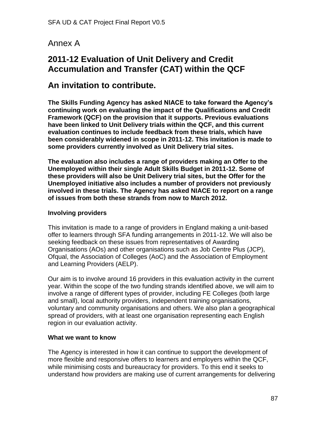# Annex A

# **2011-12 Evaluation of Unit Delivery and Credit Accumulation and Transfer (CAT) within the QCF**

# **An invitation to contribute.**

**The Skills Funding Agency has asked NIACE to take forward the Agency's continuing work on evaluating the impact of the Qualifications and Credit Framework (QCF) on the provision that it supports. Previous evaluations have been linked to Unit Delivery trials within the QCF, and this current evaluation continues to include feedback from these trials, which have been considerably widened in scope in 2011-12. This invitation is made to some providers currently involved as Unit Delivery trial sites.**

**The evaluation also includes a range of providers making an Offer to the Unemployed within their single Adult Skills Budget in 2011-12. Some of these providers will also be Unit Delivery trial sites, but the Offer for the Unemployed initiative also includes a number of providers not previously involved in these trials. The Agency has asked NIACE to report on a range of issues from both these strands from now to March 2012.**

### **Involving providers**

This invitation is made to a range of providers in England making a unit-based offer to learners through SFA funding arrangements in 2011-12. We will also be seeking feedback on these issues from representatives of Awarding Organisations (AOs) and other organisations such as Job Centre Plus (JCP), Ofqual, the Association of Colleges (AoC) and the Association of Employment and Learning Providers (AELP).

Our aim is to involve around 16 providers in this evaluation activity in the current year. Within the scope of the two funding strands identified above, we will aim to involve a range of different types of provider, including FE Colleges (both large and small), local authority providers, independent training organisations, voluntary and community organisations and others. We also plan a geographical spread of providers, with at least one organisation representing each English region in our evaluation activity.

#### **What we want to know**

The Agency is interested in how it can continue to support the development of more flexible and responsive offers to learners and employers within the QCF, while minimising costs and bureaucracy for providers. To this end it seeks to understand how providers are making use of current arrangements for delivering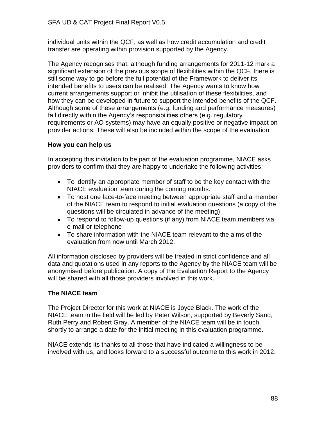individual units within the QCF, as well as how credit accumulation and credit transfer are operating within provision supported by the Agency.

The Agency recognises that, although funding arrangements for 2011-12 mark a significant extension of the previous scope of flexibilities within the QCF, there is still some way to go before the full potential of the Framework to deliver its intended benefits to users can be realised. The Agency wants to know how current arrangements support or inhibit the utilisation of these flexibilities, and how they can be developed in future to support the intended benefits of the QCF. Although some of these arrangements (e.g. funding and performance measures) fall directly within the Agency's responsibilities others (e.g. regulatory requirements or AO systems) may have an equally positive or negative impact on provider actions. These will also be included within the scope of the evaluation.

## **How you can help us**

In accepting this invitation to be part of the evaluation programme, NIACE asks providers to confirm that they are happy to undertake the following activities:

- To identify an appropriate member of staff to be the key contact with the NIACE evaluation team during the coming months.
- To host one face-to-face meeting between appropriate staff and a member of the NIACE team to respond to initial evaluation questions (a copy of the questions will be circulated in advance of the meeting)
- To respond to follow-up questions (if any) from NIACE team members via e-mail or telephone
- To share information with the NIACE team relevant to the aims of the evaluation from now until March 2012.

All information disclosed by providers will be treated in strict confidence and all data and quotations used in any reports to the Agency by the NIACE team will be anonymised before publication. A copy of the Evaluation Report to the Agency will be shared with all those providers involved in this work.

## **The NIACE team**

The Project Director for this work at NIACE is Joyce Black. The work of the NIACE team in the field will be led by Peter Wilson, supported by Beverly Sand, Ruth Perry and Robert Gray. A member of the NIACE team will be in touch shortly to arrange a date for the initial meeting in this evaluation programme.

NIACE extends its thanks to all those that have indicated a willingness to be involved with us, and looks forward to a successful outcome to this work in 2012.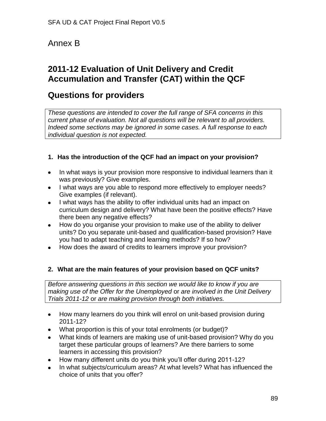# Annex B

# **2011-12 Evaluation of Unit Delivery and Credit Accumulation and Transfer (CAT) within the QCF**

# **Questions for providers**

*These questions are intended to cover the full range of SFA concerns in this current phase of evaluation. Not all questions will be relevant to all providers. Indeed some sections may be ignored in some cases. A full response to each individual question is not expected.*

# **1. Has the introduction of the QCF had an impact on your provision?**

- In what ways is your provision more responsive to individual learners than it  $\bullet$ was previously? Give examples.
- I what ways are you able to respond more effectively to employer needs? Give examples (if relevant).
- I what ways has the ability to offer individual units had an impact on curriculum design and delivery? What have been the positive effects? Have there been any negative effects?
- $\bullet$ How do you organise your provision to make use of the ability to deliver units? Do you separate unit-based and qualification-based provision? Have you had to adapt teaching and learning methods? If so how?
- How does the award of credits to learners improve your provision?

## **2. What are the main features of your provision based on QCF units?**

*Before answering questions in this section we would like to know if you are making use of the Offer for the Unemployed* or *are involved in the Unit Delivery Trials 2011-12* or *are making provision through both initiatives.*

- $\bullet$ How many learners do you think will enrol on unit-based provision during 2011-12?
- What proportion is this of your total enrolments (or budget)?  $\bullet$
- What kinds of learners are making use of unit-based provision? Why do you target these particular groups of learners? Are there barriers to some learners in accessing this provision?
- How many different units do you think you'll offer during 2011-12?
- In what subjects/curriculum areas? At what levels? What has influenced the choice of units that you offer?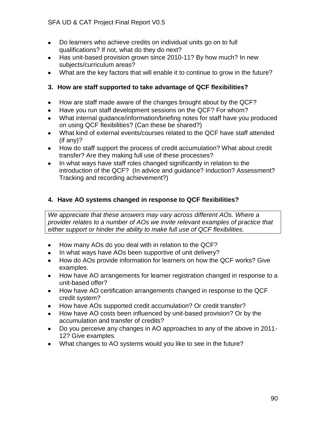- Do learners who achieve credits on individual units go on to full  $\bullet$ qualifications? If not, what do they do next?
- Has unit-based provision grown since 2010-11? By how much? In new  $\bullet$ subjects/curriculum areas?
- What are the key factors that will enable it to continue to grow in the future?

## **3. How are staff supported to take advantage of QCF flexibilities?**

- How are staff made aware of the changes brought about by the QCF?
- Have you run staff development sessions on the QCF? For whom?  $\bullet$
- What internal guidance/information/briefing notes for staff have you produced on using QCF flexibilities? (Can these be shared?)
- What kind of external events/courses related to the QCF have staff attended  $\bullet$ (if any)?
- $\bullet$ How do staff support the process of credit accumulation? What about credit transfer? Are they making full use of these processes?
- In what ways have staff roles changed significantly in relation to the introduction of the QCF? (In advice and guidance? Induction? Assessment? Tracking and recording achievement?)

## **4. Have AO systems changed in response to QCF flexibilities?**

*We appreciate that these answers may vary across different AOs. Where a provider relates to a number of AOs we invite relevant examples of practice that either support or hinder the ability to make full use of QCF flexibilities.* 

- How many AOs do you deal with in relation to the QCF?  $\bullet$
- In what ways have AOs been supportive of unit delivery?  $\bullet$
- How do AOs provide information for learners on how the QCF works? Give  $\bullet$ examples.
- How have AO arrangements for learner registration changed in response to a  $\bullet$ unit-based offer?
- How have AO certification arrangements changed in response to the QCF  $\bullet$ credit system?
- How have AOs supported credit accumulation? Or credit transfer?  $\bullet$
- How have AO costs been influenced by unit-based provision? Or by the  $\bullet$ accumulation and transfer of credits?
- $\bullet$ Do you perceive any changes in AO approaches to any of the above in 2011- 12? Give examples.
- What changes to AO systems would you like to see in the future?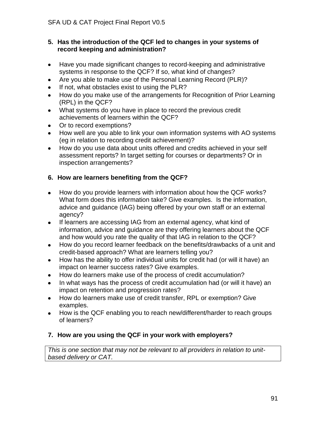### **5. Has the introduction of the QCF led to changes in your systems of record keeping and administration?**

- Have you made significant changes to record-keeping and administrative  $\bullet$ systems in response to the QCF? If so, what kind of changes?
- Are you able to make use of the Personal Learning Record (PLR)?  $\bullet$
- $\bullet$ If not, what obstacles exist to using the PLR?
- How do you make use of the arrangements for Recognition of Prior Learning (RPL) in the QCF?
- What systems do you have in place to record the previous credit achievements of learners within the QCF?
- Or to record exemptions?  $\bullet$
- How well are you able to link your own information systems with AO systems  $\bullet$ (eg in relation to recording credit achievement)?
- $\bullet$ How do you use data about units offered and credits achieved in your self assessment reports? In target setting for courses or departments? Or in inspection arrangements?

# **6. How are learners benefiting from the QCF?**

- How do you provide learners with information about how the QCF works?  $\bullet$ What form does this information take? Give examples. Is the information, advice and guidance (IAG) being offered by your own staff or an external agency?
- If learners are accessing IAG from an external agency, what kind of  $\bullet$ information, advice and guidance are they offering learners about the QCF and how would you rate the quality of that IAG in relation to the QCF?
- $\bullet$ How do you record learner feedback on the benefits/drawbacks of a unit and credit-based approach? What are learners telling you?
- How has the ability to offer individual units for credit had (or will it have) an  $\bullet$ impact on learner success rates? Give examples.
- How do learners make use of the process of credit accumulation?  $\bullet$
- In what ways has the process of credit accumulation had (or will it have) an  $\bullet$ impact on retention and progression rates?
- How do learners make use of credit transfer, RPL or exemption? Give  $\bullet$ examples.
- How is the QCF enabling you to reach new/different/harder to reach groups  $\bullet$ of learners?

## **7. How are you using the QCF in your work with employers?**

*This is one section that may not be relevant to all providers in relation to unitbased delivery or CAT.*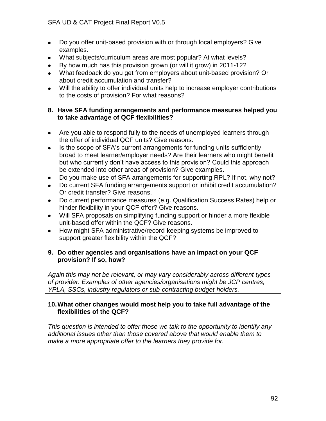- Do you offer unit-based provision with or through local employers? Give  $\bullet$ examples.
- What subjects/curriculum areas are most popular? At what levels?
- By how much has this provision grown (or will it grow) in 2011-12?  $\bullet$
- What feedback do you get from employers about unit-based provision? Or about credit accumulation and transfer?
- Will the ability to offer individual units help to increase employer contributions to the costs of provision? For what reasons?

### **8. Have SFA funding arrangements and performance measures helped you to take advantage of QCF flexibilities?**

- Are you able to respond fully to the needs of unemployed learners through  $\bullet$ the offer of individual QCF units? Give reasons.
- Is the scope of SFA's current arrangements for funding units sufficiently  $\bullet$ broad to meet learner/employer needs? Are their learners who might benefit but who currently don't have access to this provision? Could this approach be extended into other areas of provision? Give examples.
- Do you make use of SFA arrangements for supporting RPL? If not, why not?  $\bullet$
- Do current SFA funding arrangements support or inhibit credit accumulation? Or credit transfer? Give reasons.
- Do current performance measures (e.g. Qualification Success Rates) help or  $\bullet$ hinder flexibility in your QCF offer? Give reasons.
- Will SFA proposals on simplifying funding support or hinder a more flexible  $\bullet$ unit-based offer within the QCF? Give reasons.
- How might SFA administrative/record-keeping systems be improved to support greater flexibility within the QCF?

### **9. Do other agencies and organisations have an impact on your QCF provision? If so, how?**

*Again this may not be relevant, or may vary considerably across different types of provider. Examples of other agencies/organisations might be JCP centres, YPLA, SSCs, industry regulators or sub-contracting budget-holders.*

### **10.What other changes would most help you to take full advantage of the flexibilities of the QCF?**

*This question is intended to offer those we talk to the opportunity to identify any additional issues other than those covered above that would enable them to make a more appropriate offer to the learners they provide for.*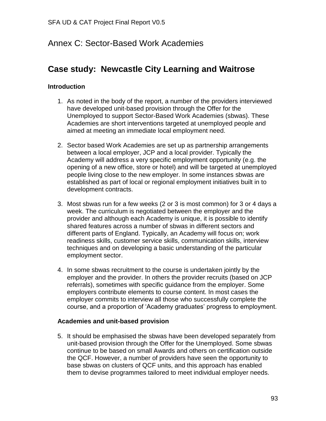# Annex C: Sector-Based Work Academies

# **Case study: Newcastle City Learning and Waitrose**

### **Introduction**

- 1. As noted in the body of the report, a number of the providers interviewed have developed unit-based provision through the Offer for the Unemployed to support Sector-Based Work Academies (sbwas). These Academies are short interventions targeted at unemployed people and aimed at meeting an immediate local employment need.
- 2. Sector based Work Academies are set up as partnership arrangements between a local employer, JCP and a local provider. Typically the Academy will address a very specific employment opportunity (e.g. the opening of a new office, store or hotel) and will be targeted at unemployed people living close to the new employer. In some instances sbwas are established as part of local or regional employment initiatives built in to development contracts.
- 3. Most sbwas run for a few weeks (2 or 3 is most common) for 3 or 4 days a week. The curriculum is negotiated between the employer and the provider and although each Academy is unique, it is possible to identify shared features across a number of sbwas in different sectors and different parts of England. Typically, an Academy will focus on; work readiness skills, customer service skills, communication skills, interview techniques and on developing a basic understanding of the particular employment sector.
- 4. In some sbwas recruitment to the course is undertaken jointly by the employer and the provider. In others the provider recruits (based on JCP referrals), sometimes with specific guidance from the employer. Some employers contribute elements to course content. In most cases the employer commits to interview all those who successfully complete the course, and a proportion of 'Academy graduates' progress to employment.

#### **Academies and unit-based provision**

5. It should be emphasised the sbwas have been developed separately from unit-based provision through the Offer for the Unemployed. Some sbwas continue to be based on small Awards and others on certification outside the QCF. However, a number of providers have seen the opportunity to base sbwas on clusters of QCF units, and this approach has enabled them to devise programmes tailored to meet individual employer needs.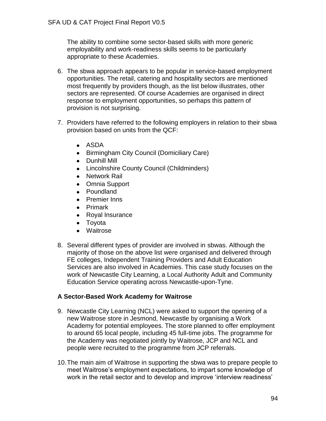The ability to combine some sector-based skills with more generic employability and work-readiness skills seems to be particularly appropriate to these Academies.

- 6. The sbwa approach appears to be popular in service-based employment opportunities. The retail, catering and hospitality sectors are mentioned most frequently by providers though, as the list below illustrates, other sectors are represented. Of course Academies are organised in direct response to employment opportunities, so perhaps this pattern of provision is not surprising.
- 7. Providers have referred to the following employers in relation to their sbwa provision based on units from the QCF:
	- ASDA
	- Birmingham City Council (Domiciliary Care)
	- Dunhill Mill
	- Lincolnshire County Council (Childminders)
	- Network Rail
	- Omnia Support
	- Poundland
	- Premier Inns
	- Primark
	- Royal Insurance
	- Toyota
	- Waitrose
- 8. Several different types of provider are involved in sbwas. Although the majority of those on the above list were organised and delivered through FE colleges, Independent Training Providers and Adult Education Services are also involved in Academies. This case study focuses on the work of Newcastle City Learning, a Local Authority Adult and Community Education Service operating across Newcastle-upon-Tyne.

### **A Sector-Based Work Academy for Waitrose**

- 9. Newcastle City Learning (NCL) were asked to support the opening of a new Waitrose store in Jesmond, Newcastle by organising a Work Academy for potential employees. The store planned to offer employment to around 65 local people, including 45 full-time jobs. The programme for the Academy was negotiated jointly by Waitrose, JCP and NCL and people were recruited to the programme from JCP referrals.
- 10.The main aim of Waitrose in supporting the sbwa was to prepare people to meet Waitrose's employment expectations, to impart some knowledge of work in the retail sector and to develop and improve 'interview readiness'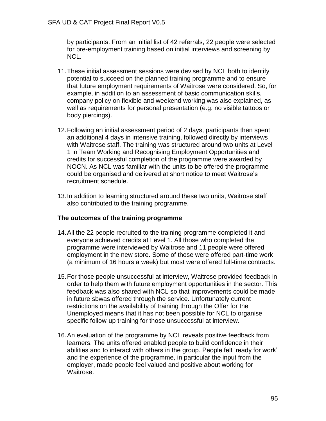by participants. From an initial list of 42 referrals, 22 people were selected for pre-employment training based on initial interviews and screening by NCL.

- 11.These initial assessment sessions were devised by NCL both to identify potential to succeed on the planned training programme and to ensure that future employment requirements of Waitrose were considered. So, for example, in addition to an assessment of basic communication skills, company policy on flexible and weekend working was also explained, as well as requirements for personal presentation (e.g. no visible tattoos or body piercings).
- 12.Following an initial assessment period of 2 days, participants then spent an additional 4 days in intensive training, followed directly by interviews with Waitrose staff. The training was structured around two units at Level 1 in Team Working and Recognising Employment Opportunities and credits for successful completion of the programme were awarded by NOCN. As NCL was familiar with the units to be offered the programme could be organised and delivered at short notice to meet Waitrose's recruitment schedule.
- 13.In addition to learning structured around these two units, Waitrose staff also contributed to the training programme.

### **The outcomes of the training programme**

- 14.All the 22 people recruited to the training programme completed it and everyone achieved credits at Level 1. All those who completed the programme were interviewed by Waitrose and 11 people were offered employment in the new store. Some of those were offered part-time work (a minimum of 16 hours a week) but most were offered full-time contracts.
- 15.For those people unsuccessful at interview, Waitrose provided feedback in order to help them with future employment opportunities in the sector. This feedback was also shared with NCL so that improvements could be made in future sbwas offered through the service. Unfortunately current restrictions on the availability of training through the Offer for the Unemployed means that it has not been possible for NCL to organise specific follow-up training for those unsuccessful at interview.
- 16.An evaluation of the programme by NCL reveals positive feedback from learners. The units offered enabled people to build confidence in their abilities and to interact with others in the group. People felt 'ready for work' and the experience of the programme, in particular the input from the employer, made people feel valued and positive about working for Waitrose.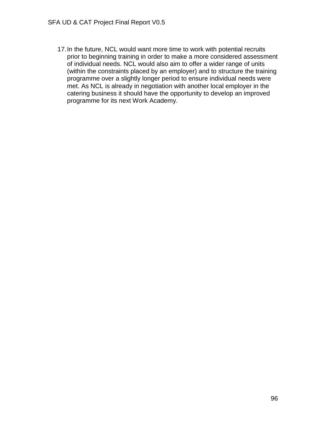17.In the future, NCL would want more time to work with potential recruits prior to beginning training in order to make a more considered assessment of individual needs. NCL would also aim to offer a wider range of units (within the constraints placed by an employer) and to structure the training programme over a slightly longer period to ensure individual needs were met. As NCL is already in negotiation with another local employer in the catering business it should have the opportunity to develop an improved programme for its next Work Academy.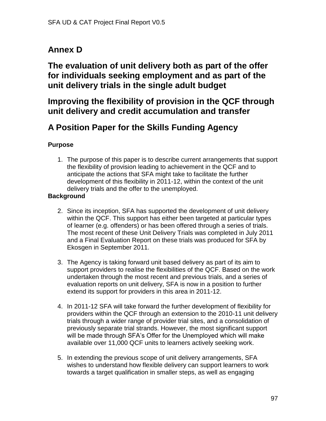# **Annex D**

**The evaluation of unit delivery both as part of the offer for individuals seeking employment and as part of the unit delivery trials in the single adult budget**

# **Improving the flexibility of provision in the QCF through unit delivery and credit accumulation and transfer**

# **A Position Paper for the Skills Funding Agency**

## **Purpose**

1. The purpose of this paper is to describe current arrangements that support the flexibility of provision leading to achievement in the QCF and to anticipate the actions that SFA might take to facilitate the further development of this flexibility in 2011-12, within the context of the unit delivery trials and the offer to the unemployed.

## **Background**

- 2. Since its inception, SFA has supported the development of unit delivery within the QCF. This support has either been targeted at particular types of learner (e.g. offenders) or has been offered through a series of trials. The most recent of these Unit Delivery Trials was completed in July 2011 and a Final Evaluation Report on these trials was produced for SFA by Ekosgen in September 2011.
- 3. The Agency is taking forward unit based delivery as part of its aim to support providers to realise the flexibilities of the QCF. Based on the work undertaken through the most recent and previous trials, and a series of evaluation reports on unit delivery, SFA is now in a position to further extend its support for providers in this area in 2011-12.
- 4. In 2011-12 SFA will take forward the further development of flexibility for providers within the QCF through an extension to the 2010-11 unit delivery trials through a wider range of provider trial sites, and a consolidation of previously separate trial strands. However, the most significant support will be made through SFA's Offer for the Unemployed which will make available over 11,000 QCF units to learners actively seeking work.
- 5. In extending the previous scope of unit delivery arrangements, SFA wishes to understand how flexible delivery can support learners to work towards a target qualification in smaller steps, as well as engaging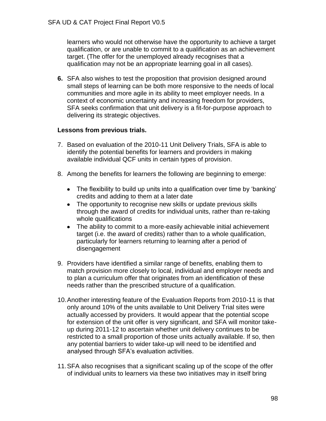learners who would not otherwise have the opportunity to achieve a target qualification, or are unable to commit to a qualification as an achievement target. (The offer for the unemployed already recognises that a qualification may not be an appropriate learning goal in all cases).

**6.** SFA also wishes to test the proposition that provision designed around small steps of learning can be both more responsive to the needs of local communities and more agile in its ability to meet employer needs. In a context of economic uncertainty and increasing freedom for providers, SFA seeks confirmation that unit delivery is a fit-for-purpose approach to delivering its strategic objectives.

### **Lessons from previous trials.**

- 7. Based on evaluation of the 2010-11 Unit Delivery Trials, SFA is able to identify the potential benefits for learners and providers in making available individual QCF units in certain types of provision.
- 8. Among the benefits for learners the following are beginning to emerge:
	- The flexibility to build up units into a qualification over time by 'banking' credits and adding to them at a later date
	- The opportunity to recognise new skills or update previous skills through the award of credits for individual units, rather than re-taking whole qualifications
	- The ability to commit to a more-easily achievable initial achievement target (i.e. the award of credits) rather than to a whole qualification, particularly for learners returning to learning after a period of disengagement
- 9. Providers have identified a similar range of benefits, enabling them to match provision more closely to local, individual and employer needs and to plan a curriculum offer that originates from an identification of these needs rather than the prescribed structure of a qualification.
- 10.Another interesting feature of the Evaluation Reports from 2010-11 is that only around 10% of the units available to Unit Delivery Trial sites were actually accessed by providers. It would appear that the potential scope for extension of the unit offer is very significant, and SFA will monitor takeup during 2011-12 to ascertain whether unit delivery continues to be restricted to a small proportion of those units actually available. If so, then any potential barriers to wider take-up will need to be identified and analysed through SFA's evaluation activities.
- 11.SFA also recognises that a significant scaling up of the scope of the offer of individual units to learners via these two initiatives may in itself bring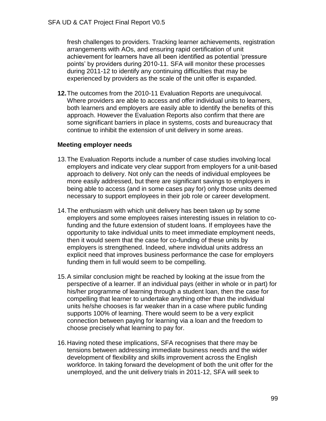fresh challenges to providers. Tracking learner achievements, registration arrangements with AOs, and ensuring rapid certification of unit achievement for learners have all been identified as potential 'pressure points' by providers during 2010-11. SFA will monitor these processes during 2011-12 to identify any continuing difficulties that may be experienced by providers as the scale of the unit offer is expanded.

**12.**The outcomes from the 2010-11 Evaluation Reports are unequivocal. Where providers are able to access and offer individual units to learners, both learners and employers are easily able to identify the benefits of this approach. However the Evaluation Reports also confirm that there are some significant barriers in place in systems, costs and bureaucracy that continue to inhibit the extension of unit delivery in some areas.

### **Meeting employer needs**

- 13.The Evaluation Reports include a number of case studies involving local employers and indicate very clear support from employers for a unit-based approach to delivery. Not only can the needs of individual employees be more easily addressed, but there are significant savings to employers in being able to access (and in some cases pay for) only those units deemed necessary to support employees in their job role or career development.
- 14.The enthusiasm with which unit delivery has been taken up by some employers and some employees raises interesting issues in relation to cofunding and the future extension of student loans. If employees have the opportunity to take individual units to meet immediate employment needs, then it would seem that the case for co-funding of these units by employers is strengthened. Indeed, where individual units address an explicit need that improves business performance the case for employers funding them in full would seem to be compelling.
- 15.A similar conclusion might be reached by looking at the issue from the perspective of a learner. If an individual pays (either in whole or in part) for his/her programme of learning through a student loan, then the case for compelling that learner to undertake anything other than the individual units he/she chooses is far weaker than in a case where public funding supports 100% of learning. There would seem to be a very explicit connection between paying for learning via a loan and the freedom to choose precisely what learning to pay for.
- 16.Having noted these implications, SFA recognises that there may be tensions between addressing immediate business needs and the wider development of flexibility and skills improvement across the English workforce. In taking forward the development of both the unit offer for the unemployed, and the unit delivery trials in 2011-12, SFA will seek to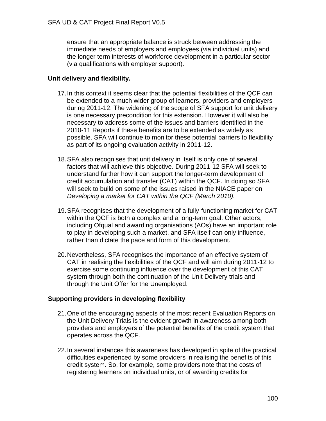ensure that an appropriate balance is struck between addressing the immediate needs of employers and employees (via individual units) and the longer term interests of workforce development in a particular sector (via qualifications with employer support).

### **Unit delivery and flexibility.**

- 17.In this context it seems clear that the potential flexibilities of the QCF can be extended to a much wider group of learners, providers and employers during 2011-12. The widening of the scope of SFA support for unit delivery is one necessary precondition for this extension. However it will also be necessary to address some of the issues and barriers identified in the 2010-11 Reports if these benefits are to be extended as widely as possible. SFA will continue to monitor these potential barriers to flexibility as part of its ongoing evaluation activity in 2011-12.
- 18.SFA also recognises that unit delivery in itself is only one of several factors that will achieve this objective. During 2011-12 SFA will seek to understand further how it can support the longer-term development of credit accumulation and transfer (CAT) within the QCF. In doing so SFA will seek to build on some of the issues raised in the NIACE paper on *Developing a market for CAT within the QCF (March 2010).*
- 19.SFA recognises that the development of a fully-functioning market for CAT within the QCF is both a complex and a long-term goal. Other actors, including Ofqual and awarding organisations (AOs) have an important role to play in developing such a market, and SFA itself can only influence, rather than dictate the pace and form of this development.
- 20.Nevertheless, SFA recognises the importance of an effective system of CAT in realising the flexibilities of the QCF and will aim during 2011-12 to exercise some continuing influence over the development of this CAT system through both the continuation of the Unit Delivery trials and through the Unit Offer for the Unemployed.

#### **Supporting providers in developing flexibility**

- 21.One of the encouraging aspects of the most recent Evaluation Reports on the Unit Delivery Trials is the evident growth in awareness among both providers and employers of the potential benefits of the credit system that operates across the QCF.
- 22.In several instances this awareness has developed in spite of the practical difficulties experienced by some providers in realising the benefits of this credit system. So, for example, some providers note that the costs of registering learners on individual units, or of awarding credits for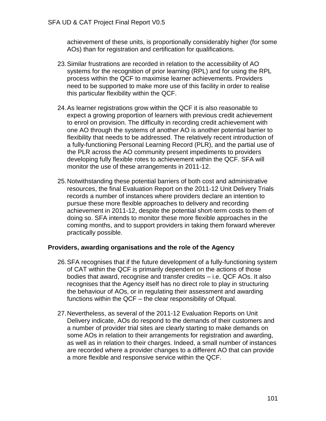achievement of these units, is proportionally considerably higher (for some AOs) than for registration and certification for qualifications.

- 23.Similar frustrations are recorded in relation to the accessibility of AO systems for the recognition of prior learning (RPL) and for using the RPL process within the QCF to maximise learner achievements. Providers need to be supported to make more use of this facility in order to realise this particular flexibility within the QCF.
- 24.As learner registrations grow within the QCF it is also reasonable to expect a growing proportion of learners with previous credit achievement to enrol on provision. The difficulty in recording credit achievement with one AO through the systems of another AO is another potential barrier to flexibility that needs to be addressed. The relatively recent introduction of a fully-functioning Personal Learning Record (PLR), and the partial use of the PLR across the AO community present impediments to providers developing fully flexible rotes to achievement within the QCF. SFA will monitor the use of these arrangements in 2011-12.
- 25.Notwithstanding these potential barriers of both cost and administrative resources, the final Evaluation Report on the 2011-12 Unit Delivery Trials records a number of instances where providers declare an intention to pursue these more flexible approaches to delivery and recording achievement in 2011-12, despite the potential short-term costs to them of doing so. SFA intends to monitor these more flexible approaches in the coming months, and to support providers in taking them forward wherever practically possible.

#### **Providers, awarding organisations and the role of the Agency**

- 26.SFA recognises that if the future development of a fully-functioning system of CAT within the QCF is primarily dependent on the actions of those bodies that award, recognise and transfer credits – i.e. QCF AOs. It also recognises that the Agency itself has no direct role to play in structuring the behaviour of AOs, or in regulating their assessment and awarding functions within the QCF – the clear responsibility of Ofqual.
- 27.Nevertheless, as several of the 2011-12 Evaluation Reports on Unit Delivery indicate, AOs do respond to the demands of their customers and a number of provider trial sites are clearly starting to make demands on some AOs in relation to their arrangements for registration and awarding, as well as in relation to their charges. Indeed, a small number of instances are recorded where a provider changes to a different AO that can provide a more flexible and responsive service within the QCF.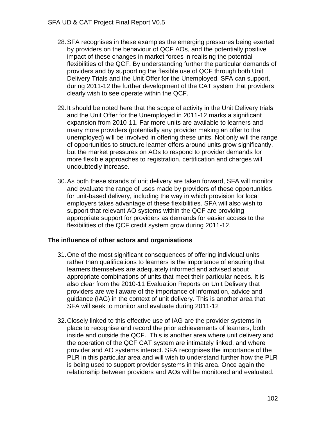- 28.SFA recognises in these examples the emerging pressures being exerted by providers on the behaviour of QCF AOs, and the potentially positive impact of these changes in market forces in realising the potential flexibilities of the QCF. By understanding further the particular demands of providers and by supporting the flexible use of QCF through both Unit Delivery Trials and the Unit Offer for the Unemployed, SFA can support, during 2011-12 the further development of the CAT system that providers clearly wish to see operate within the QCF.
- 29.It should be noted here that the scope of activity in the Unit Delivery trials and the Unit Offer for the Unemployed in 2011-12 marks a significant expansion from 2010-11. Far more units are available to learners and many more providers (potentially any provider making an offer to the unemployed) will be involved in offering these units. Not only will the range of opportunities to structure learner offers around units grow significantly, but the market pressures on AOs to respond to provider demands for more flexible approaches to registration, certification and charges will undoubtedly increase.
- 30.As both these strands of unit delivery are taken forward, SFA will monitor and evaluate the range of uses made by providers of these opportunities for unit-based delivery, including the way in which provision for local employers takes advantage of these flexibilities. SFA will also wish to support that relevant AO systems within the QCF are providing appropriate support for providers as demands for easier access to the flexibilities of the QCF credit system grow during 2011-12.

#### **The influence of other actors and organisations**

- 31.One of the most significant consequences of offering individual units rather than qualifications to learners is the importance of ensuring that learners themselves are adequately informed and advised about appropriate combinations of units that meet their particular needs. It is also clear from the 2010-11 Evaluation Reports on Unit Delivery that providers are well aware of the importance of information, advice and guidance (IAG) in the context of unit delivery. This is another area that SFA will seek to monitor and evaluate during 2011-12
- 32.Closely linked to this effective use of IAG are the provider systems in place to recognise and record the prior achievements of learners, both inside and outside the QCF. This is another area where unit delivery and the operation of the QCF CAT system are intimately linked, and where provider and AO systems interact. SFA recognises the importance of the PLR in this particular area and will wish to understand further how the PLR is being used to support provider systems in this area. Once again the relationship between providers and AOs will be monitored and evaluated.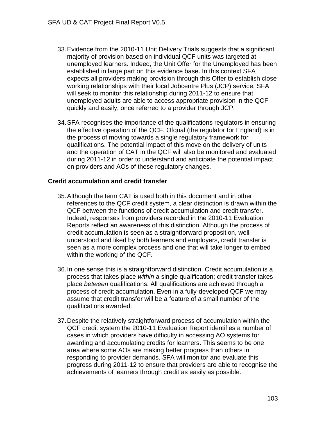- 33.Evidence from the 2010-11 Unit Delivery Trials suggests that a significant majority of provision based on individual QCF units was targeted at unemployed learners. Indeed, the Unit Offer for the Unemployed has been established in large part on this evidence base. In this context SFA expects all providers making provision through this Offer to establish close working relationships with their local Jobcentre Plus (JCP) service. SFA will seek to monitor this relationship during 2011-12 to ensure that unemployed adults are able to access appropriate provision in the QCF quickly and easily, once referred to a provider through JCP.
- 34.SFA recognises the importance of the qualifications regulators in ensuring the effective operation of the QCF. Ofqual (the regulator for England) is in the process of moving towards a single regulatory framework for qualifications. The potential impact of this move on the delivery of units and the operation of CAT in the QCF will also be monitored and evaluated during 2011-12 in order to understand and anticipate the potential impact on providers and AOs of these regulatory changes.

### **Credit accumulation and credit transfer**

- 35.Although the term CAT is used both in this document and in other references to the QCF credit system, a clear distinction is drawn within the QCF between the functions of credit accumulation and credit transfer. Indeed, responses from providers recorded in the 2010-11 Evaluation Reports reflect an awareness of this distinction. Although the process of credit accumulation is seen as a straightforward proposition, well understood and liked by both learners and employers, credit transfer is seen as a more complex process and one that will take longer to embed within the working of the QCF.
- 36.In one sense this is a straightforward distinction. Credit accumulation is a process that takes place *within* a single qualification; credit transfer takes place *between* qualifications. All qualifications are achieved through a process of credit accumulation. Even in a fully-developed QCF we may assume that credit transfer will be a feature of a small number of the qualifications awarded.
- 37.Despite the relatively straightforward process of accumulation within the QCF credit system the 2010-11 Evaluation Report identifies a number of cases in which providers have difficulty in accessing AO systems for awarding and accumulating credits for learners. This seems to be one area where some AOs are making better progress than others in responding to provider demands. SFA will monitor and evaluate this progress during 2011-12 to ensure that providers are able to recognise the achievements of learners through credit as easily as possible.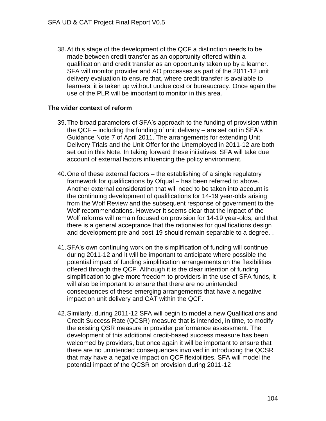38.At this stage of the development of the QCF a distinction needs to be made between credit transfer as an opportunity offered within a qualification and credit transfer as an opportunity taken up by a learner. SFA will monitor provider and AO processes as part of the 2011-12 unit delivery evaluation to ensure that, where credit transfer is available to learners, it is taken up without undue cost or bureaucracy. Once again the use of the PLR will be important to monitor in this area.

#### **The wider context of reform**

- 39.The broad parameters of SFA's approach to the funding of provision within the QCF – including the funding of unit delivery – are set out in SFA's Guidance Note 7 of April 2011. The arrangements for extending Unit Delivery Trials and the Unit Offer for the Unemployed in 2011-12 are both set out in this Note. In taking forward these initiatives, SFA will take due account of external factors influencing the policy environment.
- 40.One of these external factors the establishing of a single regulatory framework for qualifications by Ofqual – has been referred to above. Another external consideration that will need to be taken into account is the continuing development of qualifications for 14-19 year-olds arising from the Wolf Review and the subsequent response of government to the Wolf recommendations. However it seems clear that the impact of the Wolf reforms will remain focused on provision for 14-19 year-olds, and that there is a general acceptance that the rationales for qualifications design and development pre and post-19 should remain separable to a degree. .
- 41.SFA's own continuing work on the simplification of funding will continue during 2011-12 and it will be important to anticipate where possible the potential impact of funding simplification arrangements on the flexibilities offered through the QCF. Although it is the clear intention of funding simplification to give more freedom to providers in the use of SFA funds, it will also be important to ensure that there are no unintended consequences of these emerging arrangements that have a negative impact on unit delivery and CAT within the QCF.
- 42.Similarly, during 2011-12 SFA will begin to model a new Qualifications and Credit Success Rate (QCSR) measure that is intended, in time, to modify the existing QSR measure in provider performance assessment. The development of this additional credit-based success measure has been welcomed by providers, but once again it will be important to ensure that there are no unintended consequences involved in introducing the QCSR that may have a negative impact on QCF flexibilities. SFA will model the potential impact of the QCSR on provision during 2011-12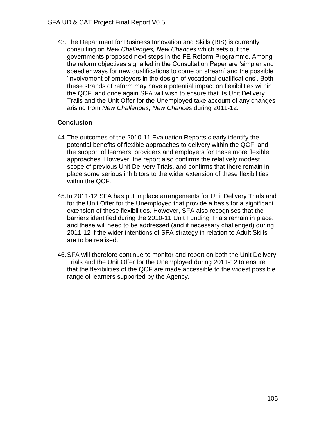43.The Department for Business Innovation and Skills (BIS) is currently consulting on *New Challenges, New Chances* which sets out the governments proposed next steps in the FE Reform Programme. Among the reform objectives signalled in the Consultation Paper are 'simpler and speedier ways for new qualifications to come on stream' and the possible 'involvement of employers in the design of vocational qualifications'. Both these strands of reform may have a potential impact on flexibilities within the QCF, and once again SFA will wish to ensure that its Unit Delivery Trails and the Unit Offer for the Unemployed take account of any changes arising from *New Challenges, New Chances* during 2011-12.

## **Conclusion**

- 44.The outcomes of the 2010-11 Evaluation Reports clearly identify the potential benefits of flexible approaches to delivery within the QCF, and the support of learners, providers and employers for these more flexible approaches. However, the report also confirms the relatively modest scope of previous Unit Delivery Trials, and confirms that there remain in place some serious inhibitors to the wider extension of these flexibilities within the QCF.
- 45.In 2011-12 SFA has put in place arrangements for Unit Delivery Trials and for the Unit Offer for the Unemployed that provide a basis for a significant extension of these flexibilities. However, SFA also recognises that the barriers identified during the 2010-11 Unit Funding Trials remain in place, and these will need to be addressed (and if necessary challenged) during 2011-12 if the wider intentions of SFA strategy in relation to Adult Skills are to be realised.
- 46.SFA will therefore continue to monitor and report on both the Unit Delivery Trials and the Unit Offer for the Unemployed during 2011-12 to ensure that the flexibilities of the QCF are made accessible to the widest possible range of learners supported by the Agency.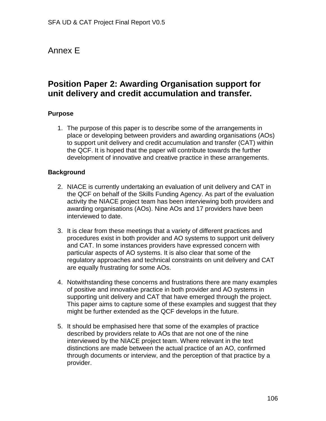# Annex E

# **Position Paper 2: Awarding Organisation support for unit delivery and credit accumulation and transfer.**

### **Purpose**

1. The purpose of this paper is to describe some of the arrangements in place or developing between providers and awarding organisations (AOs) to support unit delivery and credit accumulation and transfer (CAT) within the QCF. It is hoped that the paper will contribute towards the further development of innovative and creative practice in these arrangements.

### **Background**

- 2. NIACE is currently undertaking an evaluation of unit delivery and CAT in the QCF on behalf of the Skills Funding Agency. As part of the evaluation activity the NIACE project team has been interviewing both providers and awarding organisations (AOs). Nine AOs and 17 providers have been interviewed to date.
- 3. It is clear from these meetings that a variety of different practices and procedures exist in both provider and AO systems to support unit delivery and CAT. In some instances providers have expressed concern with particular aspects of AO systems. It is also clear that some of the regulatory approaches and technical constraints on unit delivery and CAT are equally frustrating for some AOs.
- 4. Notwithstanding these concerns and frustrations there are many examples of positive and innovative practice in both provider and AO systems in supporting unit delivery and CAT that have emerged through the project. This paper aims to capture some of these examples and suggest that they might be further extended as the QCF develops in the future.
- 5. It should be emphasised here that some of the examples of practice described by providers relate to AOs that are not one of the nine interviewed by the NIACE project team. Where relevant in the text distinctions are made between the actual practice of an AO, confirmed through documents or interview, and the perception of that practice by a provider.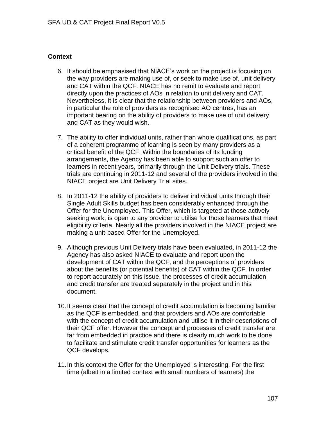### **Context**

- 6. It should be emphasised that NIACE's work on the project is focusing on the way providers are making use of, or seek to make use of, unit delivery and CAT within the QCF. NIACE has no remit to evaluate and report directly upon the practices of AOs in relation to unit delivery and CAT. Nevertheless, it is clear that the relationship between providers and AOs, in particular the role of providers as recognised AO centres, has an important bearing on the ability of providers to make use of unit delivery and CAT as they would wish.
- 7. The ability to offer individual units, rather than whole qualifications, as part of a coherent programme of learning is seen by many providers as a critical benefit of the QCF. Within the boundaries of its funding arrangements, the Agency has been able to support such an offer to learners in recent years, primarily through the Unit Delivery trials. These trials are continuing in 2011-12 and several of the providers involved in the NIACE project are Unit Delivery Trial sites.
- 8. In 2011-12 the ability of providers to deliver individual units through their Single Adult Skills budget has been considerably enhanced through the Offer for the Unemployed. This Offer, which is targeted at those actively seeking work, is open to any provider to utilise for those learners that meet eligibility criteria. Nearly all the providers involved in the NIACE project are making a unit-based Offer for the Unemployed.
- 9. Although previous Unit Delivery trials have been evaluated, in 2011-12 the Agency has also asked NIACE to evaluate and report upon the development of CAT within the QCF, and the perceptions of providers about the benefits (or potential benefits) of CAT within the QCF. In order to report accurately on this issue, the processes of credit accumulation and credit transfer are treated separately in the project and in this document.
- 10.It seems clear that the concept of credit accumulation is becoming familiar as the QCF is embedded, and that providers and AOs are comfortable with the concept of credit accumulation and utilise it in their descriptions of their QCF offer. However the concept and processes of credit transfer are far from embedded in practice and there is clearly much work to be done to facilitate and stimulate credit transfer opportunities for learners as the QCF develops.
- 11.In this context the Offer for the Unemployed is interesting. For the first time (albeit in a limited context with small numbers of learners) the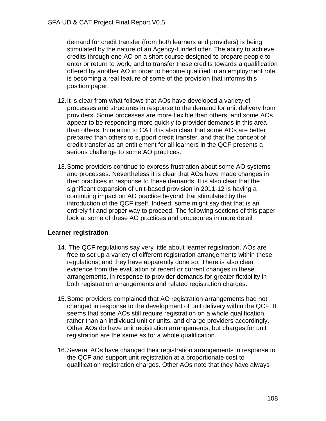demand for credit transfer (from both learners and providers) is being stimulated by the nature of an Agency-funded offer. The ability to achieve credits through one AO on a short course designed to prepare people to enter or return to work, and to transfer these credits towards a qualification offered by another AO in order to become qualified in an employment role, is becoming a real feature of some of the provision that informs this position paper.

- 12.It is clear from what follows that AOs have developed a variety of processes and structures in response to the demand for unit delivery from providers. Some processes are more flexible than others, and some AOs appear to be responding more quickly to provider demands in this area than others. In relation to CAT it is also clear that some AOs are better prepared than others to support credit transfer, and that the concept of credit transfer as an entitlement for all learners in the QCF presents a serious challenge to some AO practices.
- 13.Some providers continue to express frustration about some AO systems and processes. Nevertheless it is clear that AOs have made changes in their practices in response to these demands. It is also clear that the significant expansion of unit-based provision in 2011-12 is having a continuing impact on AO practice beyond that stimulated by the introduction of the QCF itself. Indeed, some might say that that is an entirely fit and proper way to proceed. The following sections of this paper look at some of these AO practices and procedures in more detail

### **Learner registration**

- 14. The QCF regulations say very little about learner registration. AOs are free to set up a variety of different registration arrangements within these regulations, and they have apparently done so. There is also clear evidence from the evaluation of recent or current changes in these arrangements, in response to provider demands for greater flexibility in both registration arrangements and related registration charges.
- 15.Some providers complained that AO registration arrangements had not changed in response to the development of unit delivery within the QCF. It seems that some AOs still require registration on a whole qualification, rather than an individual unit or units, and charge providers accordingly. Other AOs do have unit registration arrangements, but charges for unit registration are the same as for a whole qualification.
- 16.Several AOs have changed their registration arrangements in response to the QCF and support unit registration at a proportionate cost to qualification registration charges. Other AOs note that they have always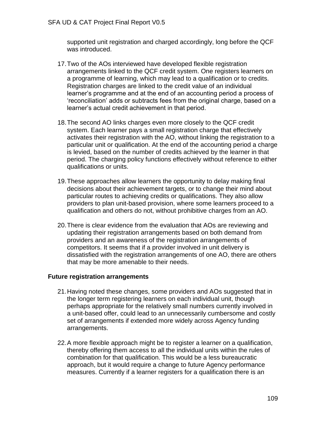supported unit registration and charged accordingly, long before the QCF was introduced.

- 17.Two of the AOs interviewed have developed flexible registration arrangements linked to the QCF credit system. One registers learners on a programme of learning, which may lead to a qualification or to credits. Registration charges are linked to the credit value of an individual learner's programme and at the end of an accounting period a process of 'reconciliation' adds or subtracts fees from the original charge, based on a learner's actual credit achievement in that period.
- 18.The second AO links charges even more closely to the QCF credit system. Each learner pays a small registration charge that effectively activates their registration with the AO, without linking the registration to a particular unit or qualification. At the end of the accounting period a charge is levied, based on the number of credits achieved by the learner in that period. The charging policy functions effectively without reference to either qualifications or units.
- 19.These approaches allow learners the opportunity to delay making final decisions about their achievement targets, or to change their mind about particular routes to achieving credits or qualifications. They also allow providers to plan unit-based provision, where some learners proceed to a qualification and others do not, without prohibitive charges from an AO.
- 20.There is clear evidence from the evaluation that AOs are reviewing and updating their registration arrangements based on both demand from providers and an awareness of the registration arrangements of competitors. It seems that if a provider involved in unit delivery is dissatisfied with the registration arrangements of one AO, there are others that may be more amenable to their needs.

#### **Future registration arrangements**

- 21.Having noted these changes, some providers and AOs suggested that in the longer term registering learners on each individual unit, though perhaps appropriate for the relatively small numbers currently involved in a unit-based offer, could lead to an unnecessarily cumbersome and costly set of arrangements if extended more widely across Agency funding arrangements.
- 22.A more flexible approach might be to register a learner on a qualification, thereby offering them access to all the individual units within the rules of combination for that qualification. This would be a less bureaucratic approach, but it would require a change to future Agency performance measures. Currently if a learner registers for a qualification there is an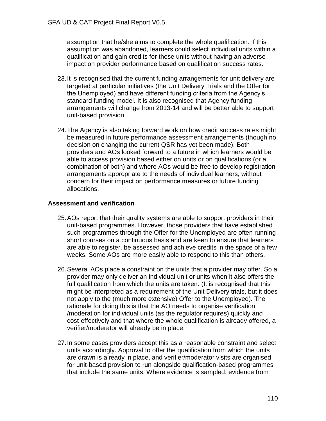assumption that he/she aims to complete the whole qualification. If this assumption was abandoned, learners could select individual units within a qualification and gain credits for these units without having an adverse impact on provider performance based on qualification success rates.

- 23.It is recognised that the current funding arrangements for unit delivery are targeted at particular initiatives (the Unit Delivery Trials and the Offer for the Unemployed) and have different funding criteria from the Agency's standard funding model. It is also recognised that Agency funding arrangements will change from 2013-14 and will be better able to support unit-based provision.
- 24.The Agency is also taking forward work on how credit success rates might be measured in future performance assessment arrangements (though no decision on changing the current QSR has yet been made). Both providers and AOs looked forward to a future in which learners would be able to access provision based either on units or on qualifications (or a combination of both) and where AOs would be free to develop registration arrangements appropriate to the needs of individual learners, without concern for their impact on performance measures or future funding allocations.

### **Assessment and verification**

- 25.AOs report that their quality systems are able to support providers in their unit-based programmes. However, those providers that have established such programmes through the Offer for the Unemployed are often running short courses on a continuous basis and are keen to ensure that learners are able to register, be assessed and achieve credits in the space of a few weeks. Some AOs are more easily able to respond to this than others.
- 26.Several AOs place a constraint on the units that a provider may offer. So a provider may only deliver an individual unit or units when it also offers the full qualification from which the units are taken. (It is recognised that this might be interpreted as a requirement of the Unit Delivery trials, but it does not apply to the (much more extensive) Offer to the Unemployed). The rationale for doing this is that the AO needs to organise verification /moderation for individual units (as the regulator requires) quickly and cost-effectively and that where the whole qualification is already offered, a verifier/moderator will already be in place.
- 27.In some cases providers accept this as a reasonable constraint and select units accordingly. Approval to offer the qualification from which the units are drawn is already in place, and verifier/moderator visits are organised for unit-based provision to run alongside qualification-based programmes that include the same units. Where evidence is sampled, evidence from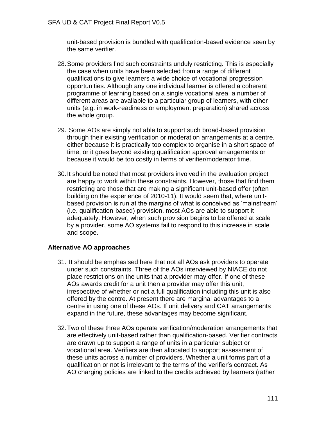unit-based provision is bundled with qualification-based evidence seen by the same verifier.

- 28.Some providers find such constraints unduly restricting. This is especially the case when units have been selected from a range of different qualifications to give learners a wide choice of vocational progression opportunities. Although any one individual learner is offered a coherent programme of learning based on a single vocational area, a number of different areas are available to a particular group of learners, with other units (e.g. in work-readiness or employment preparation) shared across the whole group.
- 29. Some AOs are simply not able to support such broad-based provision through their existing verification or moderation arrangements at a centre, either because it is practically too complex to organise in a short space of time, or it goes beyond existing qualification approval arrangements or because it would be too costly in terms of verifier/moderator time.
- 30.It should be noted that most providers involved in the evaluation project are happy to work within these constraints. However, those that find them restricting are those that are making a significant unit-based offer (often building on the experience of 2010-11). It would seem that, where unitbased provision is run at the margins of what is conceived as 'mainstream' (i.e. qualification-based) provision, most AOs are able to support it adequately. However, when such provision begins to be offered at scale by a provider, some AO systems fail to respond to this increase in scale and scope.

#### **Alternative AO approaches**

- 31. It should be emphasised here that not all AOs ask providers to operate under such constraints. Three of the AOs interviewed by NIACE do not place restrictions on the units that a provider may offer. If one of these AOs awards credit for a unit then a provider may offer this unit, irrespective of whether or not a full qualification including this unit is also offered by the centre. At present there are marginal advantages to a centre in using one of these AOs. If unit delivery and CAT arrangements expand in the future, these advantages may become significant.
- 32.Two of these three AOs operate verification/moderation arrangements that are effectively unit-based rather than qualification-based. Verifier contracts are drawn up to support a range of units in a particular subject or vocational area. Verifiers are then allocated to support assessment of these units across a number of providers. Whether a unit forms part of a qualification or not is irrelevant to the terms of the verifier's contract. As AO charging policies are linked to the credits achieved by learners (rather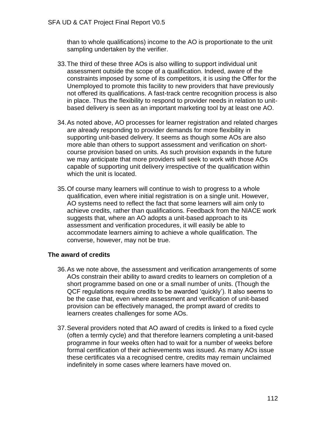than to whole qualifications) income to the AO is proportionate to the unit sampling undertaken by the verifier.

- 33.The third of these three AOs is also willing to support individual unit assessment outside the scope of a qualification. Indeed, aware of the constraints imposed by some of its competitors, it is using the Offer for the Unemployed to promote this facility to new providers that have previously not offered its qualifications. A fast-track centre recognition process is also in place. Thus the flexibility to respond to provider needs in relation to unitbased delivery is seen as an important marketing tool by at least one AO.
- 34.As noted above, AO processes for learner registration and related charges are already responding to provider demands for more flexibility in supporting unit-based delivery. It seems as though some AOs are also more able than others to support assessment and verification on shortcourse provision based on units. As such provision expands in the future we may anticipate that more providers will seek to work with those AOs capable of supporting unit delivery irrespective of the qualification within which the unit is located.
- 35.Of course many learners will continue to wish to progress to a whole qualification, even where initial registration is on a single unit. However, AO systems need to reflect the fact that some learners will aim only to achieve credits, rather than qualifications. Feedback from the NIACE work suggests that, where an AO adopts a unit-based approach to its assessment and verification procedures, it will easily be able to accommodate learners aiming to achieve a whole qualification. The converse, however, may not be true.

#### **The award of credits**

- 36.As we note above, the assessment and verification arrangements of some AOs constrain their ability to award credits to learners on completion of a short programme based on one or a small number of units. (Though the QCF regulations require credits to be awarded 'quickly'). It also seems to be the case that, even where assessment and verification of unit-based provision can be effectively managed, the prompt award of credits to learners creates challenges for some AOs.
- 37.Several providers noted that AO award of credits is linked to a fixed cycle (often a termly cycle) and that therefore learners completing a unit-based programme in four weeks often had to wait for a number of weeks before formal certification of their achievements was issued. As many AOs issue these certificates via a recognised centre, credits may remain unclaimed indefinitely in some cases where learners have moved on.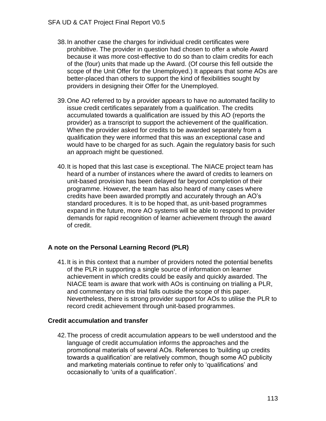- 38.In another case the charges for individual credit certificates were prohibitive. The provider in question had chosen to offer a whole Award because it was more cost-effective to do so than to claim credits for each of the (four) units that made up the Award. (Of course this fell outside the scope of the Unit Offer for the Unemployed.) It appears that some AOs are better-placed than others to support the kind of flexibilities sought by providers in designing their Offer for the Unemployed.
- 39.One AO referred to by a provider appears to have no automated facility to issue credit certificates separately from a qualification. The credits accumulated towards a qualification are issued by this AO (reports the provider) as a transcript to support the achievement of the qualification. When the provider asked for credits to be awarded separately from a qualification they were informed that this was an exceptional case and would have to be charged for as such. Again the regulatory basis for such an approach might be questioned.
- 40.It is hoped that this last case is exceptional. The NIACE project team has heard of a number of instances where the award of credits to learners on unit-based provision has been delayed far beyond completion of their programme. However, the team has also heard of many cases where credits have been awarded promptly and accurately through an AO's standard procedures. It is to be hoped that, as unit-based programmes expand in the future, more AO systems will be able to respond to provider demands for rapid recognition of learner achievement through the award of credit.

## **A note on the Personal Learning Record (PLR)**

41.It is in this context that a number of providers noted the potential benefits of the PLR in supporting a single source of information on learner achievement in which credits could be easily and quickly awarded. The NIACE team is aware that work with AOs is continuing on trialling a PLR, and commentary on this trial falls outside the scope of this paper. Nevertheless, there is strong provider support for AOs to utilise the PLR to record credit achievement through unit-based programmes.

## **Credit accumulation and transfer**

42.The process of credit accumulation appears to be well understood and the language of credit accumulation informs the approaches and the promotional materials of several AOs. References to 'building up credits towards a qualification' are relatively common, though some AO publicity and marketing materials continue to refer only to 'qualifications' and occasionally to 'units of a qualification'.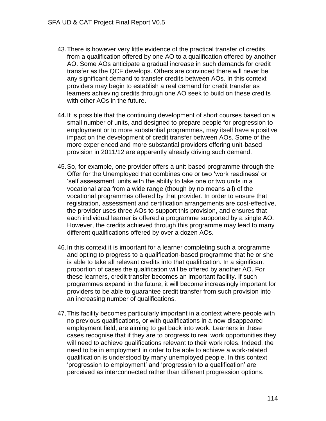- 43.There is however very little evidence of the practical transfer of credits from a qualification offered by one AO to a qualification offered by another AO. Some AOs anticipate a gradual increase in such demands for credit transfer as the QCF develops. Others are convinced there will never be any significant demand to transfer credits between AOs. In this context providers may begin to establish a real demand for credit transfer as learners achieving credits through one AO seek to build on these credits with other AOs in the future.
- 44.It is possible that the continuing development of short courses based on a small number of units, and designed to prepare people for progression to employment or to more substantial programmes, may itself have a positive impact on the development of credit transfer between AOs. Some of the more experienced and more substantial providers offering unit-based provision in 2011/12 are apparently already driving such demand.
- 45.So, for example, one provider offers a unit-based programme through the Offer for the Unemployed that combines one or two 'work readiness' or 'self assessment' units with the ability to take one or two units in a vocational area from a wide range (though by no means all) of the vocational programmes offered by that provider. In order to ensure that registration, assessment and certification arrangements are cost-effective, the provider uses three AOs to support this provision, and ensures that each individual learner is offered a programme supported by a single AO. However, the credits achieved through this programme may lead to many different qualifications offered by over a dozen AOs.
- 46.In this context it is important for a learner completing such a programme and opting to progress to a qualification-based programme that he or she is able to take all relevant credits into that qualification. In a significant proportion of cases the qualification will be offered by another AO. For these learners, credit transfer becomes an important facility. If such programmes expand in the future, it will become increasingly important for providers to be able to guarantee credit transfer from such provision into an increasing number of qualifications.
- 47.This facility becomes particularly important in a context where people with no previous qualifications, or with qualifications in a now-disappeared employment field, are aiming to get back into work. Learners in these cases recognise that if they are to progress to real work opportunities they will need to achieve qualifications relevant to their work roles. Indeed, the need to be in employment in order to be able to achieve a work-related qualification is understood by many unemployed people. In this context 'progression to employment' and 'progression to a qualification' are perceived as interconnected rather than different progression options.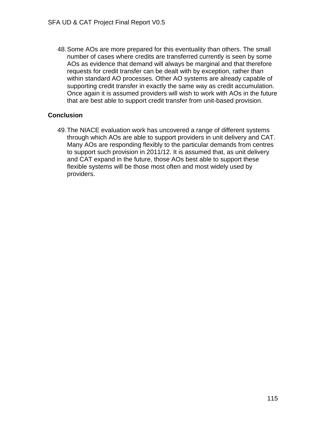48.Some AOs are more prepared for this eventuality than others. The small number of cases where credits are transferred currently is seen by some AOs as evidence that demand will always be marginal and that therefore requests for credit transfer can be dealt with by exception, rather than within standard AO processes. Other AO systems are already capable of supporting credit transfer in exactly the same way as credit accumulation. Once again it is assumed providers will wish to work with AOs in the future that are best able to support credit transfer from unit-based provision.

## **Conclusion**

49.The NIACE evaluation work has uncovered a range of different systems through which AOs are able to support providers in unit delivery and CAT. Many AOs are responding flexibly to the particular demands from centres to support such provision in 2011/12. It is assumed that, as unit delivery and CAT expand in the future, those AOs best able to support these flexible systems will be those most often and most widely used by providers.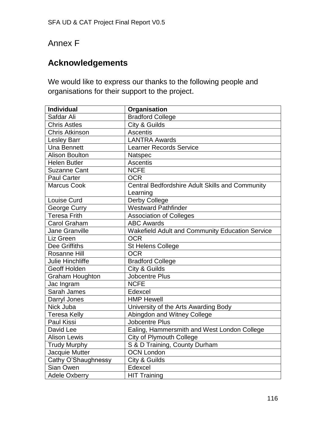# Annex F

## **Acknowledgements**

We would like to express our thanks to the following people and organisations for their support to the project.

| <b>Individual</b>       | Organisation                                                       |  |  |
|-------------------------|--------------------------------------------------------------------|--|--|
| Safdar Ali              | <b>Bradford College</b>                                            |  |  |
| <b>Chris Astles</b>     | City & Guilds                                                      |  |  |
| <b>Chris Atkinson</b>   | <b>Ascentis</b>                                                    |  |  |
| <b>Lesley Barr</b>      | <b>LANTRA Awards</b>                                               |  |  |
| <b>Una Bennett</b>      | <b>Learner Records Service</b>                                     |  |  |
| <b>Alison Boulton</b>   | Natspec                                                            |  |  |
| <b>Helen Butler</b>     | Ascentis                                                           |  |  |
| <b>Suzanne Cant</b>     | <b>NCFE</b>                                                        |  |  |
| <b>Paul Carter</b>      | <b>OCR</b>                                                         |  |  |
| <b>Marcus Cook</b>      | <b>Central Bedfordshire Adult Skills and Community</b><br>Learning |  |  |
| Louise Curd             | Derby College                                                      |  |  |
| George Curry            | <b>Westward Pathfinder</b>                                         |  |  |
| <b>Teresa Frith</b>     | <b>Association of Colleges</b>                                     |  |  |
| <b>Carol Graham</b>     | <b>ABC Awards</b>                                                  |  |  |
| <b>Jane Granville</b>   | <b>Wakefield Adult and Community Education Service</b>             |  |  |
| Liz Green               | <b>OCR</b>                                                         |  |  |
| Dee Griffiths           | St Helens College                                                  |  |  |
| <b>Rosanne Hill</b>     | <b>OCR</b>                                                         |  |  |
| <b>Julie Hinchliffe</b> | <b>Bradford College</b>                                            |  |  |
| Geoff Holden            | City & Guilds                                                      |  |  |
| <b>Graham Houghton</b>  | Jobcentre Plus                                                     |  |  |
| Jac Ingram              | <b>NCFE</b>                                                        |  |  |
| Sarah James             | Edexcel                                                            |  |  |
| Darryl Jones            | <b>HMP Hewell</b>                                                  |  |  |
| Nick Juba               | University of the Arts Awarding Body                               |  |  |
| <b>Teresa Kelly</b>     | Abingdon and Witney College                                        |  |  |
| <b>Paul Kissi</b>       | <b>Jobcentre Plus</b>                                              |  |  |
| David Lee               | Ealing, Hammersmith and West London College                        |  |  |
| <b>Alison Lewis</b>     | <b>City of Plymouth College</b>                                    |  |  |
| <b>Trudy Murphy</b>     | S & D Training, County Durham                                      |  |  |
| Jacquie Mutter          | <b>OCN London</b>                                                  |  |  |
| Cathy O'Shaughnessy     | City & Guilds                                                      |  |  |
| Sian Owen               | Edexcel                                                            |  |  |
| <b>Adele Oxberry</b>    | <b>HIT Training</b>                                                |  |  |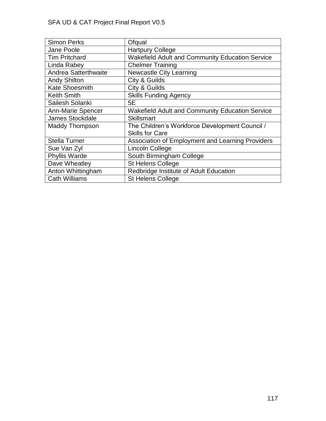| <b>Simon Perks</b>          | Ofqual                                                 |
|-----------------------------|--------------------------------------------------------|
| Jane Poole                  | <b>Hartpury College</b>                                |
| <b>Tim Pritchard</b>        | <b>Wakefield Adult and Community Education Service</b> |
| Linda Rabey                 | <b>Chelmer Training</b>                                |
| <b>Andrea Satterthwaite</b> | <b>Newcastle City Learning</b>                         |
| <b>Andy Shilton</b>         | City & Guilds                                          |
| <b>Kate Shoesmith</b>       | City & Guilds                                          |
| <b>Keith Smith</b>          | <b>Skills Funding Agency</b>                           |
| Sailesh Solanki             | 5E                                                     |
| <b>Ann-Marie Spencer</b>    | <b>Wakefield Adult and Community Education Service</b> |
| <b>James Stockdale</b>      | <b>Skillsmart</b>                                      |
| <b>Maddy Thompson</b>       | The Children's Workforce Development Council /         |
|                             | <b>Skills for Care</b>                                 |
| <b>Stella Turner</b>        | Association of Employment and Learning Providers       |
| Sue Van Zyl                 | <b>Lincoln College</b>                                 |
| <b>Phyllis Warde</b>        | South Birmingham College                               |
| Dave Wheatley               | <b>St Helens College</b>                               |
| Anton Whittingham           | Redbridge Institute of Adult Education                 |
| <b>Cath Williams</b>        | <b>St Helens College</b>                               |